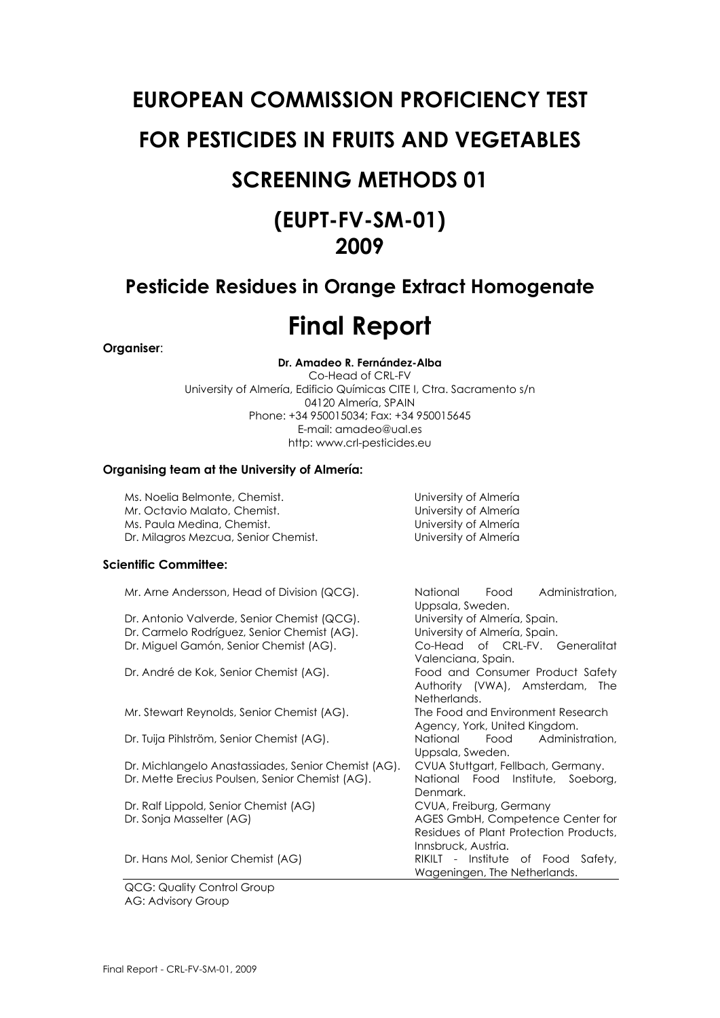## **EUROPEAN COMMISSION PROFICIENCY TEST FOR PESTICIDES IN FRUITS AND VEGETABLES**

## **SCREENING METHODS 01**

## **(EUPT-FV-SM-01) 2009**

### **Pesticide Residues in Orange Extract Homogenate**

## **Final Report**

#### **Organiser**:

**Dr. Amadeo R. Fernández-Alba**  Co-Head of CRL-FV University of Almería, Edificio Químicas CITE I, Ctra. Sacramento s/n 04120 Almería, SPAIN Phone: +34 950015034; Fax: +34 950015645 E-mail: amadeo@ual.es http: www.crl-pesticides.eu

#### **Organising team at the University of Almería:**

Ms. Noelia Belmonte, Chemist. University of Almería Mr. Octavio Malato, Chemist. University of Almería Ms. Paula Medina, Chemist. Dr. Milagros Mezcua, Senior Chemist. University of Almería

#### **Scientific Committee:**

| Mr. Arne Andersson, Head of Division (QCG).         | Administration,<br>National<br>Food        |
|-----------------------------------------------------|--------------------------------------------|
|                                                     | Uppsala, Sweden.                           |
| Dr. Antonio Valverde, Senior Chemist (QCG).         | University of Almería, Spain.              |
| Dr. Carmelo Rodríguez, Senior Chemist (AG).         | University of Almería, Spain.              |
| Dr. Miguel Gamón, Senior Chemist (AG).              | Co-Head of CRL-FV. Generalitat             |
|                                                     | Valenciana, Spain.                         |
| Dr. André de Kok, Senior Chemist (AG).              | Food and Consumer Product Safety           |
|                                                     | Authority (VWA), Amsterdam,<br><b>The</b>  |
|                                                     | Netherlands.                               |
| Mr. Stewart Reynolds, Senior Chemist (AG).          | The Food and Environment Research          |
|                                                     | Agency, York, United Kingdom.              |
| Dr. Tuija Pihlström, Senior Chemist (AG).           | <b>National</b><br>Food<br>Administration, |
|                                                     | Uppsala, Sweden.                           |
| Dr. Michlangelo Anastassiades, Senior Chemist (AG). | CVUA Stuttgart, Fellbach, Germany.         |
| Dr. Mette Erecius Poulsen, Senior Chemist (AG).     | National Food Institute, Soeborg,          |
|                                                     | Denmark.                                   |
| Dr. Ralf Lippold, Senior Chemist (AG)               | CVUA, Freiburg, Germany                    |
| Dr. Sonja Masselter (AG)                            | AGES GmbH, Competence Center for           |
|                                                     | Residues of Plant Protection Products,     |
|                                                     | Innsbruck, Austria.                        |
| Dr. Hans Mol, Senior Chemist (AG)                   | RIKILT - Institute of Food Safety,         |
|                                                     | Wageningen, The Netherlands.               |
|                                                     |                                            |

QCG: Quality Control Group AG: Advisory Group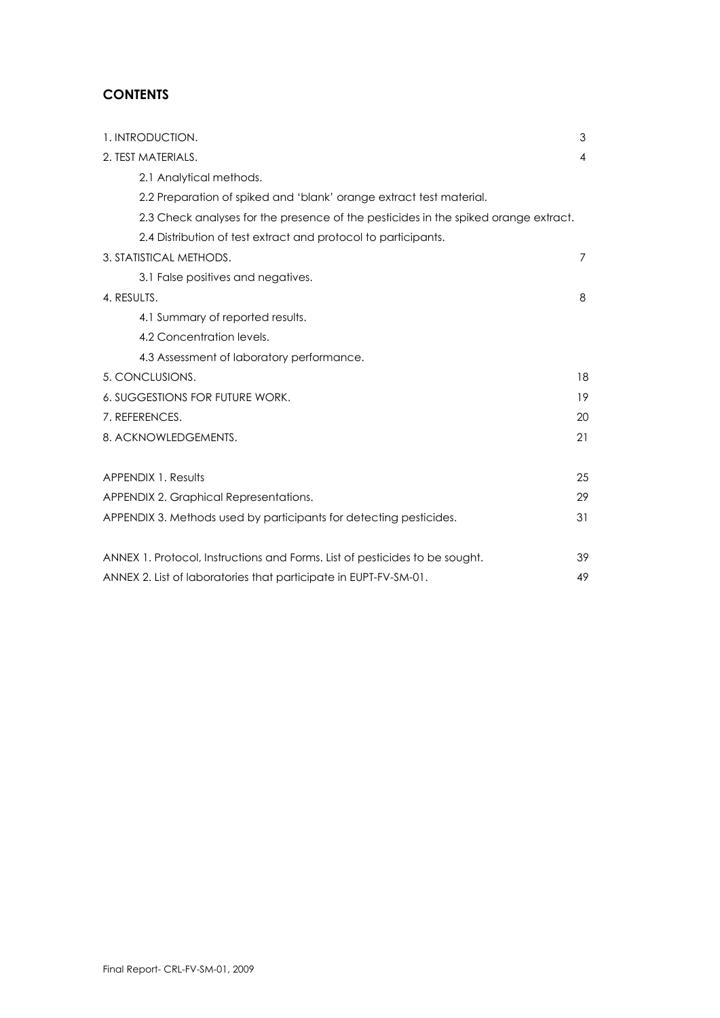#### **CONTENTS**

| 1. INTRODUCTION.                                                                    | 3              |
|-------------------------------------------------------------------------------------|----------------|
| 2. TEST MATERIALS.                                                                  | $\overline{4}$ |
| 2.1 Analytical methods.                                                             |                |
| 2.2 Preparation of spiked and 'blank' orange extract test material.                 |                |
| 2.3 Check analyses for the presence of the pesticides in the spiked orange extract. |                |
| 2.4 Distribution of test extract and protocol to participants.                      |                |
| 3. STATISTICAL METHODS.                                                             | 7              |
| 3.1 False positives and negatives.                                                  |                |
| 4. RESULTS.                                                                         | 8              |
| 4.1 Summary of reported results.                                                    |                |
| 4.2 Concentration levels.                                                           |                |
| 4.3 Assessment of laboratory performance.                                           |                |
| 5. CONCLUSIONS.                                                                     | 18             |
| <b>6. SUGGESTIONS FOR FUTURE WORK.</b>                                              | 19             |
| 7. REFERENCES.                                                                      | 20             |
| 8. ACKNOWLEDGEMENTS.                                                                | 21             |
| <b>APPENDIX 1. Results</b>                                                          | 25             |
| APPENDIX 2. Graphical Representations.                                              | 29             |
| APPENDIX 3. Methods used by participants for detecting pesticides.                  | 31             |
|                                                                                     |                |
| ANNEX 1. Protocol, Instructions and Forms. List of pesticides to be sought.         | 39             |
| ANNEX 2. List of laboratories that participate in EUPT-FV-SM-01.                    | 49             |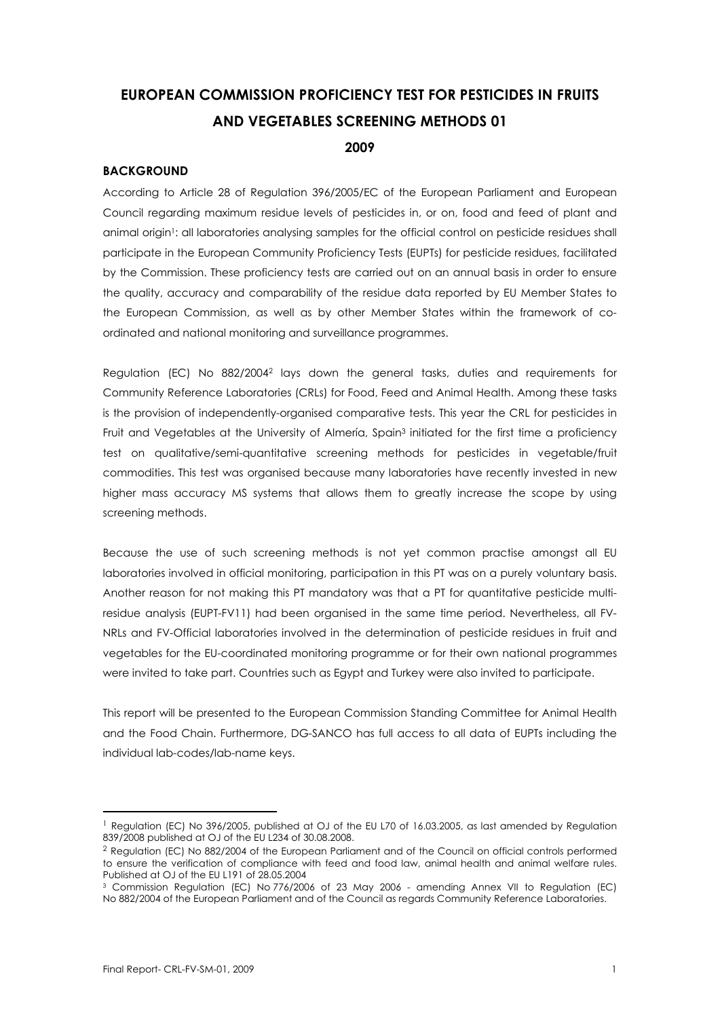### **EUROPEAN COMMISSION PROFICIENCY TEST FOR PESTICIDES IN FRUITS AND VEGETABLES SCREENING METHODS 01 2009**

#### **BACKGROUND**

According to Article 28 of Regulation 396/2005/EC of the European Parliament and European Council regarding maximum residue levels of pesticides in, or on, food and feed of plant and animal origin<sup>1</sup>; all laboratories analysing samples for the official control on pesticide residues shall participate in the European Community Proficiency Tests (EUPTs) for pesticide residues, facilitated by the Commission. These proficiency tests are carried out on an annual basis in order to ensure the quality, accuracy and comparability of the residue data reported by EU Member States to the European Commission, as well as by other Member States within the framework of coordinated and national monitoring and surveillance programmes.

Regulation (EC) No 882/20042 lays down the general tasks, duties and requirements for Community Reference Laboratories (CRLs) for Food, Feed and Animal Health. Among these tasks is the provision of independently-organised comparative tests. This year the CRL for pesticides in Fruit and Vegetables at the University of Almería, Spain<sup>3</sup> initiated for the first time a proficiency test on qualitative/semi-quantitative screening methods for pesticides in vegetable/fruit commodities. This test was organised because many laboratories have recently invested in new higher mass accuracy MS systems that allows them to greatly increase the scope by using screening methods.

Because the use of such screening methods is not yet common practise amongst all EU laboratories involved in official monitoring, participation in this PT was on a purely voluntary basis. Another reason for not making this PT mandatory was that a PT for quantitative pesticide multiresidue analysis (EUPT-FV11) had been organised in the same time period. Nevertheless, all FV-NRLs and FV-Official laboratories involved in the determination of pesticide residues in fruit and vegetables for the EU-coordinated monitoring programme or for their own national programmes were invited to take part. Countries such as Egypt and Turkey were also invited to participate.

This report will be presented to the European Commission Standing Committee for Animal Health and the Food Chain. Furthermore, DG-SANCO has full access to all data of EUPTs including the individual lab-codes/lab-name keys.

1

<sup>&</sup>lt;sup>1</sup> Regulation (EC) No 396/2005, published at OJ of the EU L70 of 16.03.2005, as last amended by Regulation 839/2008 published at OJ of the EU L234 of 30.08.2008.

<sup>2</sup> Regulation (EC) No 882/2004 of the European Parliament and of the Council on official controls performed to ensure the verification of compliance with feed and food law, animal health and animal welfare rules. Published at OJ of the EU L191 of 28.05.2004

<sup>3</sup> Commission Regulation (EC) No 776/2006 of 23 May 2006 - amending Annex VII to Regulation (EC) No 882/2004 of the European Parliament and of the Council as regards Community Reference Laboratories.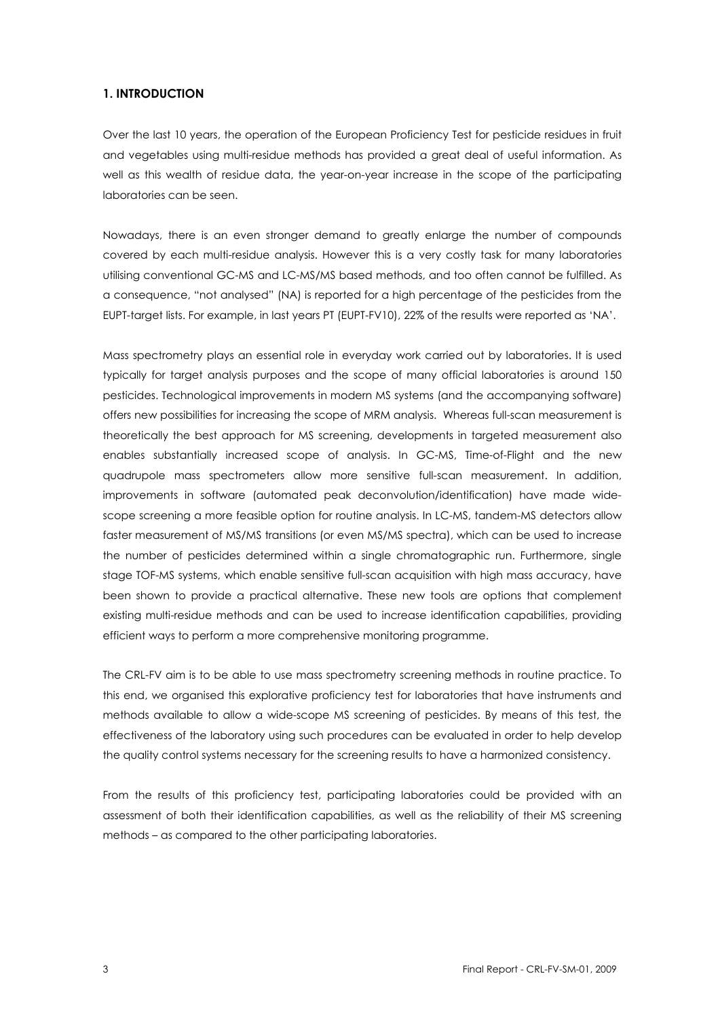#### **1. INTRODUCTION**

Over the last 10 years, the operation of the European Proficiency Test for pesticide residues in fruit and vegetables using multi-residue methods has provided a great deal of useful information. As well as this wealth of residue data, the year-on-year increase in the scope of the participating laboratories can be seen.

Nowadays, there is an even stronger demand to greatly enlarge the number of compounds covered by each multi-residue analysis. However this is a very costly task for many laboratories utilising conventional GC-MS and LC-MS/MS based methods, and too often cannot be fulfilled. As a consequence, "not analysed" (NA) is reported for a high percentage of the pesticides from the EUPT-target lists. For example, in last years PT (EUPT-FV10), 22% of the results were reported as 'NA'.

Mass spectrometry plays an essential role in everyday work carried out by laboratories. It is used typically for target analysis purposes and the scope of many official laboratories is around 150 pesticides. Technological improvements in modern MS systems (and the accompanying software) offers new possibilities for increasing the scope of MRM analysis. Whereas full-scan measurement is theoretically the best approach for MS screening, developments in targeted measurement also enables substantially increased scope of analysis. In GC-MS, Time-of-Flight and the new quadrupole mass spectrometers allow more sensitive full-scan measurement. In addition, improvements in software (automated peak deconvolution/identification) have made widescope screening a more feasible option for routine analysis. In LC-MS, tandem-MS detectors allow faster measurement of MS/MS transitions (or even MS/MS spectra), which can be used to increase the number of pesticides determined within a single chromatographic run. Furthermore, single stage TOF-MS systems, which enable sensitive full-scan acquisition with high mass accuracy, have been shown to provide a practical alternative. These new tools are options that complement existing multi-residue methods and can be used to increase identification capabilities, providing efficient ways to perform a more comprehensive monitoring programme.

The CRL-FV aim is to be able to use mass spectrometry screening methods in routine practice. To this end, we organised this explorative proficiency test for laboratories that have instruments and methods available to allow a wide-scope MS screening of pesticides. By means of this test, the effectiveness of the laboratory using such procedures can be evaluated in order to help develop the quality control systems necessary for the screening results to have a harmonized consistency.

From the results of this proficiency test, participating laboratories could be provided with an assessment of both their identification capabilities, as well as the reliability of their MS screening methods – as compared to the other participating laboratories.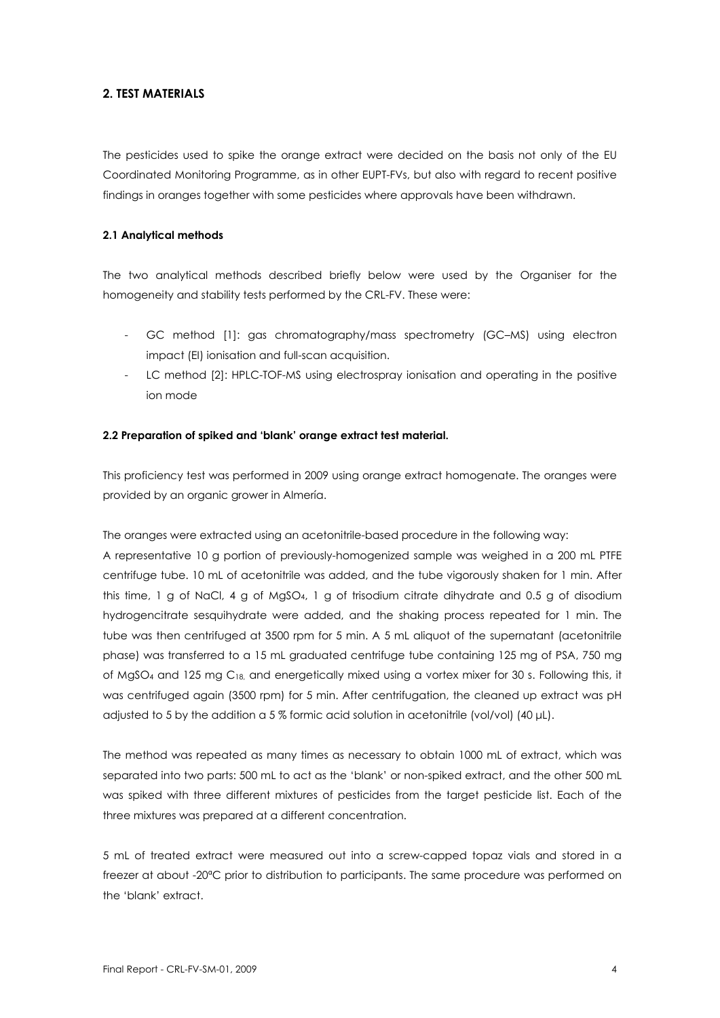#### **2. TEST MATERIALS**

The pesticides used to spike the orange extract were decided on the basis not only of the EU Coordinated Monitoring Programme, as in other EUPT-FVs, but also with regard to recent positive findings in oranges together with some pesticides where approvals have been withdrawn.

#### **2.1 Analytical methods**

The two analytical methods described briefly below were used by the Organiser for the homogeneity and stability tests performed by the CRL-FV. These were:

- GC method [1]: gas chromatography/mass spectrometry (GC–MS) using electron impact (EI) ionisation and full-scan acquisition.
- LC method [2]: HPLC-TOF-MS using electrospray ionisation and operating in the positive ion mode

#### **2.2 Preparation of spiked and 'blank' orange extract test material.**

This proficiency test was performed in 2009 using orange extract homogenate. The oranges were provided by an organic grower in Almería.

The oranges were extracted using an acetonitrile-based procedure in the following way:

A representative 10 g portion of previously-homogenized sample was weighed in a 200 mL PTFE centrifuge tube. 10 mL of acetonitrile was added, and the tube vigorously shaken for 1 min. After this time, 1 g of NaCl, 4 g of MgSO4, 1 g of trisodium citrate dihydrate and 0.5 g of disodium hydrogencitrate sesquihydrate were added, and the shaking process repeated for 1 min. The tube was then centrifuged at 3500 rpm for 5 min. A 5 mL aliquot of the supernatant (acetonitrile phase) was transferred to a 15 mL graduated centrifuge tube containing 125 mg of PSA, 750 mg of MgSO4 and 125 mg C18, and energetically mixed using a vortex mixer for 30 s. Following this, it was centrifuged again (3500 rpm) for 5 min. After centrifugation, the cleaned up extract was pH adjusted to 5 by the addition a 5 % formic acid solution in acetonitrile (vol/vol) (40 μL).

The method was repeated as many times as necessary to obtain 1000 mL of extract, which was separated into two parts: 500 mL to act as the 'blank' or non-spiked extract, and the other 500 mL was spiked with three different mixtures of pesticides from the target pesticide list. Each of the three mixtures was prepared at a different concentration.

5 mL of treated extract were measured out into a screw-capped topaz vials and stored in a freezer at about -20ªC prior to distribution to participants. The same procedure was performed on the 'blank' extract.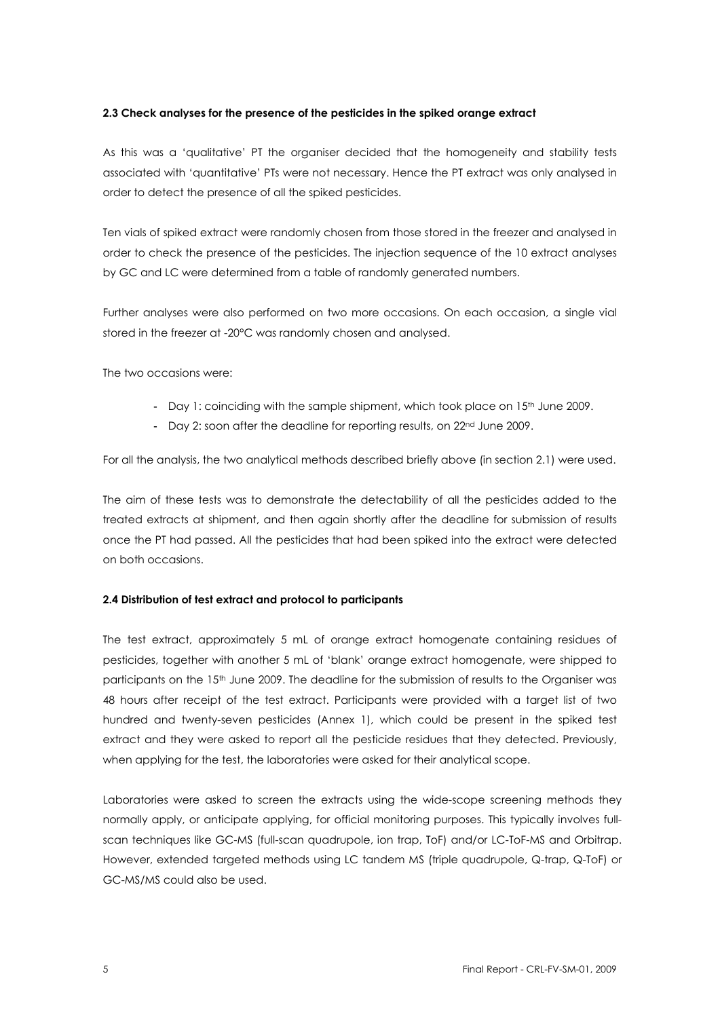#### **2.3 Check analyses for the presence of the pesticides in the spiked orange extract**

As this was a 'qualitative' PT the organiser decided that the homogeneity and stability tests associated with 'quantitative' PTs were not necessary. Hence the PT extract was only analysed in order to detect the presence of all the spiked pesticides.

Ten vials of spiked extract were randomly chosen from those stored in the freezer and analysed in order to check the presence of the pesticides. The injection sequence of the 10 extract analyses by GC and LC were determined from a table of randomly generated numbers.

Further analyses were also performed on two more occasions. On each occasion, a single vial stored in the freezer at -20°C was randomly chosen and analysed.

The two occasions were:

- Day 1: coinciding with the sample shipment, which took place on  $15<sup>th</sup>$  June 2009.
- Day 2: soon after the deadline for reporting results, on 22<sup>nd</sup> June 2009.

For all the analysis, the two analytical methods described briefly above (in section 2.1) were used.

The aim of these tests was to demonstrate the detectability of all the pesticides added to the treated extracts at shipment, and then again shortly after the deadline for submission of results once the PT had passed. All the pesticides that had been spiked into the extract were detected on both occasions.

#### **2.4 Distribution of test extract and protocol to participants**

The test extract, approximately 5 mL of orange extract homogenate containing residues of pesticides, together with another 5 mL of 'blank' orange extract homogenate, were shipped to participants on the 15<sup>th</sup> June 2009. The deadline for the submission of results to the Organiser was 48 hours after receipt of the test extract. Participants were provided with a target list of two hundred and twenty-seven pesticides (Annex 1), which could be present in the spiked test extract and they were asked to report all the pesticide residues that they detected. Previously, when applying for the test, the laboratories were asked for their analytical scope.

Laboratories were asked to screen the extracts using the wide-scope screening methods they normally apply, or anticipate applying, for official monitoring purposes. This typically involves fullscan techniques like GC-MS (full-scan quadrupole, ion trap, ToF) and/or LC-ToF-MS and Orbitrap. However, extended targeted methods using LC tandem MS (triple quadrupole, Q-trap, Q-ToF) or GC-MS/MS could also be used.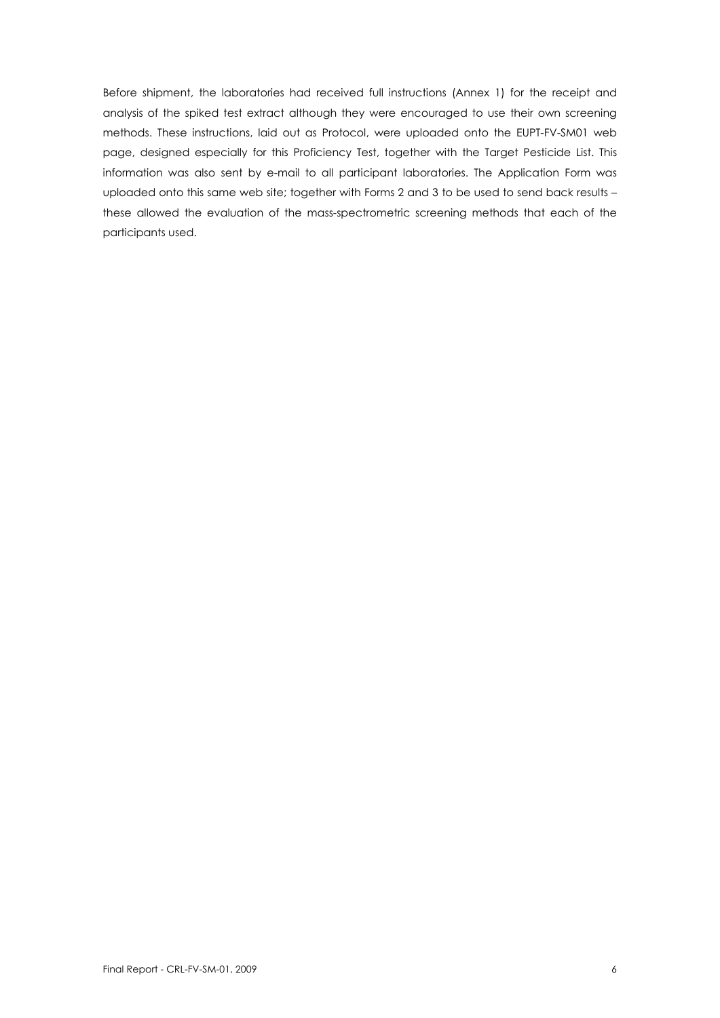Before shipment, the laboratories had received full instructions (Annex 1) for the receipt and analysis of the spiked test extract although they were encouraged to use their own screening methods. These instructions, laid out as Protocol, were uploaded onto the EUPT-FV-SM01 web page, designed especially for this Proficiency Test, together with the Target Pesticide List. This information was also sent by e-mail to all participant laboratories. The Application Form was uploaded onto this same web site; together with Forms 2 and 3 to be used to send back results – these allowed the evaluation of the mass-spectrometric screening methods that each of the participants used.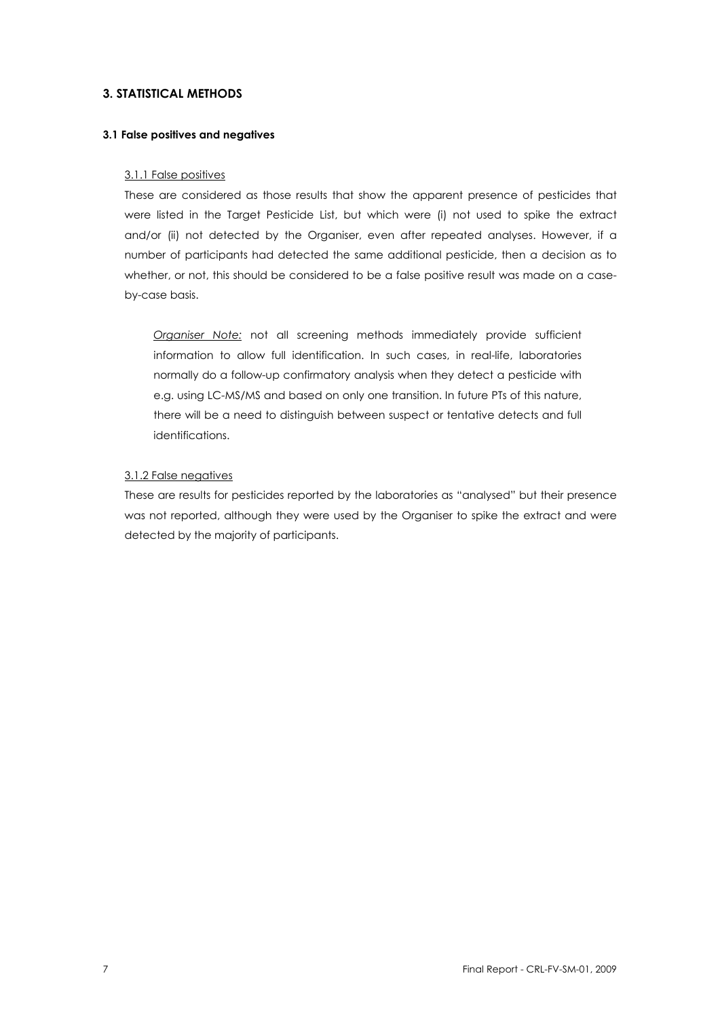#### **3. STATISTICAL METHODS**

#### **3.1 False positives and negatives**

#### 3.1.1 False positives

These are considered as those results that show the apparent presence of pesticides that were listed in the Target Pesticide List, but which were (i) not used to spike the extract and/or (ii) not detected by the Organiser, even after repeated analyses. However, if a number of participants had detected the same additional pesticide, then a decision as to whether, or not, this should be considered to be a false positive result was made on a caseby-case basis.

*Organiser Note:* not all screening methods immediately provide sufficient information to allow full identification. In such cases, in real-life, laboratories normally do a follow-up confirmatory analysis when they detect a pesticide with e.g. using LC-MS/MS and based on only one transition. In future PTs of this nature, there will be a need to distinguish between suspect or tentative detects and full identifications.

#### 3.1.2 False negatives

These are results for pesticides reported by the laboratories as "analysed" but their presence was not reported, although they were used by the Organiser to spike the extract and were detected by the majority of participants.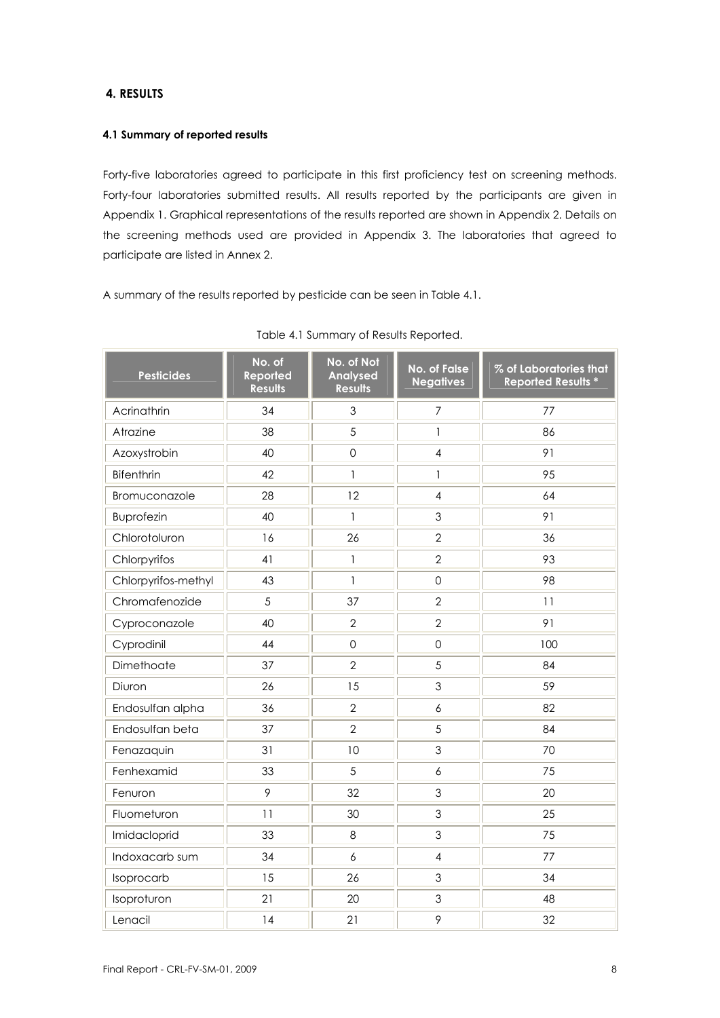#### **4. RESULTS**

#### **4.1 Summary of reported results**

Forty-five laboratories agreed to participate in this first proficiency test on screening methods. Forty-four laboratories submitted results. All results reported by the participants are given in Appendix 1. Graphical representations of the results reported are shown in Appendix 2. Details on the screening methods used are provided in Appendix 3. The laboratories that agreed to participate are listed in Annex 2.

A summary of the results reported by pesticide can be seen in Table 4.1.

| <b>Pesticides</b>   | No. of<br>Reported<br><b>Results</b> | No. of Not<br><b>Analysed</b><br><b>Results</b> | <b>No. of False</b><br><b>Negatives</b> | % of Laboratories that<br><b>Reported Results *</b> |
|---------------------|--------------------------------------|-------------------------------------------------|-----------------------------------------|-----------------------------------------------------|
| Acrinathrin         | 34                                   | 3                                               | $\overline{7}$                          | 77                                                  |
| Atrazine            | 38                                   | 5                                               | $\mathbf{1}$                            | 86                                                  |
| Azoxystrobin        | 40                                   | $\mathsf{O}$                                    | $\overline{4}$                          | 91                                                  |
| <b>Bifenthrin</b>   | 42                                   | $\mathbf{1}$                                    | $\mathbf{1}$                            | 95                                                  |
| Bromuconazole       | 28                                   | 12                                              | $\overline{4}$                          | 64                                                  |
| <b>Buprofezin</b>   | 40                                   | $\mathbf{I}$                                    | $\mathfrak{Z}$                          | 91                                                  |
| Chlorotoluron       | 16                                   | 26                                              | $\overline{2}$                          | 36                                                  |
| Chlorpyrifos        | 41                                   | $\ensuremath{\mathsf{I}}$                       | $\overline{2}$                          | 93                                                  |
| Chlorpyrifos-methyl | 43                                   | $\mathbf{I}$                                    | $\mathsf{O}$                            | 98                                                  |
| Chromafenozide      | 5                                    | 37                                              | $\overline{2}$                          | 11                                                  |
| Cyproconazole       | 40                                   | $\overline{2}$                                  | $\overline{2}$                          | 91                                                  |
| Cyprodinil          | 44                                   | $\mathbf 0$                                     | $\mathbf 0$                             | 100                                                 |
| Dimethoate          | 37                                   | $\overline{2}$                                  | 5                                       | 84                                                  |
| Diuron              | 26                                   | 15                                              | 3                                       | 59                                                  |
| Endosulfan alpha    | 36                                   | $\overline{2}$                                  | $\boldsymbol{6}$                        | 82                                                  |
| Endosulfan beta     | 37                                   | $\overline{2}$                                  | 5                                       | 84                                                  |
| Fenazaquin          | 31                                   | 10                                              | $\mathfrak 3$                           | 70                                                  |
| Fenhexamid          | 33                                   | 5                                               | $\ddot{\delta}$                         | 75                                                  |
| Fenuron             | 9                                    | 32                                              | $\mathfrak 3$                           | 20                                                  |
| Fluometuron         | 11                                   | 30                                              | $\mathfrak{Z}$                          | 25                                                  |
| Imidacloprid        | 33                                   | $\,8\,$                                         | $\mathfrak 3$                           | 75                                                  |
| Indoxacarb sum      | 34                                   | 6                                               | $\overline{4}$                          | 77                                                  |
| Isoprocarb          | 15                                   | 26                                              | $\mathfrak{Z}$                          | 34                                                  |
| Isoproturon         | 21                                   | 20                                              | $\mathfrak{Z}$                          | 48                                                  |
| Lenacil             | 14                                   | 21                                              | 9                                       | 32                                                  |

|  |  |  | Table 4.1 Summary of Results Reported. |
|--|--|--|----------------------------------------|
|--|--|--|----------------------------------------|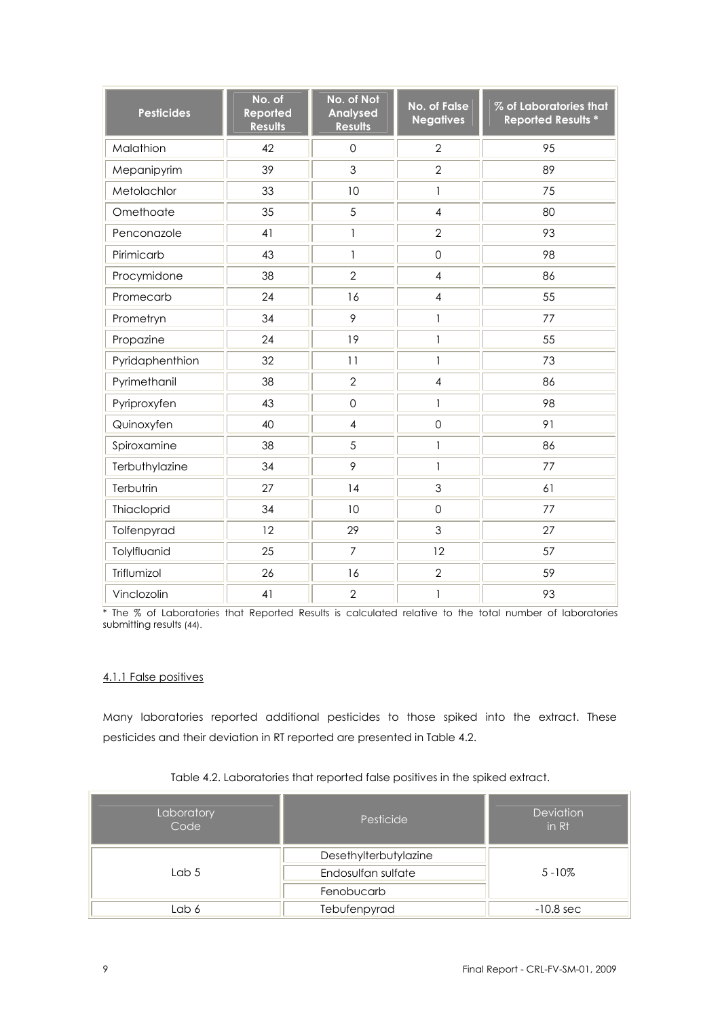| <b>Pesticides</b> | No. of<br>Reported<br><b>Results</b> | No. of Not<br><b>Analysed</b><br><b>Results</b> | No. of False<br><b>Negatives</b> | % of Laboratories that<br><b>Reported Results *</b> |
|-------------------|--------------------------------------|-------------------------------------------------|----------------------------------|-----------------------------------------------------|
| Malathion         | 42                                   | $\overline{O}$                                  | $\overline{2}$                   | 95                                                  |
| Mepanipyrim       | 39                                   | 3                                               | $\overline{2}$                   | 89                                                  |
| Metolachlor       | 33                                   | 10                                              | $\mathbf{1}$                     | 75                                                  |
| Omethoate         | 35                                   | 5                                               | $\overline{4}$                   | 80                                                  |
| Penconazole       | 41                                   | 1                                               | $\overline{2}$                   | 93                                                  |
| Pirimicarb        | 43                                   | $\mathbf{1}$                                    | $\mathsf{O}$                     | 98                                                  |
| Procymidone       | 38                                   | $\overline{2}$                                  | $\overline{\mathcal{A}}$         | 86                                                  |
| Promecarb         | 24                                   | 16                                              | $\overline{\mathcal{A}}$         | 55                                                  |
| Prometryn         | 34                                   | 9                                               | $\mathbf{1}$                     | 77                                                  |
| Propazine         | 24                                   | 19                                              | $\mathbf{1}$                     | 55                                                  |
| Pyridaphenthion   | 32                                   | 11                                              | $\mathbf{1}$                     | 73                                                  |
| Pyrimethanil      | 38                                   | $\overline{2}$                                  | $\overline{4}$                   | 86                                                  |
| Pyriproxyfen      | 43                                   | $\mathbf 0$                                     | $\mathbf{1}$                     | 98                                                  |
| Quinoxyfen        | 40                                   | $\overline{4}$                                  | $\mathbf 0$                      | 91                                                  |
| Spiroxamine       | 38                                   | 5                                               | $\mathbf{I}$                     | 86                                                  |
| Terbuthylazine    | 34                                   | 9                                               | $\mathbf{1}$                     | 77                                                  |
| Terbutrin         | 27                                   | 14                                              | $\mathfrak{S}$                   | 61                                                  |
| Thiacloprid       | 34                                   | 10                                              | $\mathbf 0$                      | 77                                                  |
| Tolfenpyrad       | 12                                   | 29                                              | 3                                | 27                                                  |
| Tolylfluanid      | 25                                   | $\overline{7}$                                  | 12                               | 57                                                  |
| Triflumizol       | 26                                   | 16                                              | $\overline{2}$                   | 59                                                  |
| Vinclozolin       | 41                                   | $\overline{2}$                                  | $\mathbf{1}$                     | 93                                                  |

\* The % of Laboratories that Reported Results is calculated relative to the total number of laboratories submitting results (44).

#### 4.1.1 False positives

Many laboratories reported additional pesticides to those spiked into the extract. These pesticides and their deviation in RT reported are presented in Table 4.2.

| Laboratory<br>Code | Pesticide             | <b>Deviation</b><br>in Rt |  |  |
|--------------------|-----------------------|---------------------------|--|--|
|                    | Desethylterbutylazine |                           |  |  |
| Lab $5$            | Endosulfan sulfate    | $5 - 10\%$                |  |  |
|                    | Fenobucarb            |                           |  |  |
| Lab 6              | Tebufenpyrad          | $-10.8$ sec               |  |  |

#### Table 4.2. Laboratories that reported false positives in the spiked extract.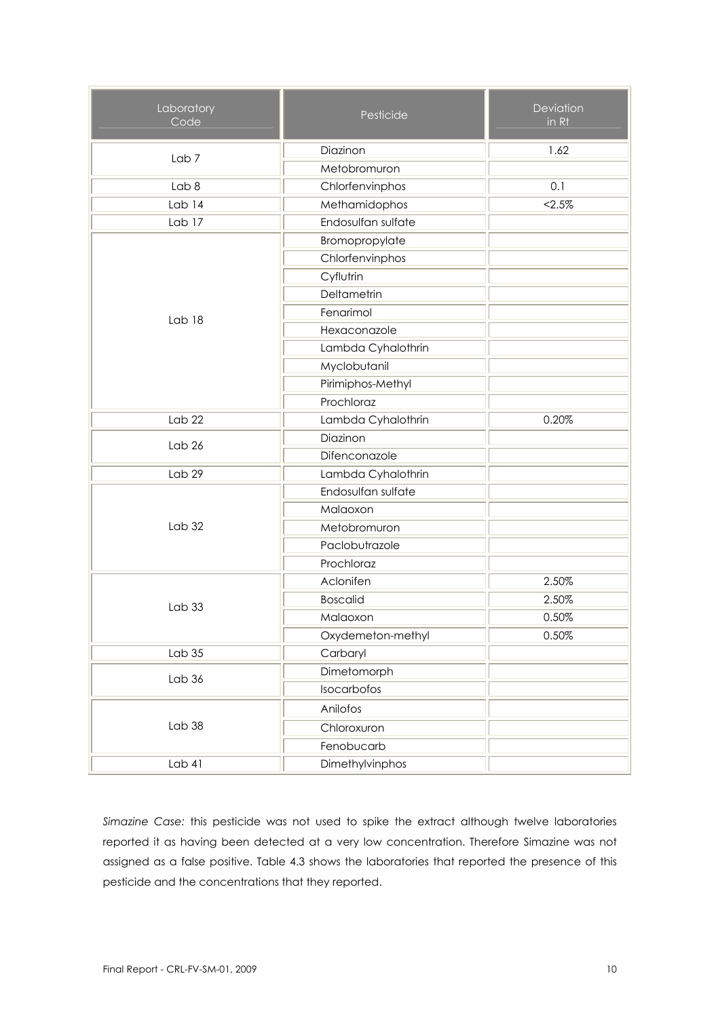| Laboratory<br>Code | Pesticide          | Deviation<br>in Rt |
|--------------------|--------------------|--------------------|
| Lab <sub>7</sub>   | Diazinon           | 1.62               |
|                    | Metobromuron       |                    |
| Lab <sub>8</sub>   | Chlorfenvinphos    | 0.1                |
| Lab <sub>14</sub>  | Methamidophos      | < 2.5%             |
| Lab 17             | Endosulfan sulfate |                    |
|                    | Bromopropylate     |                    |
|                    | Chlorfenvinphos    |                    |
|                    | Cyflutrin          |                    |
|                    | Deltametrin        |                    |
| Lab 18             | Fenarimol          |                    |
|                    | Hexaconazole       |                    |
|                    | Lambda Cyhalothrin |                    |
|                    | Myclobutanil       |                    |
|                    | Pirimiphos-Methyl  |                    |
|                    | Prochloraz         |                    |
| Lab <sub>22</sub>  | Lambda Cyhalothrin | 0.20%              |
| Lab <sub>26</sub>  | Diazinon           |                    |
|                    | Difenconazole      |                    |
| Lab 29             | Lambda Cyhalothrin |                    |
|                    | Endosulfan sulfate |                    |
|                    | Malaoxon           |                    |
| Lab <sub>32</sub>  | Metobromuron       |                    |
|                    | Paclobutrazole     |                    |
|                    | Prochloraz         |                    |
|                    | Aclonifen          | 2.50%              |
| Lab33              | <b>Boscalid</b>    | 2.50%              |
|                    | Malaoxon           | 0.50%              |
|                    | Oxydemeton-methyl  | 0.50%              |
| Lab <sub>35</sub>  | Carbaryl           |                    |
| Lab 36             | Dimetomorph        |                    |
|                    | Isocarbofos        |                    |
|                    | Anilofos           |                    |
| Lab 38             | Chloroxuron        |                    |
|                    | Fenobucarb         |                    |
| Lab 41             | Dimethylvinphos    |                    |

*Simazine Case:* this pesticide was not used to spike the extract although twelve laboratories reported it as having been detected at a very low concentration. Therefore Simazine was not assigned as a false positive. Table 4.3 shows the laboratories that reported the presence of this pesticide and the concentrations that they reported.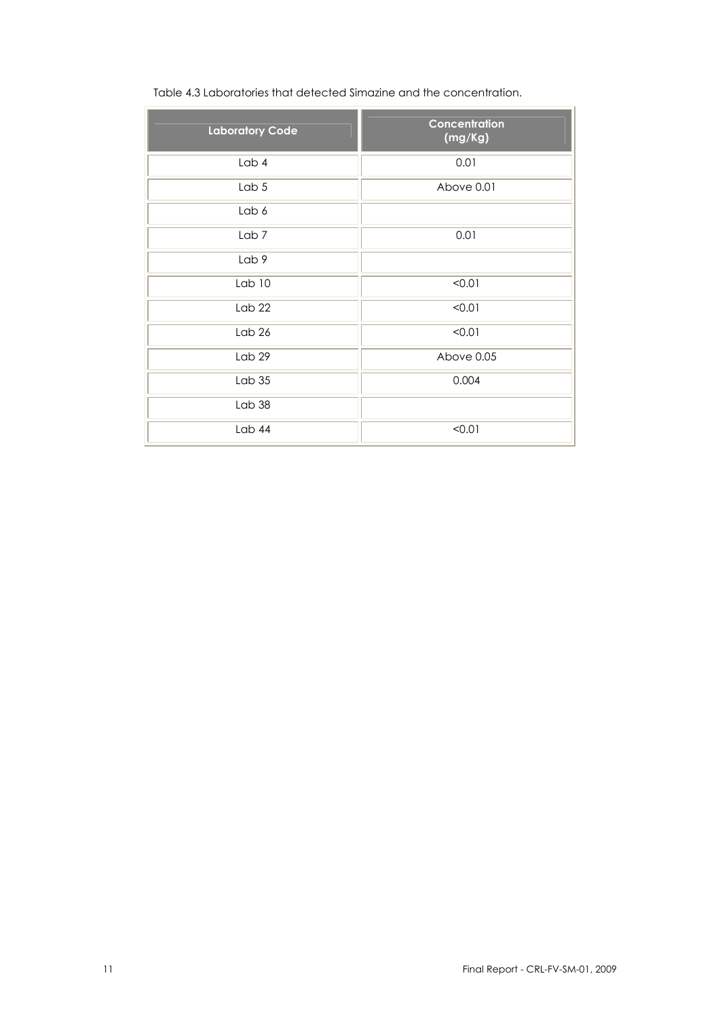| Table 4.3 Laboratories that detected Simazine and the concentration. |  |
|----------------------------------------------------------------------|--|

| <b>Laboratory Code</b> | <b>Concentration</b><br>(mg/Kg) |
|------------------------|---------------------------------|
| Lab 4                  | 0.01                            |
| Lab 5                  | Above 0.01                      |
| Lab 6                  |                                 |
| Lab <sub>7</sub>       | 0.01                            |
| Lab 9                  |                                 |
| Lab 10                 | < 0.01                          |
| Lab <sub>22</sub>      | < 0.01                          |
| Lab <sub>26</sub>      | < 0.01                          |
| Lab <sub>29</sub>      | Above 0.05                      |
| Lab35                  | 0.004                           |
| Lab 38                 |                                 |
| Lab 44                 | < 0.01                          |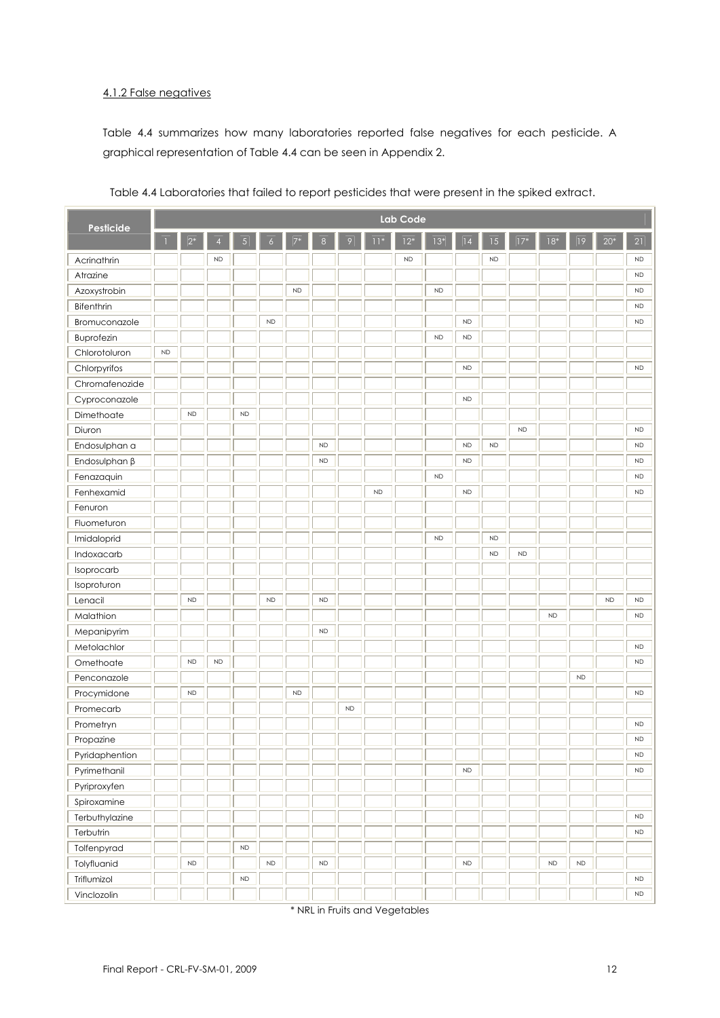#### 4.1.2 False negatives

Table 4.4 summarizes how many laboratories reported false negatives for each pesticide. A graphical representation of Table 4.4 can be seen in Appendix 2.

| <b>Pesticide</b>    | <b>Lab Code</b> |                  |                |           |               |           |               |           |           |            |           |               |                 |           |           |            |           |                 |
|---------------------|-----------------|------------------|----------------|-----------|---------------|-----------|---------------|-----------|-----------|------------|-----------|---------------|-----------------|-----------|-----------|------------|-----------|-----------------|
|                     |                 | $\overline{2^*}$ | $\overline{4}$ | 5         |               |           |               | 9         | $11*$     | $12*$      | $13*$     | 4             | $\overline{15}$ | $17*$     | $ 18*$    | 9          | $20*$     | $\overline{21}$ |
| Acrinathrin         |                 |                  | ${\sf ND}$     |           |               |           |               |           |           | ${\sf ND}$ |           |               | <b>ND</b>       |           |           |            |           | <b>ND</b>       |
| Atrazine            |                 |                  |                |           |               |           |               |           |           |            |           |               |                 |           |           |            |           | <b>ND</b>       |
| Azoxystrobin        |                 |                  |                |           |               | ND        |               |           |           |            | <b>ND</b> |               |                 |           |           |            |           | <b>ND</b>       |
| Bifenthrin          |                 |                  |                |           |               |           |               |           |           |            |           |               |                 |           |           |            |           | <b>ND</b>       |
| Bromuconazole       |                 |                  |                |           | <b>ND</b>     |           |               |           |           |            |           | <b>ND</b>     |                 |           |           |            |           | <b>ND</b>       |
| Buprofezin          |                 |                  |                |           |               |           |               |           |           |            | <b>ND</b> | ${\sf ND}$    |                 |           |           |            |           |                 |
| Chlorotoluron       | ND              |                  |                |           |               |           |               |           |           |            |           |               |                 |           |           |            |           |                 |
| Chlorpyrifos        |                 |                  |                |           |               |           |               |           |           |            |           | ${\sf ND}$    |                 |           |           |            |           | <b>ND</b>       |
| Chromafenozide      |                 |                  |                |           |               |           |               |           |           |            |           |               |                 |           |           |            |           |                 |
| Cyproconazole       |                 |                  |                |           |               |           |               |           |           |            |           | ${\sf ND}$    |                 |           |           |            |           |                 |
| Dimethoate          |                 | <b>ND</b>        |                | <b>ND</b> |               |           |               |           |           |            |           |               |                 |           |           |            |           |                 |
| Diuron              |                 |                  |                |           |               |           |               |           |           |            |           |               |                 | <b>ND</b> |           |            |           | <b>ND</b>       |
| Endosulphan a       |                 |                  |                |           |               |           | <b>ND</b>     |           |           |            |           | ${\sf ND}$    | <b>ND</b>       |           |           |            |           | ${\sf ND}$      |
| Endosulphan $\beta$ |                 |                  |                |           |               |           | $\mathsf{ND}$ |           |           |            |           | ${\sf ND}$    |                 |           |           |            |           | <b>ND</b>       |
| Fenazaquin          |                 |                  |                |           |               |           |               |           |           |            | <b>ND</b> |               |                 |           |           |            |           | <b>ND</b>       |
| Fenhexamid          |                 |                  |                |           |               |           |               |           | <b>ND</b> |            |           | <b>ND</b>     |                 |           |           |            |           | <b>ND</b>       |
| Fenuron             |                 |                  |                |           |               |           |               |           |           |            |           |               |                 |           |           |            |           |                 |
| Fluometuron         |                 |                  |                |           |               |           |               |           |           |            |           |               |                 |           |           |            |           |                 |
| Imidaloprid         |                 |                  |                |           |               |           |               |           |           |            | <b>ND</b> |               | <b>ND</b>       |           |           |            |           |                 |
| Indoxacarb          |                 |                  |                |           |               |           |               |           |           |            |           |               | <b>ND</b>       | <b>ND</b> |           |            |           |                 |
| Isoprocarb          |                 |                  |                |           |               |           |               |           |           |            |           |               |                 |           |           |            |           |                 |
| Isoproturon         |                 |                  |                |           |               |           |               |           |           |            |           |               |                 |           |           |            |           |                 |
| Lenacil             |                 | <b>ND</b>        |                |           | <b>ND</b>     |           | $\mathsf{ND}$ |           |           |            |           |               |                 |           |           |            | <b>ND</b> | <b>ND</b>       |
| Malathion           |                 |                  |                |           |               |           |               |           |           |            |           |               |                 |           | <b>ND</b> |            |           | <b>ND</b>       |
| Mepanipyrim         |                 |                  |                |           |               |           | $\mathsf{ND}$ |           |           |            |           |               |                 |           |           |            |           |                 |
| Metolachlor         |                 |                  |                |           |               |           |               |           |           |            |           |               |                 |           |           |            |           | ${\sf ND}$      |
| Omethoate           |                 | <b>ND</b>        | <b>ND</b>      |           |               |           |               |           |           |            |           |               |                 |           |           |            |           | <b>ND</b>       |
| Penconazole         |                 |                  |                |           |               |           |               |           |           |            |           |               |                 |           |           | <b>ND</b>  |           |                 |
| Procymidone         |                 | <b>ND</b>        |                |           |               | <b>ND</b> |               |           |           |            |           |               |                 |           |           |            |           | <b>ND</b>       |
| Promecarb           |                 |                  |                |           |               |           |               | <b>ND</b> |           |            |           |               |                 |           |           |            |           |                 |
| Prometryn           |                 |                  |                |           |               |           |               |           |           |            |           |               |                 |           |           |            |           | <b>ND</b>       |
| Propazine           |                 |                  |                |           |               |           |               |           |           |            |           |               |                 |           |           |            |           | ${\sf ND}$      |
| Pyridaphention      |                 |                  |                |           |               |           |               |           |           |            |           |               |                 |           |           |            |           | <b>ND</b>       |
| Pyrimethanil        |                 |                  |                |           |               |           |               |           |           |            |           | $\mathsf{ND}$ |                 |           |           |            |           | ${\sf ND}$      |
| Pyriproxyfen        |                 |                  |                |           |               |           |               |           |           |            |           |               |                 |           |           |            |           |                 |
| Spiroxamine         |                 |                  |                |           |               |           |               |           |           |            |           |               |                 |           |           |            |           |                 |
| Terbuthylazine      |                 |                  |                |           |               |           |               |           |           |            |           |               |                 |           |           |            |           | ${\sf ND}$      |
| Terbutrin           |                 |                  |                |           |               |           |               |           |           |            |           |               |                 |           |           |            |           | ${\sf ND}$      |
| Tolfenpyrad         |                 |                  |                | $\sf ND$  |               |           |               |           |           |            |           |               |                 |           |           |            |           |                 |
| Tolyfluanid         |                 | ${\sf ND}$       |                |           | $\mathsf{ND}$ |           | $\mathsf{ND}$ |           |           |            |           | $\mathsf{ND}$ |                 |           | ND        | ${\sf ND}$ |           |                 |
| Triflumizol         |                 |                  |                | $\sf ND$  |               |           |               |           |           |            |           |               |                 |           |           |            |           | ${\sf ND}$      |
| Vinclozolin         |                 |                  |                |           |               |           |               |           |           |            |           |               |                 |           |           |            |           | ${\sf ND}$      |

Table 4.4 Laboratories that failed to report pesticides that were present in the spiked extract.

\* NRL in Fruits and Vegetables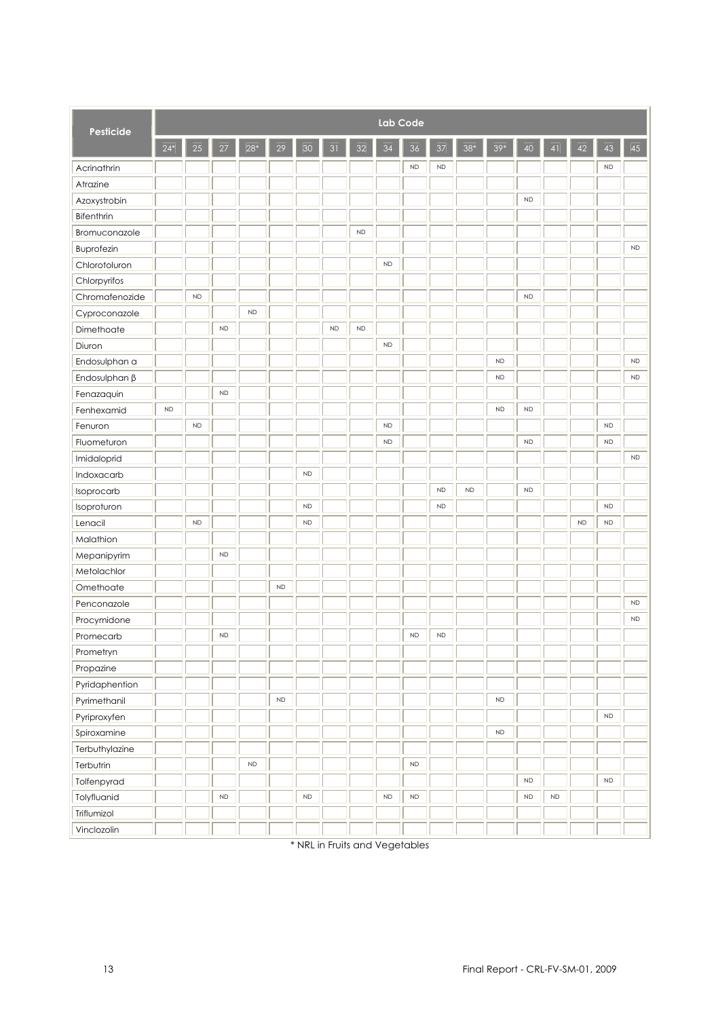| Pesticide           | Lab Code  |            |            |           |           |               |           |          |               |               |           |          |                 |            |               |            |               |           |
|---------------------|-----------|------------|------------|-----------|-----------|---------------|-----------|----------|---------------|---------------|-----------|----------|-----------------|------------|---------------|------------|---------------|-----------|
|                     | $24*$     | 25         | 27         | $28*$     | 29        | 30            | 31        | 32       | 34            | 36            | 37        | 38*      | 39 <sup>°</sup> | 40         | 41            | 42         | 43            | 45        |
| Acrinathrin         |           |            |            |           |           |               |           |          |               | $\mathsf{ND}$ | <b>ND</b> |          |                 |            |               |            | ${\sf ND}$    |           |
| Atrazine            |           |            |            |           |           |               |           |          |               |               |           |          |                 |            |               |            |               |           |
| Azoxystrobin        |           |            |            |           |           |               |           |          |               |               |           |          |                 | <b>ND</b>  |               |            |               |           |
| Bifenthrin          |           |            |            |           |           |               |           |          |               |               |           |          |                 |            |               |            |               |           |
| Bromuconazole       |           |            |            |           |           |               |           | $\sf ND$ |               |               |           |          |                 |            |               |            |               |           |
| Buprofezin          |           |            |            |           |           |               |           |          |               |               |           |          |                 |            |               |            |               | <b>ND</b> |
| Chlorotoluron       |           |            |            |           |           |               |           |          | ${\sf ND}$    |               |           |          |                 |            |               |            |               |           |
| Chlorpyrifos        |           |            |            |           |           |               |           |          |               |               |           |          |                 |            |               |            |               |           |
| Chromafenozide      |           | ND         |            |           |           |               |           |          |               |               |           |          |                 | <b>ND</b>  |               |            |               |           |
| Cyproconazole       |           |            |            | <b>ND</b> |           |               |           |          |               |               |           |          |                 |            |               |            |               |           |
| Dimethoate          |           |            | <b>ND</b>  |           |           |               | <b>ND</b> | $\sf ND$ |               |               |           |          |                 |            |               |            |               |           |
| Diuron              |           |            |            |           |           |               |           |          | $\mathsf{ND}$ |               |           |          |                 |            |               |            |               |           |
| Endosulphan a       |           |            |            |           |           |               |           |          |               |               |           |          | <b>ND</b>       |            |               |            |               | <b>ND</b> |
| Endosulphan $\beta$ |           |            |            |           |           |               |           |          |               |               |           |          | <b>ND</b>       |            |               |            |               | <b>ND</b> |
| Fenazaquin          |           |            | ND         |           |           |               |           |          |               |               |           |          |                 |            |               |            |               |           |
| Fenhexamid          | <b>ND</b> |            |            |           |           |               |           |          |               |               |           |          | <b>ND</b>       | <b>ND</b>  |               |            |               |           |
| Fenuron             |           | ND         |            |           |           |               |           |          | ${\sf ND}$    |               |           |          |                 |            |               |            | <b>ND</b>     |           |
| Fluometuron         |           |            |            |           |           |               |           |          | <b>ND</b>     |               |           |          |                 | <b>ND</b>  |               |            | <b>ND</b>     |           |
| Imidaloprid         |           |            |            |           |           |               |           |          |               |               |           |          |                 |            |               |            |               | <b>ND</b> |
| Indoxacarb          |           |            |            |           |           | $\mathsf{ND}$ |           |          |               |               |           |          |                 |            |               |            |               |           |
| Isoprocarb          |           |            |            |           |           |               |           |          |               |               | <b>ND</b> | $\sf ND$ |                 | <b>ND</b>  |               |            |               |           |
| Isoproturon         |           |            |            |           |           | $\sf ND$      |           |          |               |               | <b>ND</b> |          |                 |            |               |            | <b>ND</b>     |           |
| Lenacil             |           | ${\sf ND}$ |            |           |           | $\sf ND$      |           |          |               |               |           |          |                 |            |               | ${\sf ND}$ | <b>ND</b>     |           |
| Malathion           |           |            |            |           |           |               |           |          |               |               |           |          |                 |            |               |            |               |           |
| Mepanipyrim         |           |            | ${\sf ND}$ |           |           |               |           |          |               |               |           |          |                 |            |               |            |               |           |
| Metolachlor         |           |            |            |           |           |               |           |          |               |               |           |          |                 |            |               |            |               |           |
| Omethoate           |           |            |            |           | <b>ND</b> |               |           |          |               |               |           |          |                 |            |               |            |               |           |
| Penconazole         |           |            |            |           |           |               |           |          |               |               |           |          |                 |            |               |            |               | <b>ND</b> |
| Procymidone         |           |            |            |           |           |               |           |          |               |               |           |          |                 |            |               |            |               | <b>ND</b> |
| Promecarb           |           |            | ND         |           |           |               |           |          |               | ${\sf ND}$    | <b>ND</b> |          |                 |            |               |            |               |           |
| Prometryn           |           |            |            |           |           |               |           |          |               |               |           |          |                 |            |               |            |               |           |
| Propazine           |           |            |            |           |           |               |           |          |               |               |           |          |                 |            |               |            |               |           |
| Pyridaphention      |           |            |            |           |           |               |           |          |               |               |           |          |                 |            |               |            |               |           |
| Pyrimethanil        |           |            |            |           | $\sf ND$  |               |           |          |               |               |           |          | $\mathsf{ND}$   |            |               |            |               |           |
| Pyriproxyfen        |           |            |            |           |           |               |           |          |               |               |           |          |                 |            |               |            | $\mathsf{ND}$ |           |
| Spiroxamine         |           |            |            |           |           |               |           |          |               |               |           |          | ${\sf ND}$      |            |               |            |               |           |
| Terbuthylazine      |           |            |            |           |           |               |           |          |               |               |           |          |                 |            |               |            |               |           |
| Terbutrin           |           |            |            | <b>ND</b> |           |               |           |          |               | $\mathsf{ND}$ |           |          |                 |            |               |            |               |           |
| Tolfenpyrad         |           |            |            |           |           |               |           |          |               |               |           |          |                 | ${\sf ND}$ |               |            | $\mathsf{ND}$ |           |
| Tolyfluanid         |           |            | ${\sf ND}$ |           |           | $\mathsf{ND}$ |           |          | $\sf ND$      | $\sf ND$      |           |          |                 | <b>ND</b>  | $\mathsf{ND}$ |            |               |           |
| Triflumizol         |           |            |            |           |           |               |           |          |               |               |           |          |                 |            |               |            |               |           |
| Vinclozolin         |           |            |            |           |           |               |           |          |               |               |           |          |                 |            |               |            |               |           |

\* NRL in Fruits and Vegetables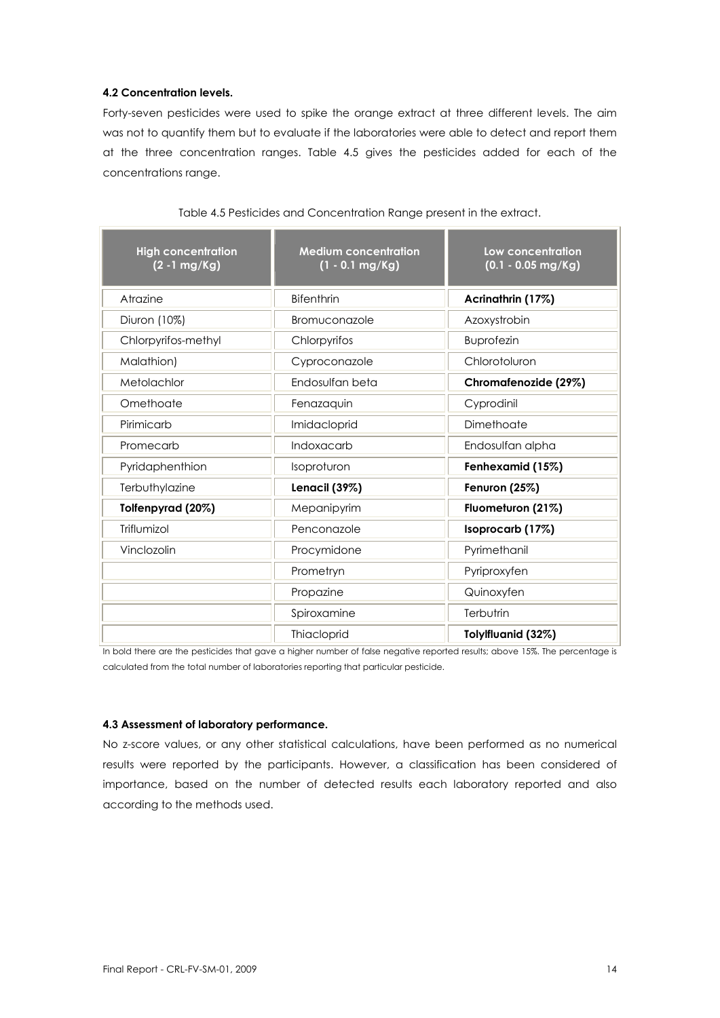#### **4.2 Concentration levels.**

Forty-seven pesticides were used to spike the orange extract at three different levels. The aim was not to quantify them but to evaluate if the laboratories were able to detect and report them at the three concentration ranges. Table 4.5 gives the pesticides added for each of the concentrations range.

| <b>High concentration</b><br>$(2 - 1 mg/Kg)$ | <b>Medium concentration</b><br>$(1 - 0.1$ mg/Kg) | Low concentration<br>$(0.1 - 0.05$ mg/Kg) |  |  |  |  |
|----------------------------------------------|--------------------------------------------------|-------------------------------------------|--|--|--|--|
| Atrazine                                     | <b>Bifenthrin</b>                                | Acrinathrin (17%)                         |  |  |  |  |
| Diuron (10%)                                 | Bromuconazole                                    | Azoxystrobin                              |  |  |  |  |
| Chlorpyrifos-methyl                          | Chlorpyrifos                                     | <b>Buprofezin</b>                         |  |  |  |  |
| Malathion)                                   | Cyproconazole                                    | Chlorotoluron                             |  |  |  |  |
| Metolachlor                                  | Endosulfan beta                                  | Chromafenozide (29%)                      |  |  |  |  |
| Omethoate                                    | Fenazaquin                                       | Cyprodinil                                |  |  |  |  |
| Pirimicarb                                   | Imidacloprid                                     | Dimethoate                                |  |  |  |  |
| Promecarb                                    | Indoxacarb                                       | Endosulfan alpha                          |  |  |  |  |
| Pyridaphenthion                              | Isoproturon                                      | Fenhexamid (15%)                          |  |  |  |  |
| Terbuthylazine                               | Lenacil (39%)                                    | Fenuron (25%)                             |  |  |  |  |
| Tolfenpyrad (20%)                            | Mepanipyrim                                      | Fluometuron (21%)                         |  |  |  |  |
| Triflumizol                                  | Penconazole                                      | Isoprocarb (17%)                          |  |  |  |  |
| Vinclozolin                                  | Procymidone                                      | Pyrimethanil                              |  |  |  |  |
|                                              | Prometryn                                        | Pyriproxyfen                              |  |  |  |  |
|                                              | Propazine                                        | Quinoxyfen                                |  |  |  |  |
|                                              | Spiroxamine                                      | Terbutrin                                 |  |  |  |  |
|                                              | <b>Thiacloprid</b>                               | Tolylfluanid (32%)                        |  |  |  |  |

#### Table 4.5 Pesticides and Concentration Range present in the extract.

In bold there are the pesticides that gave a higher number of false negative reported results; above 15%. The percentage is calculated from the total number of laboratories reporting that particular pesticide.

#### **4.3 Assessment of laboratory performance.**

No z-score values, or any other statistical calculations, have been performed as no numerical results were reported by the participants. However, a classification has been considered of importance, based on the number of detected results each laboratory reported and also according to the methods used.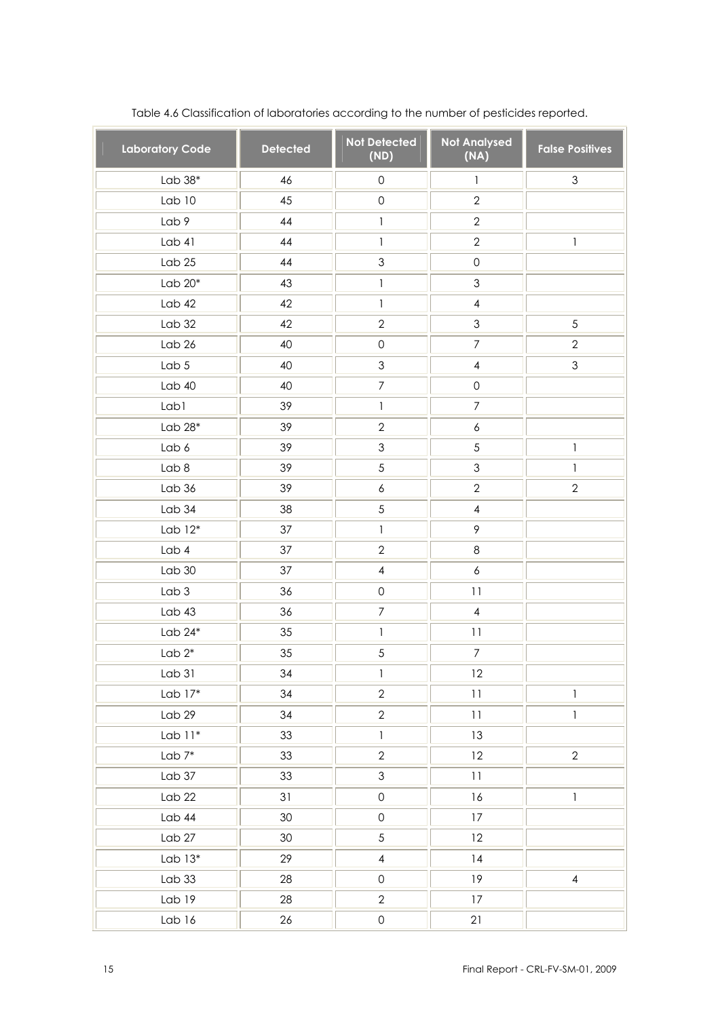| <b>Laboratory Code</b> | <b>Detected</b> | <b>Not Detected</b><br>(ND) | <b>Not Analysed</b><br>(NA)  | <b>False Positives</b> |
|------------------------|-----------------|-----------------------------|------------------------------|------------------------|
| Lab $38*$              | 46              | $\mathsf{O}\xspace$         | $\mathbf{1}$                 | $\mathfrak{S}$         |
| Lab <sub>10</sub>      | 45              | $\mathsf{O}\xspace$         | $\overline{2}$               |                        |
| Lab 9                  | 44              | $\mathbf{1}$                | $\overline{2}$               |                        |
| Lab 41                 | 44              | $\mathbf{1}$                | $\overline{2}$               | $\mathbf{1}$           |
| Lab <sub>25</sub>      | 44              | $\ensuremath{\mathsf{3}}$   | $\mathsf{O}\xspace$          |                        |
| Lab $20*$              | 43              | $\mathbf{1}$                | 3                            |                        |
| Lab42                  | 42              | $\mathbf{1}$                | $\overline{4}$               |                        |
| Lab <sub>32</sub>      | 42              | $\overline{2}$              | 3                            | 5                      |
| Lab 26                 | 40              | $\mathsf{O}\xspace$         | $\overline{7}$               | $\overline{2}$         |
| Lab <sub>5</sub>       | 40              | $\mathfrak 3$               | 4                            | $\mathfrak 3$          |
| Lab40                  | 40              | $\boldsymbol{7}$            | $\mathsf{O}\xspace$          |                        |
| Lab1                   | 39              | $\mathbf{1}$                | $\overline{7}$               |                        |
| Lab $28*$              | 39              | $\overline{2}$              | 6                            |                        |
| Lab 6                  | 39              | $\mathfrak 3$               | 5                            | $\mathbf{1}$           |
| Lab 8                  | 39              | $\sqrt{5}$                  | 3                            | $\mathbf{1}$           |
| Lab 36                 | 39              | 6                           | $\overline{2}$               | $\mathbf{2}$           |
| Lab 34                 | 38              | $\sqrt{5}$                  | $\overline{4}$               |                        |
| Lab $12*$              | 37              | $\mathbf{1}$                | 9                            |                        |
| Lab <sub>4</sub>       | 37              | $\overline{2}$              | $\,8\,$                      |                        |
| Lab 30                 | 37              | $\overline{4}$              | $\boldsymbol{6}$             |                        |
| Lab <sub>3</sub>       | 36              | $\mathsf{O}\xspace$         | 11                           |                        |
| Lab43                  | 36              | $\boldsymbol{7}$            | $\overline{4}$               |                        |
| Lab $24^*$             | 35              | $\mathbf{1}$                | 11                           |                        |
| Lab $2^*$              | 35              | $\sqrt{5}$                  | $\boldsymbol{7}$             |                        |
| Lab 31                 | 34              | 1                           | 12                           |                        |
| Lab $17*$              | 34              | $\overline{2}$              | $\overline{1}\,\overline{1}$ | $\mathbb{I}$           |
| Lab 29                 | 34              | $\overline{2}$              | 11                           | $\mathbf{1}$           |
| $Lab 11*$              | 33              | $\mathbf{1}$                | 13                           |                        |
| Lab $7^*$              | 33              | $\overline{2}$              | 12                           | $\overline{2}$         |
| Lab <sub>37</sub>      | 33              | $\mathfrak{S}$              | 11                           |                        |
| Lab <sub>22</sub>      | 31              | $\mathsf{O}\xspace$         | 16                           | $\mathbf{1}$           |
| Lab 44                 | 30              | $\mathsf{O}\xspace$         | 17                           |                        |
| Lab 27                 | 30 <sup>°</sup> | $5\,$                       | 12                           |                        |
| Lab $13*$              | 29              | $\overline{4}$              | 4                            |                        |
| Lab33                  | 28              | $\mathsf{O}\xspace$         | 19                           | $\overline{4}$         |
| Lab 19                 | 28              | $\mathbf{2}$                | 17                           |                        |
| Lab 16                 | 26              | $\mathsf{O}\xspace$         | 21                           |                        |

Table 4.6 Classification of laboratories according to the number of pesticides reported.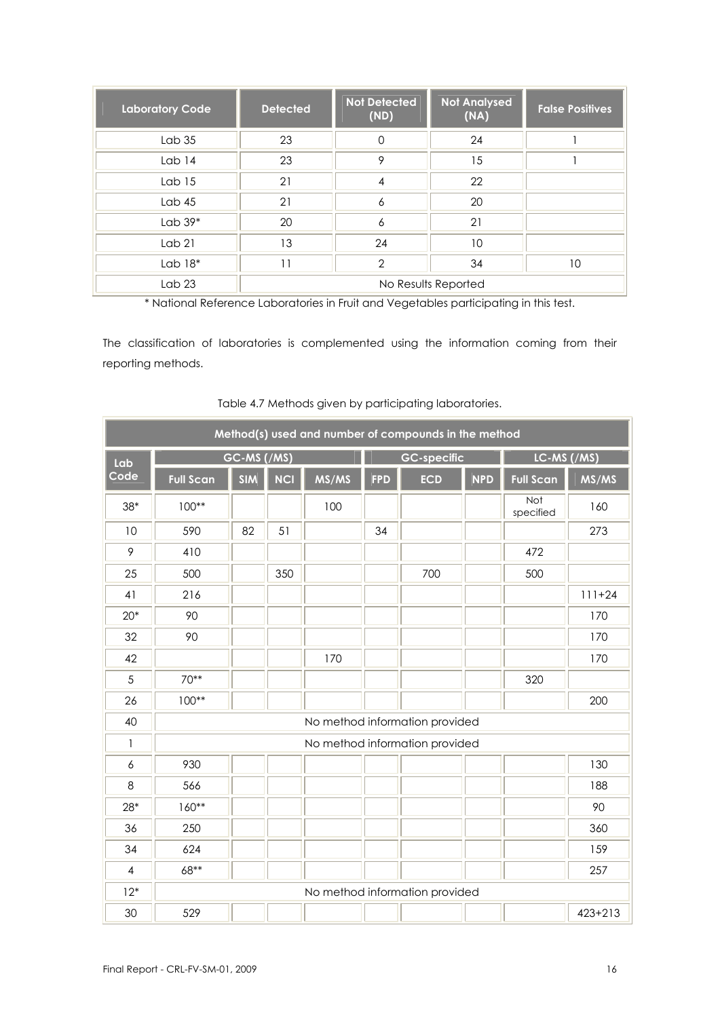| <b>Laboratory Code</b> | <b>Detected</b> | <b>Not Detected</b><br>(ND) | <b>Not Analysed</b><br>(NA) | <b>False Positives</b> |
|------------------------|-----------------|-----------------------------|-----------------------------|------------------------|
| Lab <sub>35</sub>      | 23              | $\Omega$                    | 24                          |                        |
| Lab 14                 | 23              | 9                           | 15                          |                        |
| Lab <sub>15</sub>      | 21              | 4                           | 22                          |                        |
| Lab $45$               | 21              | 6                           | 20                          |                        |
| Lab $39*$              | 20              | 6                           | 21                          |                        |
| Lab <sub>21</sub>      | 13              | 24                          | 10                          |                        |
| Lab $18*$              | 11              | $\mathcal{P}$               | 34                          | 10                     |
| Lab <sub>23</sub>      |                 |                             | No Results Reported         |                        |

\* National Reference Laboratories in Fruit and Vegetables participating in this test.

The classification of laboratories is complemented using the information coming from their reporting methods.

|       |                  |             |            |       |            | Method(s) used and number of compounds in the method |            |                  |             |
|-------|------------------|-------------|------------|-------|------------|------------------------------------------------------|------------|------------------|-------------|
| Lab   |                  | GC-MS (/MS) |            |       |            | <b>GC-specific</b>                                   |            | LC-MS (/MS)      |             |
| Code  | <b>Full Scan</b> | <b>SIM</b>  | <b>NCI</b> | MS/MS | <b>FPD</b> | <b>ECD</b>                                           | <b>NPD</b> | <b>Full Scan</b> | MS/MS       |
| $38*$ | $100**$          |             |            | 100   |            |                                                      |            | Not<br>specified | 160         |
| 10    | 590              | 82          | 51         |       | 34         |                                                      |            |                  | 273         |
| 9     | 410              |             |            |       |            |                                                      |            | 472              |             |
| 25    | 500              |             | 350        |       |            | 700                                                  |            | 500              |             |
| 41    | 216              |             |            |       |            |                                                      |            |                  | $111+24$    |
| $20*$ | 90               |             |            |       |            |                                                      |            |                  | 170         |
| 32    | 90               |             |            |       |            |                                                      |            |                  | 170         |
| 42    |                  |             |            | 170   |            |                                                      |            |                  | 170         |
| 5     | $70**$           |             |            |       |            |                                                      |            | 320              |             |
| 26    | $100**$          |             |            |       |            |                                                      |            |                  | 200         |
| 40    |                  |             |            |       |            | No method information provided                       |            |                  |             |
| 1     |                  |             |            |       |            | No method information provided                       |            |                  |             |
| 6     | 930              |             |            |       |            |                                                      |            |                  | 130         |
| 8     | 566              |             |            |       |            |                                                      |            |                  | 188         |
| $28*$ | $160**$          |             |            |       |            |                                                      |            |                  | 90          |
| 36    | 250              |             |            |       |            |                                                      |            |                  | 360         |
| 34    | 624              |             |            |       |            |                                                      |            |                  | 159         |
| 4     | 68**             |             |            |       |            |                                                      |            |                  | 257         |
| $12*$ |                  |             |            |       |            | No method information provided                       |            |                  |             |
| 30    | 529              |             |            |       |            |                                                      |            |                  | $423 + 213$ |

Table 4.7 Methods given by participating laboratories.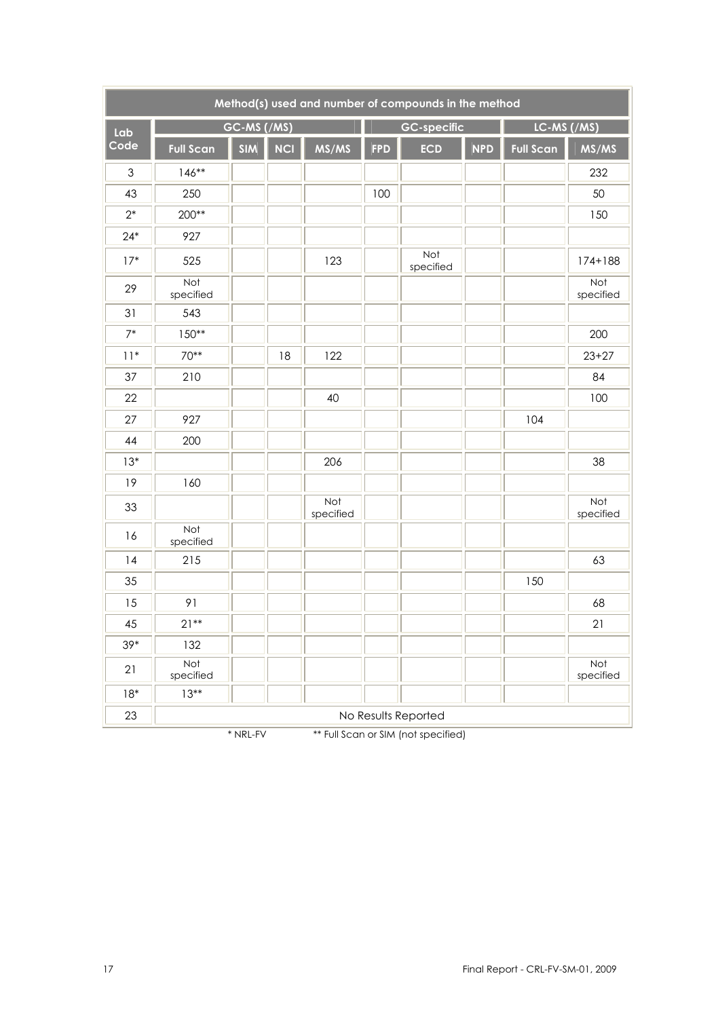|               |                  |             |            |                  |            | Method(s) used and number of compounds in the method |            |                  |                  |  |  |  |  |  |  |
|---------------|------------------|-------------|------------|------------------|------------|------------------------------------------------------|------------|------------------|------------------|--|--|--|--|--|--|
| Lab           |                  | GC-MS (/MS) |            |                  |            | <b>GC-specific</b>                                   |            | LC-MS (/MS)      |                  |  |  |  |  |  |  |
| Code          | <b>Full Scan</b> | <b>SIM</b>  | <b>NCI</b> | MS/MS            | <b>FPD</b> | <b>ECD</b>                                           | <b>NPD</b> | <b>Full Scan</b> | MS/MS            |  |  |  |  |  |  |
| $\mathfrak 3$ | $146**$          |             |            |                  |            |                                                      |            |                  | 232              |  |  |  |  |  |  |
| 43            | 250              |             |            |                  | 100        |                                                      |            |                  | 50               |  |  |  |  |  |  |
| $2^*$         | 200**            |             |            |                  |            |                                                      |            |                  | 150              |  |  |  |  |  |  |
| $24*$         | 927              |             |            |                  |            |                                                      |            |                  |                  |  |  |  |  |  |  |
| $17*$         | 525              |             |            | 123              |            | Not<br>specified                                     |            |                  | $174 + 188$      |  |  |  |  |  |  |
| 29            | Not<br>specified |             |            |                  |            |                                                      |            |                  | Not<br>specified |  |  |  |  |  |  |
| 31            | 543              |             |            |                  |            |                                                      |            |                  |                  |  |  |  |  |  |  |
| $7*$          | $150**$          | 200         |            |                  |            |                                                      |            |                  |                  |  |  |  |  |  |  |
| $11*$         | 70**             |             | 18         | 122              |            |                                                      |            |                  | $23 + 27$        |  |  |  |  |  |  |
| 37            | 210              |             |            |                  |            |                                                      |            |                  | 84               |  |  |  |  |  |  |
| 22            |                  |             |            | 40               |            |                                                      |            |                  | 100              |  |  |  |  |  |  |
| 27            | 927              |             |            |                  |            |                                                      |            | 104              |                  |  |  |  |  |  |  |
| 44            | 200              |             |            |                  |            |                                                      |            |                  |                  |  |  |  |  |  |  |
| $13*$         |                  |             |            | 206              |            |                                                      |            |                  | 38               |  |  |  |  |  |  |
| 19            | 160              |             |            |                  |            |                                                      |            |                  |                  |  |  |  |  |  |  |
| 33            |                  |             |            | Not<br>specified |            |                                                      |            |                  | Not<br>specified |  |  |  |  |  |  |
| 16            | Not<br>specified |             |            |                  |            |                                                      |            |                  |                  |  |  |  |  |  |  |
| 14            | 215              |             |            |                  |            |                                                      |            |                  | 63               |  |  |  |  |  |  |
| 35            |                  |             |            |                  |            |                                                      |            | 150              |                  |  |  |  |  |  |  |
| 15            | 91               |             |            |                  |            |                                                      |            |                  | 68               |  |  |  |  |  |  |
| 45            | $21**$           |             |            |                  |            |                                                      |            |                  | 21               |  |  |  |  |  |  |
| $39*$         | 132              |             |            |                  |            |                                                      |            |                  |                  |  |  |  |  |  |  |
| 21            | Not<br>specified |             |            |                  |            |                                                      |            |                  | Not<br>specified |  |  |  |  |  |  |
| $18*$         | $13**$           |             |            |                  |            |                                                      |            |                  |                  |  |  |  |  |  |  |
| 23            |                  |             |            |                  |            | No Results Reported                                  |            |                  |                  |  |  |  |  |  |  |

\* NRL-FV \*\* Full Scan or SIM (not specified)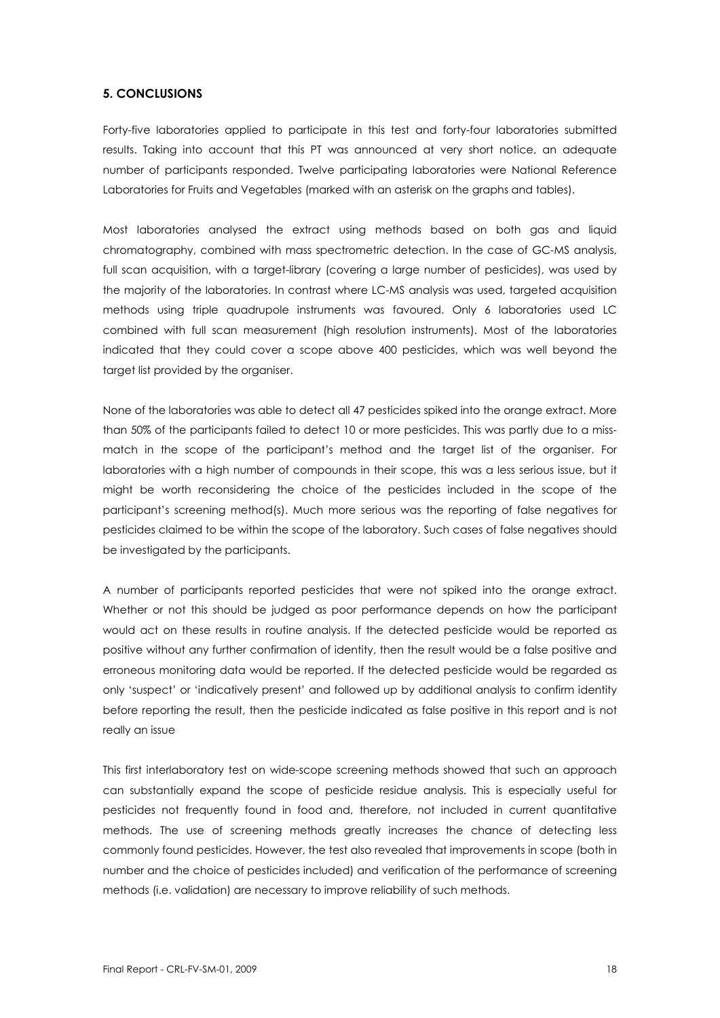#### **5. CONCLUSIONS**

Forty-five laboratories applied to participate in this test and forty-four laboratories submitted results. Taking into account that this PT was announced at very short notice, an adequate number of participants responded. Twelve participating laboratories were National Reference Laboratories for Fruits and Vegetables (marked with an asterisk on the graphs and tables).

Most laboratories analysed the extract using methods based on both gas and liquid chromatography, combined with mass spectrometric detection. In the case of GC-MS analysis, full scan acquisition, with a target-library (covering a large number of pesticides), was used by the majority of the laboratories. In contrast where LC-MS analysis was used, targeted acquisition methods using triple quadrupole instruments was favoured. Only 6 laboratories used LC combined with full scan measurement (high resolution instruments). Most of the laboratories indicated that they could cover a scope above 400 pesticides, which was well beyond the target list provided by the organiser.

None of the laboratories was able to detect all 47 pesticides spiked into the orange extract. More than 50% of the participants failed to detect 10 or more pesticides. This was partly due to a missmatch in the scope of the participant's method and the target list of the organiser. For laboratories with a high number of compounds in their scope, this was a less serious issue, but it might be worth reconsidering the choice of the pesticides included in the scope of the participant's screening method(s). Much more serious was the reporting of false negatives for pesticides claimed to be within the scope of the laboratory. Such cases of false negatives should be investigated by the participants.

A number of participants reported pesticides that were not spiked into the orange extract. Whether or not this should be judged as poor performance depends on how the participant would act on these results in routine analysis. If the detected pesticide would be reported as positive without any further confirmation of identity, then the result would be a false positive and erroneous monitoring data would be reported. If the detected pesticide would be regarded as only 'suspect' or 'indicatively present' and followed up by additional analysis to confirm identity before reporting the result, then the pesticide indicated as false positive in this report and is not really an issue

This first interlaboratory test on wide-scope screening methods showed that such an approach can substantially expand the scope of pesticide residue analysis. This is especially useful for pesticides not frequently found in food and, therefore, not included in current quantitative methods. The use of screening methods greatly increases the chance of detecting less commonly found pesticides. However, the test also revealed that improvements in scope (both in number and the choice of pesticides included) and verification of the performance of screening methods (i.e. validation) are necessary to improve reliability of such methods.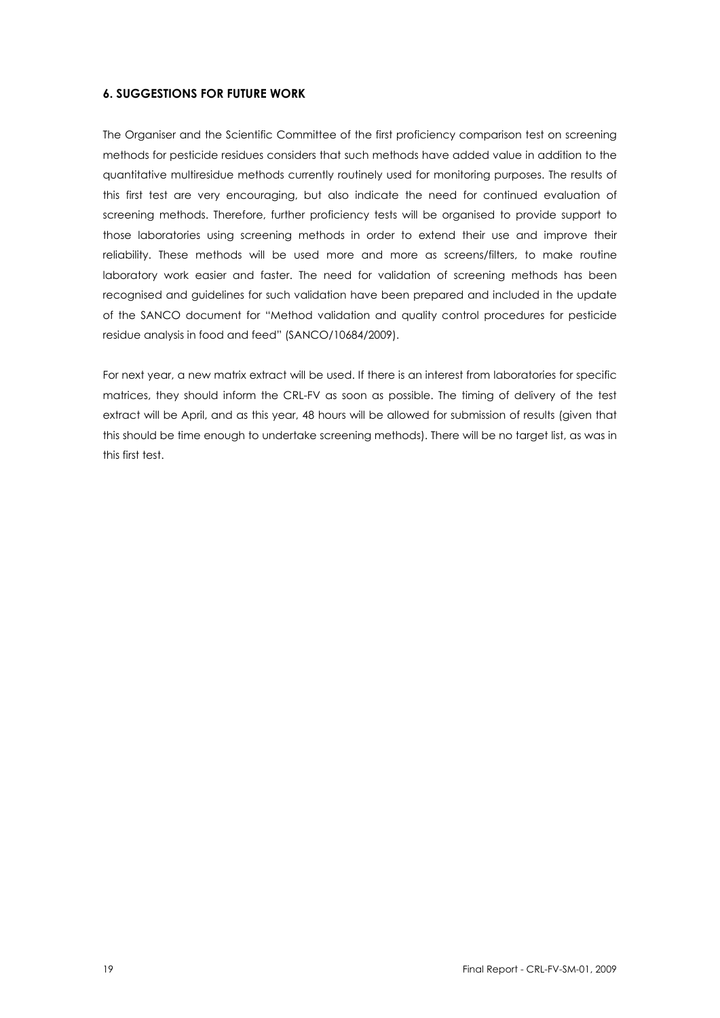#### **6. SUGGESTIONS FOR FUTURE WORK**

The Organiser and the Scientific Committee of the first proficiency comparison test on screening methods for pesticide residues considers that such methods have added value in addition to the quantitative multiresidue methods currently routinely used for monitoring purposes. The results of this first test are very encouraging, but also indicate the need for continued evaluation of screening methods. Therefore, further proficiency tests will be organised to provide support to those laboratories using screening methods in order to extend their use and improve their reliability. These methods will be used more and more as screens/filters, to make routine laboratory work easier and faster. The need for validation of screening methods has been recognised and guidelines for such validation have been prepared and included in the update of the SANCO document for "Method validation and quality control procedures for pesticide residue analysis in food and feed" (SANCO/10684/2009).

For next year, a new matrix extract will be used. If there is an interest from laboratories for specific matrices, they should inform the CRL-FV as soon as possible. The timing of delivery of the test extract will be April, and as this year, 48 hours will be allowed for submission of results (given that this should be time enough to undertake screening methods). There will be no target list, as was in this first test.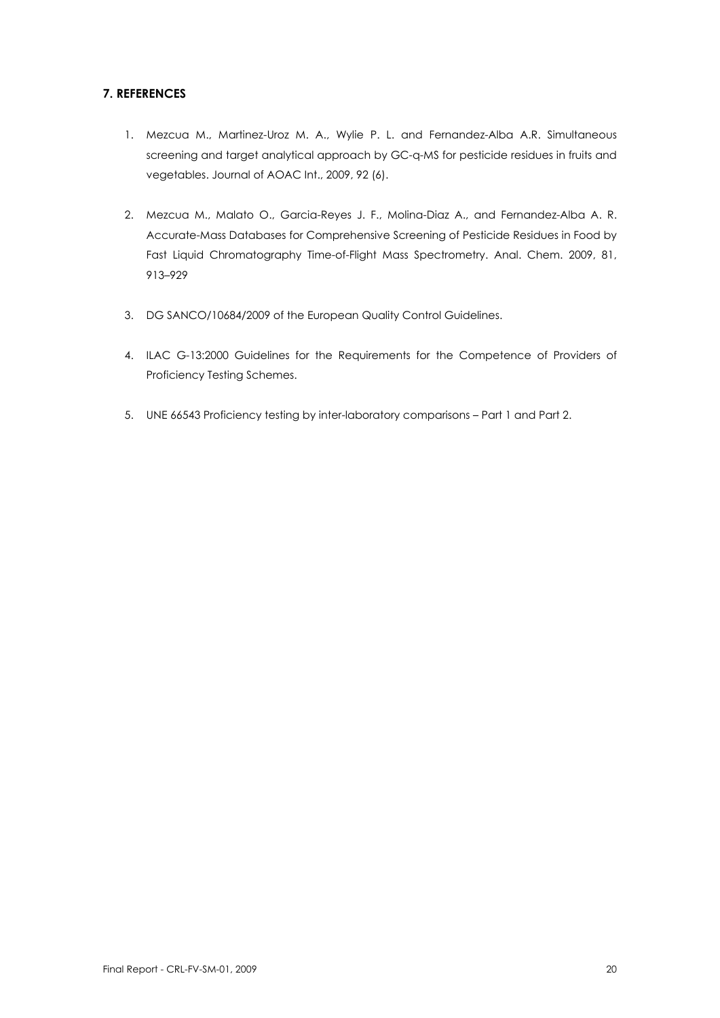#### **7. REFERENCES**

- 1. Mezcua M., Martinez-Uroz M. A., Wylie P. L. and Fernandez-Alba A.R. Simultaneous screening and target analytical approach by GC-q-MS for pesticide residues in fruits and vegetables. Journal of AOAC Int., 2009, 92 (6).
- 2. Mezcua M., Malato O., Garcia-Reyes J. F., Molina-Diaz A., and Fernandez-Alba A. R. Accurate-Mass Databases for Comprehensive Screening of Pesticide Residues in Food by Fast Liquid Chromatography Time-of-Flight Mass Spectrometry. Anal. Chem. 2009, 81, 913–929
- 3. DG SANCO/10684/2009 of the European Quality Control Guidelines.
- 4. ILAC G-13:2000 Guidelines for the Requirements for the Competence of Providers of Proficiency Testing Schemes.
- 5. UNE 66543 Proficiency testing by inter-laboratory comparisons Part 1 and Part 2.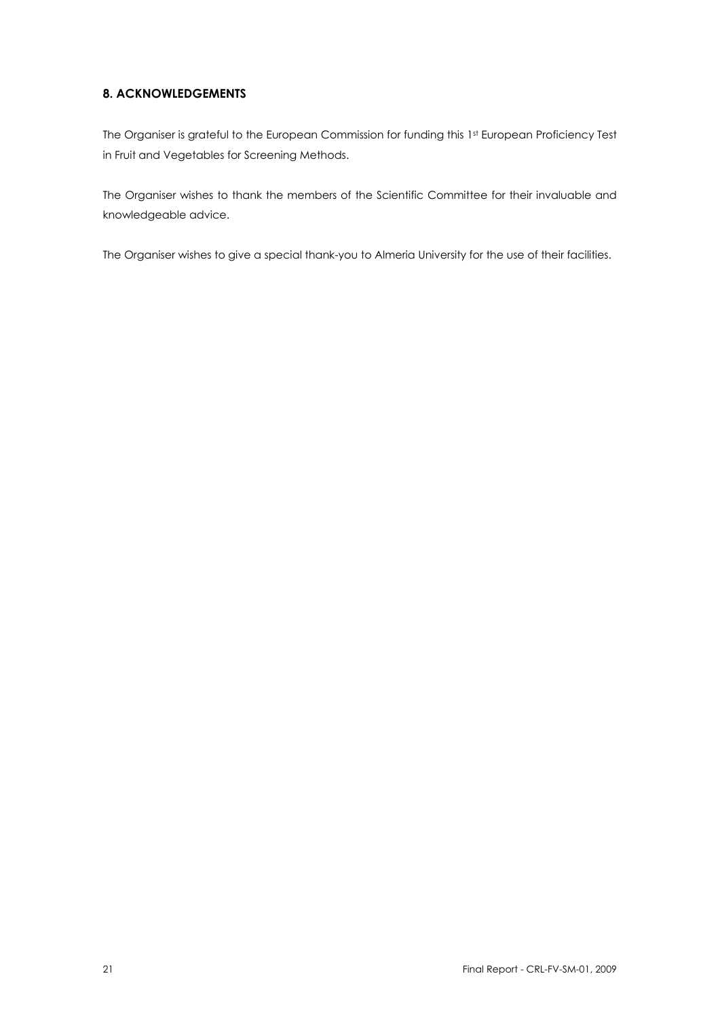#### **8. ACKNOWLEDGEMENTS**

The Organiser is grateful to the European Commission for funding this 1st European Proficiency Test in Fruit and Vegetables for Screening Methods.

The Organiser wishes to thank the members of the Scientific Committee for their invaluable and knowledgeable advice.

The Organiser wishes to give a special thank-you to Almeria University for the use of their facilities.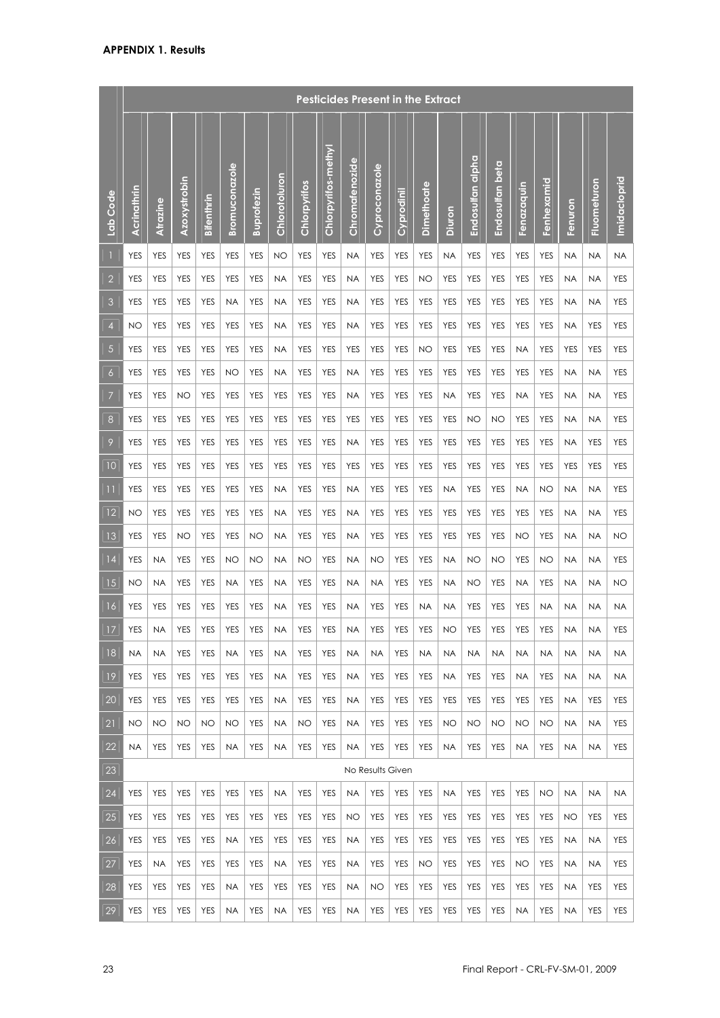|                 |             |            |              |             |               |                   |               |              |                     |                |                  | <b>Pesticides Present in the Extract</b> |            |            |                  |                 |             |            |            |             |              |
|-----------------|-------------|------------|--------------|-------------|---------------|-------------------|---------------|--------------|---------------------|----------------|------------------|------------------------------------------|------------|------------|------------------|-----------------|-------------|------------|------------|-------------|--------------|
| Lab Code        | Acrinathrin | Atrazine   | Azoxystrobin | Bifenthrin  | Bromuconazole | <b>Buprofezin</b> | Chlorotoluron | Chlorpyrifos | Chlorpyrifos-methyl | Chromatenozide | Cyproconazole    | Cyprodinil                               | Dimethoate | Diuron     | Endosulfan alpha | Endosulfan beta | Fenazaquin  | Fenhexamid | Fenuron    | Fluometuron | Imidacloprid |
|                 | <b>YES</b>  | <b>YES</b> | <b>YES</b>   | <b>YES</b>  | <b>YES</b>    | <b>YES</b>        | NO            | <b>YES</b>   | <b>YES</b>          | <b>NA</b>      | <b>YES</b>       | <b>YES</b>                               | <b>YES</b> | <b>NA</b>  | <b>YES</b>       | <b>YES</b>      | <b>YES</b>  | <b>YES</b> | <b>NA</b>  | <b>NA</b>   | <b>NA</b>    |
| $\overline{2}$  | <b>YES</b>  | <b>YES</b> | <b>YES</b>   | <b>YES</b>  | <b>YES</b>    | <b>YES</b>        | <b>NA</b>     | <b>YES</b>   | <b>YES</b>          | <b>NA</b>      | <b>YES</b>       | <b>YES</b>                               | <b>NO</b>  | <b>YES</b> | <b>YES</b>       | <b>YES</b>      | <b>YES</b>  | <b>YES</b> | <b>NA</b>  | <b>NA</b>   | <b>YES</b>   |
| 3               | <b>YES</b>  | <b>YES</b> | <b>YES</b>   | <b>YES</b>  | <b>NA</b>     | <b>YES</b>        | <b>NA</b>     | <b>YES</b>   | <b>YES</b>          | <b>NA</b>      | <b>YES</b>       | <b>YES</b>                               | <b>YES</b> | <b>YES</b> | <b>YES</b>       | <b>YES</b>      | <b>YES</b>  | <b>YES</b> | <b>NA</b>  | <b>NA</b>   | <b>YES</b>   |
| 4               | NO          | <b>YES</b> | <b>YES</b>   | <b>YES</b>  | <b>YES</b>    | <b>YES</b>        | <b>NA</b>     | <b>YES</b>   | <b>YES</b>          | <b>NA</b>      | <b>YES</b>       | <b>YES</b>                               | <b>YES</b> | <b>YES</b> | <b>YES</b>       | <b>YES</b>      | <b>YES</b>  | <b>YES</b> | <b>NA</b>  | <b>YES</b>  | <b>YES</b>   |
| 5               | <b>YES</b>  | <b>YES</b> | <b>YES</b>   | <b>YES</b>  | <b>YES</b>    | <b>YES</b>        | <b>NA</b>     | <b>YES</b>   | <b>YES</b>          | <b>YES</b>     | <b>YES</b>       | <b>YES</b>                               | NO         | <b>YES</b> | <b>YES</b>       | <b>YES</b>      | <b>NA</b>   | <b>YES</b> | <b>YES</b> | <b>YES</b>  | <b>YES</b>   |
| 6               | <b>YES</b>  | <b>YES</b> | <b>YES</b>   | <b>YES</b>  | <b>NO</b>     | <b>YES</b>        | <b>NA</b>     | <b>YES</b>   | <b>YES</b>          | <b>NA</b>      | <b>YES</b>       | <b>YES</b>                               | <b>YES</b> | <b>YES</b> | <b>YES</b>       | <b>YES</b>      | <b>YES</b>  | <b>YES</b> | <b>NA</b>  | <b>NA</b>   | <b>YES</b>   |
| 7               | <b>YES</b>  | <b>YES</b> | <b>NO</b>    | <b>YES</b>  | <b>YES</b>    | <b>YES</b>        | <b>YES</b>    | <b>YES</b>   | <b>YES</b>          | <b>NA</b>      | <b>YES</b>       | <b>YES</b>                               | <b>YES</b> | <b>NA</b>  | <b>YES</b>       | <b>YES</b>      | <b>NA</b>   | <b>YES</b> | <b>NA</b>  | <b>NA</b>   | <b>YES</b>   |
| 8               | <b>YES</b>  | <b>YES</b> | <b>YES</b>   | <b>YES</b>  | <b>YES</b>    | <b>YES</b>        | <b>YES</b>    | <b>YES</b>   | <b>YES</b>          | <b>YES</b>     | <b>YES</b>       | <b>YES</b>                               | <b>YES</b> | <b>YES</b> | NO               | NO              | <b>YES</b>  | <b>YES</b> | <b>NA</b>  | <b>NA</b>   | <b>YES</b>   |
| 9               | <b>YES</b>  | <b>YES</b> | <b>YES</b>   | <b>YES</b>  | <b>YES</b>    | <b>YES</b>        | <b>YES</b>    | <b>YES</b>   | <b>YES</b>          | <b>NA</b>      | <b>YES</b>       | <b>YES</b>                               | <b>YES</b> | <b>YES</b> | <b>YES</b>       | <b>YES</b>      | <b>YES</b>  | <b>YES</b> | <b>NA</b>  | <b>YES</b>  | <b>YES</b>   |
| 10              | YES         | <b>YES</b> | <b>YES</b>   | <b>YES</b>  | <b>YES</b>    | <b>YES</b>        | <b>YES</b>    | <b>YES</b>   | <b>YES</b>          | <b>YES</b>     | <b>YES</b>       | <b>YES</b>                               | <b>YES</b> | <b>YES</b> | <b>YES</b>       | <b>YES</b>      | <b>YES</b>  | <b>YES</b> | <b>YES</b> | <b>YES</b>  | <b>YES</b>   |
| $\overline{11}$ | <b>YES</b>  | <b>YES</b> | <b>YES</b>   | <b>YES</b>  | <b>YES</b>    | <b>YES</b>        | <b>NA</b>     | <b>YES</b>   | <b>YES</b>          | <b>NA</b>      | <b>YES</b>       | <b>YES</b>                               | <b>YES</b> | <b>NA</b>  | <b>YES</b>       | <b>YES</b>      | <b>NA</b>   | <b>NO</b>  | <b>NA</b>  | <b>NA</b>   | <b>YES</b>   |
| 12              | NO          | <b>YES</b> | <b>YES</b>   | <b>YES</b>  | <b>YES</b>    | <b>YES</b>        | <b>NA</b>     | <b>YES</b>   | <b>YES</b>          | <b>NA</b>      | <b>YES</b>       | <b>YES</b>                               | <b>YES</b> | <b>YES</b> | <b>YES</b>       | <b>YES</b>      | <b>YES</b>  | <b>YES</b> | <b>NA</b>  | <b>NA</b>   | <b>YES</b>   |
| 13              | <b>YES</b>  | <b>YES</b> | <b>NO</b>    | <b>YES</b>  | <b>YES</b>    | <b>NO</b>         | <b>NA</b>     | <b>YES</b>   | <b>YES</b>          | <b>NA</b>      | <b>YES</b>       | <b>YES</b>                               | <b>YES</b> | <b>YES</b> | <b>YES</b>       | <b>YES</b>      | <b>NO</b>   | <b>YES</b> | <b>NA</b>  | <b>NA</b>   | <b>NO</b>    |
| 4               | <b>YES</b>  | <b>NA</b>  | <b>YES</b>   | <b>YES</b>  | NO            | <b>NO</b>         | <b>NA</b>     | <b>NO</b>    | <b>YES</b>          | <b>NA</b>      | NO               | <b>YES</b>                               | <b>YES</b> | <b>NA</b>  | <b>NO</b>        | NO              | <b>YES</b>  | <b>NO</b>  | <b>NA</b>  | <b>NA</b>   | YES          |
| 15              | NO          | <b>NA</b>  | <b>YES</b>   | <b>YES</b>  | <b>NA</b>     | <b>YES</b>        | <b>NA</b>     | <b>YES</b>   | <b>YES</b>          | <b>NA</b>      | <b>NA</b>        | <b>YES</b>                               | <b>YES</b> | <b>NA</b>  | <b>NO</b>        | <b>YES</b>      | <b>NA</b>   | <b>YES</b> | <b>NA</b>  | <b>NA</b>   | <b>NO</b>    |
| 16              | <b>YES</b>  | <b>YES</b> | <b>YES</b>   | <b>YES</b>  | <b>YES</b>    | <b>YES</b>        | <b>NA</b>     | <b>YES</b>   | <b>YES</b>          | <b>NA</b>      | <b>YES</b>       | <b>YES</b>                               | <b>NA</b>  | <b>NA</b>  | <b>YES</b>       | <b>YES</b>      | <b>YES</b>  | <b>NA</b>  | <b>NA</b>  | <b>NA</b>   | <b>NA</b>    |
| 17              | YES         | <b>NA</b>  |              | $YES$ $YES$ | YES           | $YES$ NA          |               | YES YES      |                     | NA             |                  | YES   YES   YES                          |            |            | $NO$ $YES$       | YES             | $ $ YES $ $ | YES NA     |            | <b>NA</b>   | YES          |
| 18              | <b>NA</b>   | <b>NA</b>  | YES          | <b>YES</b>  | <b>NA</b>     | <b>YES</b>        | <b>NA</b>     | <b>YES</b>   | YES                 | <b>NA</b>      | <b>NA</b>        | YES                                      | NA         | <b>NA</b>  | <b>NA</b>        | <b>NA</b>       | <b>NA</b>   | <b>NA</b>  | <b>NA</b>  | <b>NA</b>   | <b>NA</b>    |
| 19              | YES         | YES        | YES          | YES         | YES           | YES               | <b>NA</b>     | YES          | YES                 | <b>NA</b>      | YES              | YES                                      | YES        | <b>NA</b>  | YES              | YES             | <b>NA</b>   | YES        | <b>NA</b>  | <b>NA</b>   | <b>NA</b>    |
| 20              | YES         | <b>YES</b> | YES          | <b>YES</b>  | <b>YES</b>    | YES               | <b>NA</b>     | <b>YES</b>   | <b>YES</b>          | <b>NA</b>      | <b>YES</b>       | <b>YES</b>                               | <b>YES</b> | YES        | YES              | <b>YES</b>      | YES         | YES        | <b>NA</b>  | YES         | <b>YES</b>   |
| 21              | NO          | <b>NO</b>  | <b>NO</b>    | <b>NO</b>   | NO.           | <b>YES</b>        | <b>NA</b>     | <b>NO</b>    | YES                 | <b>NA</b>      | <b>YES</b>       | <b>YES</b>                               | YES        | <b>NO</b>  | <b>NO</b>        | NO.             | <b>NO</b>   | <b>NO</b>  | <b>NA</b>  | <b>NA</b>   | <b>YES</b>   |
| 22              | <b>NA</b>   | YES        | YES          | YES         | <b>NA</b>     | <b>YES</b>        | <b>NA</b>     | <b>YES</b>   | <b>YES</b>          | <b>NA</b>      | <b>YES</b>       | <b>YES</b>                               | <b>YES</b> | <b>NA</b>  | <b>YES</b>       | YES             | <b>NA</b>   | <b>YES</b> | <b>NA</b>  | <b>NA</b>   | <b>YES</b>   |
| 23              |             |            |              |             |               |                   |               |              |                     |                | No Results Given |                                          |            |            |                  |                 |             |            |            |             |              |
| 24              | YES         | <b>YES</b> | <b>YES</b>   | YES         | <b>YES</b>    | YES               | <b>NA</b>     | <b>YES</b>   | <b>YES</b>          | <b>NA</b>      | YES              | <b>YES</b>                               | YES        | <b>NA</b>  | YES              | <b>YES</b>      | YES         | NO         | <b>NA</b>  | <b>NA</b>   | <b>NA</b>    |
| 25              | YES         | <b>YES</b> | YES          | YES         | YES           | YES               | YES           | YES          | YES                 | NO             | <b>YES</b>       | YES                                      | YES        | YES        | YES              | YES             | YES         | YES        | NO.        | YES         | <b>YES</b>   |
| 26              | YES         | <b>YES</b> | YES          | YES         | <b>NA</b>     | YES               | <b>YES</b>    | YES          | YES                 | <b>NA</b>      | <b>YES</b>       | YES                                      | YES        | YES        | YES              | YES             | YES         | YES        | <b>NA</b>  | <b>NA</b>   | <b>YES</b>   |
| 27              | YES         | <b>NA</b>  | <b>YES</b>   | YES         | YES           | YES               | <b>NA</b>     | YES          | YES                 | <b>NA</b>      | YES              | YES                                      | NO         | YES        | <b>YES</b>       | YES             | NO          | YES        | <b>NA</b>  | <b>NA</b>   | YES          |
| 28              | YES         | YES        | <b>YES</b>   | YES         | <b>NA</b>     | YES               | YES           | YES          | YES                 | <b>NA</b>      | NO               | YES                                      | YES        | YES        | YES              | YES             | YES         | YES        | <b>NA</b>  | YES         | YES          |
| 29              | YES         | YES        | <b>YES</b>   | YES         | <b>NA</b>     | <b>YES</b>        | <b>NA</b>     | <b>YES</b>   | <b>YES</b>          | <b>NA</b>      | <b>YES</b>       | YES                                      | YES        | <b>YES</b> | <b>YES</b>       | YES             | <b>NA</b>   | YES        | <b>NA</b>  | <b>YES</b>  | <b>YES</b>   |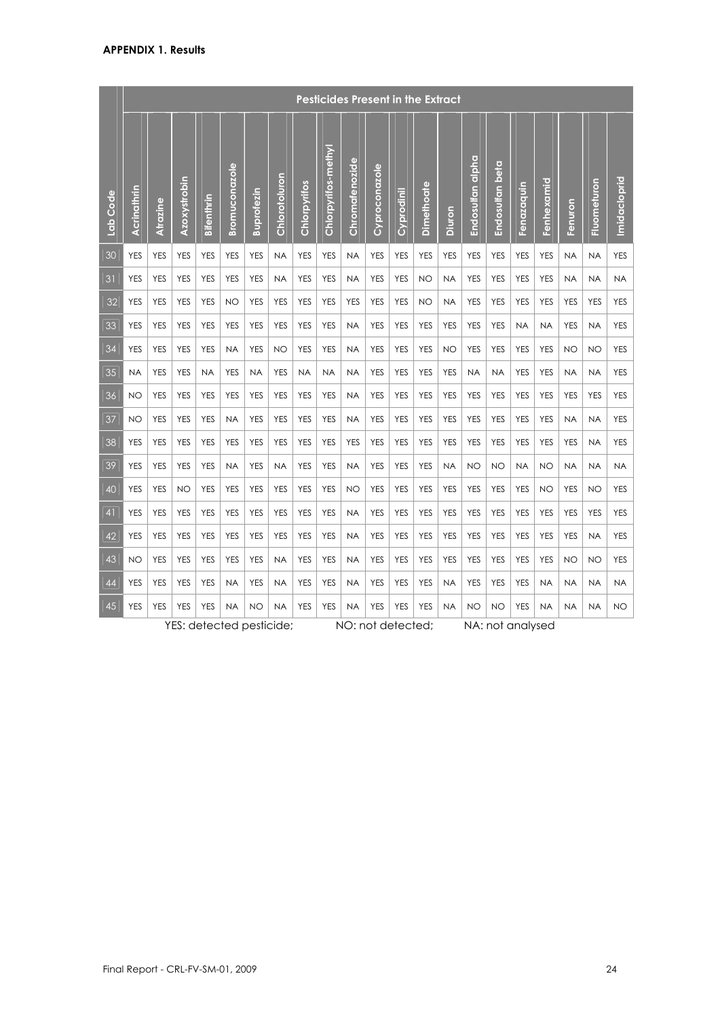|          |             |            |              |            |                      |                          |               |              | <b>Pesticides Present in the Extract</b> |                |               |                   |            |            |                  |                 |                  |            |            |             |              |
|----------|-------------|------------|--------------|------------|----------------------|--------------------------|---------------|--------------|------------------------------------------|----------------|---------------|-------------------|------------|------------|------------------|-----------------|------------------|------------|------------|-------------|--------------|
| Lab Code | Acrinathrin | Atrazine   | Azoxystrobin | Bifenthrin | <b>Bromuconazole</b> | <b>Buprofezin</b>        | Chlorotoluron | Chlorpyrifos | Chlorpyrifos-methyl                      | Chromatenozide | Cyproconazole | Cyprodinil        | Dimethoate | Diuron     | Endosulfan alpha | Endosulfan beta | Fenazaquin       | Fenhexamid | Fenuron    | Fluometuron | Imidacloprid |
| 30       | <b>YES</b>  | <b>YES</b> | <b>YES</b>   | <b>YES</b> | <b>YES</b>           | <b>YES</b>               | <b>NA</b>     | <b>YES</b>   | <b>YES</b>                               | <b>NA</b>      | <b>YES</b>    | <b>YES</b>        | <b>YES</b> | <b>YES</b> | <b>YES</b>       | <b>YES</b>      | <b>YES</b>       | <b>YES</b> | <b>NA</b>  | <b>NA</b>   | <b>YES</b>   |
| 31       | <b>YES</b>  | <b>YES</b> | <b>YES</b>   | <b>YES</b> | <b>YES</b>           | <b>YES</b>               | <b>NA</b>     | <b>YES</b>   | <b>YES</b>                               | <b>NA</b>      | <b>YES</b>    | <b>YES</b>        | NO         | <b>NA</b>  | <b>YES</b>       | <b>YES</b>      | <b>YES</b>       | <b>YES</b> | <b>NA</b>  | <b>NA</b>   | <b>NA</b>    |
| 32       | <b>YES</b>  | <b>YES</b> | <b>YES</b>   | <b>YES</b> | NO                   | <b>YES</b>               | <b>YES</b>    | <b>YES</b>   | <b>YES</b>                               | <b>YES</b>     | <b>YES</b>    | <b>YES</b>        | NO         | <b>NA</b>  | <b>YES</b>       | <b>YES</b>      | <b>YES</b>       | <b>YES</b> | <b>YES</b> | <b>YES</b>  | <b>YES</b>   |
| 33       | <b>YES</b>  | <b>YES</b> | <b>YES</b>   | <b>YES</b> | <b>YES</b>           | <b>YES</b>               | <b>YES</b>    | <b>YES</b>   | <b>YES</b>                               | <b>NA</b>      | <b>YES</b>    | <b>YES</b>        | <b>YES</b> | <b>YES</b> | <b>YES</b>       | <b>YES</b>      | <b>NA</b>        | <b>NA</b>  | <b>YES</b> | <b>NA</b>   | <b>YES</b>   |
| 34       | <b>YES</b>  | <b>YES</b> | <b>YES</b>   | <b>YES</b> | <b>NA</b>            | <b>YES</b>               | NO            | <b>YES</b>   | <b>YES</b>                               | <b>NA</b>      | <b>YES</b>    | <b>YES</b>        | <b>YES</b> | <b>NO</b>  | <b>YES</b>       | <b>YES</b>      | <b>YES</b>       | <b>YES</b> | <b>NO</b>  | <b>NO</b>   | <b>YES</b>   |
| 35       | <b>NA</b>   | <b>YES</b> | <b>YES</b>   | <b>NA</b>  | <b>YES</b>           | <b>NA</b>                | <b>YES</b>    | <b>NA</b>    | <b>NA</b>                                | <b>NA</b>      | <b>YES</b>    | <b>YES</b>        | <b>YES</b> | <b>YES</b> | <b>NA</b>        | <b>NA</b>       | <b>YES</b>       | <b>YES</b> | <b>NA</b>  | <b>NA</b>   | <b>YES</b>   |
| 36       | <b>NO</b>   | <b>YES</b> | <b>YES</b>   | <b>YES</b> | <b>YES</b>           | <b>YES</b>               | <b>YES</b>    | <b>YES</b>   | <b>YES</b>                               | <b>NA</b>      | <b>YES</b>    | <b>YES</b>        | <b>YES</b> | <b>YES</b> | <b>YES</b>       | <b>YES</b>      | <b>YES</b>       | <b>YES</b> | <b>YES</b> | <b>YES</b>  | <b>YES</b>   |
| 37       | <b>NO</b>   | <b>YES</b> | <b>YES</b>   | <b>YES</b> | <b>NA</b>            | <b>YES</b>               | <b>YES</b>    | <b>YES</b>   | <b>YES</b>                               | <b>NA</b>      | <b>YES</b>    | <b>YES</b>        | <b>YES</b> | <b>YES</b> | <b>YES</b>       | <b>YES</b>      | <b>YES</b>       | <b>YES</b> | <b>NA</b>  | <b>NA</b>   | <b>YES</b>   |
| 38       | <b>YES</b>  | <b>YES</b> | <b>YES</b>   | <b>YES</b> | <b>YES</b>           | <b>YES</b>               | <b>YES</b>    | <b>YES</b>   | <b>YES</b>                               | <b>YES</b>     | <b>YES</b>    | <b>YES</b>        | <b>YES</b> | <b>YES</b> | <b>YES</b>       | <b>YES</b>      | <b>YES</b>       | <b>YES</b> | <b>YES</b> | <b>NA</b>   | <b>YES</b>   |
| 39       | <b>YES</b>  | <b>YES</b> | <b>YES</b>   | <b>YES</b> | <b>NA</b>            | <b>YES</b>               | <b>NA</b>     | <b>YES</b>   | <b>YES</b>                               | <b>NA</b>      | <b>YES</b>    | <b>YES</b>        | <b>YES</b> | <b>NA</b>  | <b>NO</b>        | <b>NO</b>       | <b>NA</b>        | <b>NO</b>  | <b>NA</b>  | <b>NA</b>   | <b>NA</b>    |
| 40       | <b>YES</b>  | <b>YES</b> | NO           | <b>YES</b> | <b>YES</b>           | <b>YES</b>               | <b>YES</b>    | <b>YES</b>   | <b>YES</b>                               | <b>NO</b>      | <b>YES</b>    | <b>YES</b>        | <b>YES</b> | <b>YES</b> | <b>YES</b>       | <b>YES</b>      | <b>YES</b>       | <b>NO</b>  | <b>YES</b> | NO          | <b>YES</b>   |
| 41       | <b>YES</b>  | <b>YES</b> | <b>YES</b>   | <b>YES</b> | <b>YES</b>           | <b>YES</b>               | <b>YES</b>    | <b>YES</b>   | <b>YES</b>                               | <b>NA</b>      | <b>YES</b>    | <b>YES</b>        | <b>YES</b> | <b>YES</b> | <b>YES</b>       | <b>YES</b>      | <b>YES</b>       | <b>YES</b> | <b>YES</b> | <b>YES</b>  | <b>YES</b>   |
| 42       | <b>YES</b>  | <b>YES</b> | <b>YES</b>   | <b>YES</b> | <b>YES</b>           | <b>YES</b>               | <b>YES</b>    | <b>YES</b>   | <b>YES</b>                               | <b>NA</b>      | <b>YES</b>    | <b>YES</b>        | <b>YES</b> | <b>YES</b> | <b>YES</b>       | <b>YES</b>      | <b>YES</b>       | <b>YES</b> | <b>YES</b> | <b>NA</b>   | <b>YES</b>   |
| 43       | <b>NO</b>   | <b>YES</b> | <b>YES</b>   | <b>YES</b> | <b>YES</b>           | <b>YES</b>               | <b>NA</b>     | <b>YES</b>   | <b>YES</b>                               | <b>NA</b>      | <b>YES</b>    | <b>YES</b>        | <b>YES</b> | <b>YES</b> | <b>YES</b>       | <b>YES</b>      | <b>YES</b>       | <b>YES</b> | <b>NO</b>  | <b>NO</b>   | <b>YES</b>   |
| 44       | <b>YES</b>  | <b>YES</b> | <b>YES</b>   | <b>YES</b> | <b>NA</b>            | <b>YES</b>               | <b>NA</b>     | <b>YES</b>   | <b>YES</b>                               | <b>NA</b>      | <b>YES</b>    | <b>YES</b>        | <b>YES</b> | <b>NA</b>  | <b>YES</b>       | <b>YES</b>      | <b>YES</b>       | <b>NA</b>  | <b>NA</b>  | <b>NA</b>   | <b>NA</b>    |
| 45       | <b>YES</b>  | <b>YES</b> | <b>YES</b>   | <b>YES</b> | <b>NA</b>            | <b>NO</b>                | <b>NA</b>     | <b>YES</b>   | <b>YES</b>                               | <b>NA</b>      | <b>YES</b>    | <b>YES</b>        | <b>YES</b> | <b>NA</b>  | NO               | NO              | <b>YES</b>       | <b>NA</b>  | <b>NA</b>  | <b>NA</b>   | <b>NO</b>    |
|          |             |            |              |            |                      | YES: detected pesticide; |               |              |                                          |                |               | NO: not detected; |            |            |                  |                 | NA: not analysed |            |            |             |              |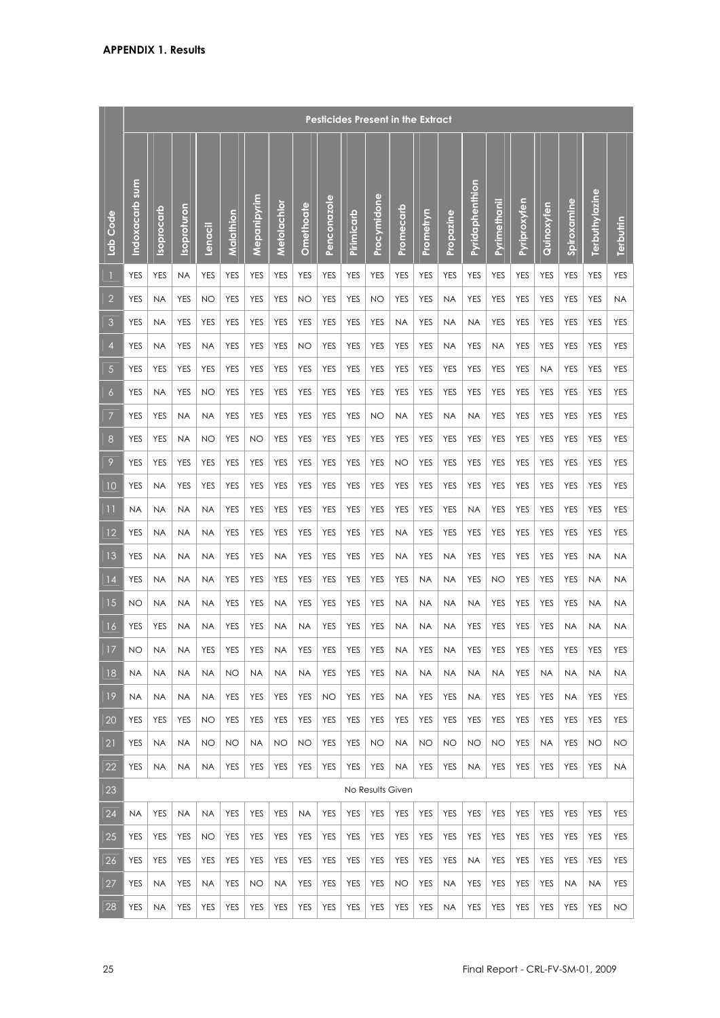|                 |                |            |             |            |            |             |             |            |             | <b>Pesticides Present in the Extract</b> |                  |            |            |            |                 |              |              |            |                             |                |            |
|-----------------|----------------|------------|-------------|------------|------------|-------------|-------------|------------|-------------|------------------------------------------|------------------|------------|------------|------------|-----------------|--------------|--------------|------------|-----------------------------|----------------|------------|
| Lab Code        | Indoxacarb sum | Isoprocarb | Isoproturon | Lenacil    | Malathion  | Mepanipyrim | Metolachlor | Omethoate  | Penconazole | Pirimicarb                               | Procymidone      | Promecarb  | Prometryn  | Propazine  | Pyridaphenthion | Pyrimethanil | Pyriproxyfen | Quinoxyfen | Spiroxamine                 | Terbuthylazine | Terbutrin  |
|                 | <b>YES</b>     | YES        | <b>NA</b>   | <b>YES</b> | <b>YES</b> | <b>YES</b>  | YES         | <b>YES</b> | <b>YES</b>  | <b>YES</b>                               | <b>YES</b>       | <b>YES</b> | <b>YES</b> | <b>YES</b> | <b>YES</b>      | YES          | <b>YES</b>   | <b>YES</b> | <b>YES</b>                  | <b>YES</b>     | <b>YES</b> |
| $\overline{2}$  | YES            | <b>NA</b>  | <b>YES</b>  | <b>NO</b>  | <b>YES</b> | <b>YES</b>  | YES         | <b>NO</b>  | <b>YES</b>  | <b>YES</b>                               | <b>NO</b>        | <b>YES</b> | <b>YES</b> | <b>NA</b>  | <b>YES</b>      | YES          | <b>YES</b>   | <b>YES</b> | <b>YES</b>                  | <b>YES</b>     | <b>NA</b>  |
| 3               | YES            | <b>NA</b>  | <b>YES</b>  | <b>YES</b> | <b>YES</b> | <b>YES</b>  | <b>YES</b>  | <b>YES</b> | <b>YES</b>  | <b>YES</b>                               | <b>YES</b>       | <b>NA</b>  | <b>YES</b> | <b>NA</b>  | <b>NA</b>       | <b>YES</b>   | <b>YES</b>   | <b>YES</b> | <b>YES</b>                  | <b>YES</b>     | <b>YES</b> |
| 4               | <b>YES</b>     | <b>NA</b>  | <b>YES</b>  | <b>NA</b>  | <b>YES</b> | <b>YES</b>  | <b>YES</b>  | <b>NO</b>  | <b>YES</b>  | <b>YES</b>                               | <b>YES</b>       | <b>YES</b> | <b>YES</b> | <b>NA</b>  | <b>YES</b>      | <b>NA</b>    | <b>YES</b>   | <b>YES</b> | <b>YES</b>                  | <b>YES</b>     | <b>YES</b> |
| 5               | <b>YES</b>     | <b>YES</b> | <b>YES</b>  | <b>YES</b> | <b>YES</b> | <b>YES</b>  | <b>YES</b>  | <b>YES</b> | <b>YES</b>  | <b>YES</b>                               | <b>YES</b>       | <b>YES</b> | <b>YES</b> | <b>YES</b> | <b>YES</b>      | <b>YES</b>   | <b>YES</b>   | <b>NA</b>  | <b>YES</b>                  | <b>YES</b>     | <b>YES</b> |
| 6               | <b>YES</b>     | <b>NA</b>  | <b>YES</b>  | <b>NO</b>  | <b>YES</b> | <b>YES</b>  | <b>YES</b>  | <b>YES</b> | <b>YES</b>  | <b>YES</b>                               | <b>YES</b>       | <b>YES</b> | <b>YES</b> | <b>YES</b> | <b>YES</b>      | YES          | <b>YES</b>   | <b>YES</b> | <b>YES</b>                  | <b>YES</b>     | <b>YES</b> |
| 7               | <b>YES</b>     | <b>YES</b> | <b>NA</b>   | <b>NA</b>  | <b>YES</b> | <b>YES</b>  | <b>YES</b>  | <b>YES</b> | <b>YES</b>  | <b>YES</b>                               | <b>NO</b>        | <b>NA</b>  | <b>YES</b> | <b>NA</b>  | <b>NA</b>       | <b>YES</b>   | <b>YES</b>   | <b>YES</b> | <b>YES</b>                  | <b>YES</b>     | <b>YES</b> |
| 8               | <b>YES</b>     | <b>YES</b> | <b>NA</b>   | <b>NO</b>  | <b>YES</b> | <b>NO</b>   | <b>YES</b>  | <b>YES</b> | <b>YES</b>  | <b>YES</b>                               | <b>YES</b>       | <b>YES</b> | <b>YES</b> | <b>YES</b> | <b>YES</b>      | <b>YES</b>   | <b>YES</b>   | <b>YES</b> | <b>YES</b>                  | <b>YES</b>     | <b>YES</b> |
| 9               | <b>YES</b>     | <b>YES</b> | <b>YES</b>  | <b>YES</b> | <b>YES</b> | <b>YES</b>  | <b>YES</b>  | <b>YES</b> | <b>YES</b>  | <b>YES</b>                               | <b>YES</b>       | NO         | <b>YES</b> | <b>YES</b> | <b>YES</b>      | <b>YES</b>   | <b>YES</b>   | <b>YES</b> | <b>YES</b>                  | <b>YES</b>     | <b>YES</b> |
| $\overline{10}$ | YES            | <b>NA</b>  | <b>YES</b>  | <b>YES</b> | <b>YES</b> | <b>YES</b>  | YES         | <b>YES</b> | <b>YES</b>  | <b>YES</b>                               | <b>YES</b>       | <b>YES</b> | <b>YES</b> | <b>YES</b> | <b>YES</b>      | <b>YES</b>   | <b>YES</b>   | <b>YES</b> | <b>YES</b>                  | <b>YES</b>     | <b>YES</b> |
| $\overline{11}$ | <b>NA</b>      | <b>NA</b>  | <b>NA</b>   | <b>NA</b>  | <b>YES</b> | <b>YES</b>  | <b>YES</b>  | <b>YES</b> | <b>YES</b>  | <b>YES</b>                               | <b>YES</b>       | <b>YES</b> | <b>YES</b> | <b>YES</b> | <b>NA</b>       | <b>YES</b>   | <b>YES</b>   | <b>YES</b> | <b>YES</b>                  | <b>YES</b>     | <b>YES</b> |
| 12              | <b>YES</b>     | <b>NA</b>  | <b>NA</b>   | <b>NA</b>  | <b>YES</b> | <b>YES</b>  | <b>YES</b>  | <b>YES</b> | <b>YES</b>  | <b>YES</b>                               | <b>YES</b>       | <b>NA</b>  | <b>YES</b> | <b>YES</b> | <b>YES</b>      | <b>YES</b>   | <b>YES</b>   | <b>YES</b> | <b>YES</b>                  | <b>YES</b>     | <b>YES</b> |
| 13              | YES            | <b>NA</b>  | <b>NA</b>   | <b>NA</b>  | <b>YES</b> | <b>YES</b>  | <b>NA</b>   | <b>YES</b> | <b>YES</b>  | <b>YES</b>                               | <b>YES</b>       | <b>NA</b>  | <b>YES</b> | <b>NA</b>  | <b>YES</b>      | <b>YES</b>   | <b>YES</b>   | <b>YES</b> | <b>YES</b>                  | <b>NA</b>      | <b>NA</b>  |
| 4               | YES            | ΝA         | <b>NA</b>   | NA         | YES        | <b>YES</b>  | <b>YES</b>  | <b>YES</b> | <b>YES</b>  | YES                                      | <b>YES</b>       | <b>YES</b> | <b>NA</b>  | <b>NA</b>  | <b>YES</b>      | NO           | YES          | <b>YES</b> | YES                         | <b>NA</b>      | NA         |
| 15              | NO             | NA         | <b>NA</b>   | NA         | <b>YES</b> | <b>YES</b>  | <b>NA</b>   | <b>YES</b> | <b>YES</b>  | <b>YES</b>                               | <b>YES</b>       | <b>NA</b>  | NA         | <b>NA</b>  | <b>NA</b>       | <b>YES</b>   | <b>YES</b>   | <b>YES</b> | <b>YES</b>                  | <b>NA</b>      | NA         |
| 16              | <b>YES</b>     | <b>YES</b> | <b>NA</b>   | <b>NA</b>  | <b>YES</b> | <b>YES</b>  | <b>NA</b>   | <b>NA</b>  | <b>YES</b>  | <b>YES</b>                               | <b>YES</b>       | <b>NA</b>  | <b>NA</b>  | <b>NA</b>  | <b>YES</b>      | <b>YES</b>   | <b>YES</b>   | <b>YES</b> | <b>NA</b>                   | <b>NA</b>      | <b>NA</b>  |
| 17              | <b>NO</b>      | <b>NA</b>  |             | NA YES     |            | $YES$ $YES$ | <b>NA</b>   | YES   YES  |             |                                          | YES   YES   NA   |            | YES        | <b>NA</b>  | YES             |              |              |            | YES   YES   YES   YES   YES |                | YES        |
| 18              | <b>NA</b>      | NA         | <b>NA</b>   | <b>NA</b>  | NO         | <b>NA</b>   | NA          | <b>NA</b>  | YES         | <b>YES</b>                               | <b>YES</b>       | <b>NA</b>  | <b>NA</b>  | <b>NA</b>  | <b>NA</b>       | <b>NA</b>    | <b>YES</b>   | <b>NA</b>  | <b>NA</b>                   | <b>NA</b>      | <b>NA</b>  |
| 19              | ΝA             | NA         | NA          | NA         | YES        | YES         | YES         | YES        | NO          | YES                                      | YES              | <b>NA</b>  | YES        | YES        | ΝA              | YES          | YES          | YES        | <b>NA</b>                   | YES            | <b>YES</b> |
| 20              | YES            | <b>YES</b> | YES         | NO         | <b>YES</b> | YES         | <b>YES</b>  | <b>YES</b> | YES         | <b>YES</b>                               | <b>YES</b>       | YES        | <b>YES</b> | <b>YES</b> | YES             | <b>YES</b>   | YES          | <b>YES</b> | YES                         | YES            | <b>YES</b> |
| 21              | YES            | <b>NA</b>  | <b>NA</b>   | NO         | <b>NO</b>  | <b>NA</b>   | NO          | <b>NO</b>  | YES         | YES                                      | <b>NO</b>        | <b>NA</b>  | <b>NO</b>  | <b>NO</b>  | <b>NO</b>       | NO.          | <b>YES</b>   | <b>NA</b>  | <b>YES</b>                  | NO             | <b>NO</b>  |
| 22              | YES            | <b>NA</b>  | <b>NA</b>   | <b>NA</b>  | <b>YES</b> | YES         | <b>YES</b>  | <b>YES</b> | YES         | YES                                      | YES              | <b>NA</b>  | YES        | YES        | <b>NA</b>       | YES          | YES          | <b>YES</b> | <b>YES</b>                  | YES            | <b>NA</b>  |
| 23              |                |            |             |            |            |             |             |            |             |                                          | No Results Given |            |            |            |                 |              |              |            |                             |                |            |
| 24              | <b>NA</b>      | YES        | <b>NA</b>   | NA.        | YES        | YES         | YES         | <b>NA</b>  | YES         | <b>YES</b>                               | YES              | YES        | <b>YES</b> | YES        | YES             | <b>YES</b>   | YES          | YES        | <b>YES</b>                  | <b>YES</b>     | YES        |
| 25              | YES            | YES        | YES         | NO         | YES        | YES         | YES         | YES        | YES         | YES                                      | YES              | YES        | YES        | <b>YES</b> | YES             | YES          | YES          | YES        | YES                         | YES            | YES        |
| 26              | <b>YES</b>     | YES        | YES         | <b>YES</b> | YES        | YES         | <b>YES</b>  | YES        | YES         | <b>YES</b>                               | YES              | YES        | YES        | <b>YES</b> | <b>NA</b>       | YES          | <b>YES</b>   | YES        | <b>YES</b>                  | <b>YES</b>     | <b>YES</b> |
| 27              | YES            | NA         | YES         | <b>NA</b>  | YES        | NO          | <b>NA</b>   | YES        | YES         | YES                                      | <b>YES</b>       | NO         | <b>YES</b> | <b>NA</b>  | YES             | YES          | YES          | YES        | <b>NA</b>                   | <b>NA</b>      | YES        |
| 28              | YES            | <b>NA</b>  | YES         | <b>YES</b> | <b>YES</b> | YES         | <b>YES</b>  | <b>YES</b> | YES         | <b>YES</b>                               | <b>YES</b>       | YES        | YES        | <b>NA</b>  | YES             | YES          | <b>YES</b>   | YES        | <b>YES</b>                  | YES            | <b>NO</b>  |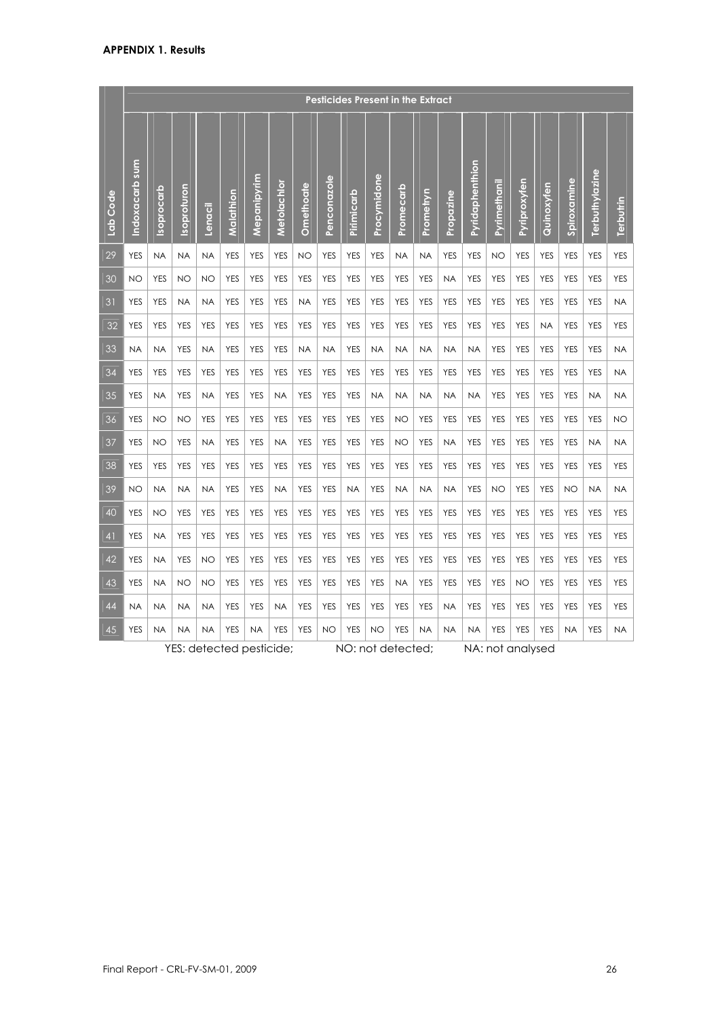|                |                |            |             |            |            |             |             |                  |             | <b>Pesticides Present in the Extract</b> |             |            |            |            |                 |              |              |            |             |                |            |
|----------------|----------------|------------|-------------|------------|------------|-------------|-------------|------------------|-------------|------------------------------------------|-------------|------------|------------|------------|-----------------|--------------|--------------|------------|-------------|----------------|------------|
| Lab Code       | Indoxacarb sum | Isoprocarb | Isoproturon | Lenacil    | Malathion  | Mepanipyrim | Metolachlor | <b>Omethoate</b> | Penconazole | Pirimicarb                               | Procymidone | Promecarb  | Prometryn  | Propazine  | Pyridaphenthion | Pyrimethanil | Pyriproxyfen | Quinoxyfen | Spiroxamine | Terbuthylazine | Terbutrin  |
| 29             | <b>YES</b>     | <b>NA</b>  | <b>NA</b>   | <b>NA</b>  | <b>YES</b> | <b>YES</b>  | <b>YES</b>  | <b>NO</b>        | <b>YES</b>  | <b>YES</b>                               | <b>YES</b>  | <b>NA</b>  | <b>NA</b>  | <b>YES</b> | <b>YES</b>      | <b>NO</b>    | <b>YES</b>   | <b>YES</b> | <b>YES</b>  | <b>YES</b>     | <b>YES</b> |
| 30             | <b>NO</b>      | <b>YES</b> | <b>NO</b>   | NO         | <b>YES</b> | <b>YES</b>  | <b>YES</b>  | <b>YES</b>       | <b>YES</b>  | <b>YES</b>                               | <b>YES</b>  | <b>YES</b> | <b>YES</b> | <b>NA</b>  | <b>YES</b>      | <b>YES</b>   | <b>YES</b>   | <b>YES</b> | <b>YES</b>  | <b>YES</b>     | <b>YES</b> |
| 31             | <b>YES</b>     | <b>YES</b> | <b>NA</b>   | <b>NA</b>  | <b>YES</b> | <b>YES</b>  | <b>YES</b>  | <b>NA</b>        | <b>YES</b>  | <b>YES</b>                               | <b>YES</b>  | <b>YES</b> | <b>YES</b> | <b>YES</b> | <b>YES</b>      | <b>YES</b>   | <b>YES</b>   | <b>YES</b> | <b>YES</b>  | <b>YES</b>     | <b>NA</b>  |
| 32             | <b>YES</b>     | <b>YES</b> | <b>YES</b>  | <b>YES</b> | <b>YES</b> | <b>YES</b>  | <b>YES</b>  | <b>YES</b>       | <b>YES</b>  | <b>YES</b>                               | <b>YES</b>  | <b>YES</b> | <b>YES</b> | <b>YES</b> | <b>YES</b>      | <b>YES</b>   | <b>YES</b>   | <b>NA</b>  | <b>YES</b>  | YES            | <b>YES</b> |
| 33             | NA             | <b>NA</b>  | <b>YES</b>  | <b>NA</b>  | <b>YES</b> | <b>YES</b>  | <b>YES</b>  | <b>NA</b>        | <b>NA</b>   | <b>YES</b>                               | <b>NA</b>   | <b>NA</b>  | <b>NA</b>  | <b>NA</b>  | <b>NA</b>       | <b>YES</b>   | <b>YES</b>   | <b>YES</b> | <b>YES</b>  | <b>YES</b>     | <b>NA</b>  |
| 34             | <b>YES</b>     | <b>YES</b> | <b>YES</b>  | <b>YES</b> | <b>YES</b> | <b>YES</b>  | <b>YES</b>  | <b>YES</b>       | <b>YES</b>  | <b>YES</b>                               | <b>YES</b>  | <b>YES</b> | <b>YES</b> | <b>YES</b> | <b>YES</b>      | <b>YES</b>   | <b>YES</b>   | <b>YES</b> | <b>YES</b>  | <b>YES</b>     | <b>NA</b>  |
| 35             | <b>YES</b>     | <b>NA</b>  | <b>YES</b>  | <b>NA</b>  | <b>YES</b> | <b>YES</b>  | <b>NA</b>   | <b>YES</b>       | <b>YES</b>  | <b>YES</b>                               | <b>NA</b>   | <b>NA</b>  | <b>NA</b>  | <b>NA</b>  | <b>NA</b>       | <b>YES</b>   | <b>YES</b>   | <b>YES</b> | <b>YES</b>  | <b>NA</b>      | <b>NA</b>  |
| 36             | <b>YES</b>     | NO         | <b>NO</b>   | <b>YES</b> | <b>YES</b> | <b>YES</b>  | <b>YES</b>  | <b>YES</b>       | <b>YES</b>  | <b>YES</b>                               | <b>YES</b>  | <b>NO</b>  | <b>YES</b> | <b>YES</b> | <b>YES</b>      | <b>YES</b>   | <b>YES</b>   | <b>YES</b> | <b>YES</b>  | <b>YES</b>     | <b>NO</b>  |
| 37             | <b>YES</b>     | NO         | <b>YES</b>  | <b>NA</b>  | <b>YES</b> | <b>YES</b>  | <b>NA</b>   | <b>YES</b>       | <b>YES</b>  | <b>YES</b>                               | <b>YES</b>  | <b>NO</b>  | <b>YES</b> | <b>NA</b>  | <b>YES</b>      | <b>YES</b>   | <b>YES</b>   | <b>YES</b> | <b>YES</b>  | <b>NA</b>      | <b>NA</b>  |
| 38             | <b>YES</b>     | <b>YES</b> | <b>YES</b>  | <b>YES</b> | <b>YES</b> | <b>YES</b>  | <b>YES</b>  | <b>YES</b>       | <b>YES</b>  | <b>YES</b>                               | <b>YES</b>  | <b>YES</b> | <b>YES</b> | <b>YES</b> | <b>YES</b>      | <b>YES</b>   | <b>YES</b>   | <b>YES</b> | <b>YES</b>  | <b>YES</b>     | <b>YES</b> |
| 39             | <b>NO</b>      | <b>NA</b>  | <b>NA</b>   | <b>NA</b>  | <b>YES</b> | <b>YES</b>  | <b>NA</b>   | <b>YES</b>       | <b>YES</b>  | <b>NA</b>                                | <b>YES</b>  | <b>NA</b>  | <b>NA</b>  | <b>NA</b>  | <b>YES</b>      | <b>NO</b>    | <b>YES</b>   | <b>YES</b> | <b>NO</b>   | <b>NA</b>      | <b>NA</b>  |
| 40             | <b>YES</b>     | NO         | <b>YES</b>  | <b>YES</b> | <b>YES</b> | <b>YES</b>  | <b>YES</b>  | <b>YES</b>       | <b>YES</b>  | <b>YES</b>                               | <b>YES</b>  | <b>YES</b> | <b>YES</b> | <b>YES</b> | <b>YES</b>      | <b>YES</b>   | <b>YES</b>   | <b>YES</b> | <b>YES</b>  | <b>YES</b>     | <b>YES</b> |
| 4 <sup>1</sup> | <b>YES</b>     | <b>NA</b>  | <b>YES</b>  | <b>YES</b> | <b>YES</b> | <b>YES</b>  | <b>YES</b>  | <b>YES</b>       | <b>YES</b>  | <b>YES</b>                               | <b>YES</b>  | <b>YES</b> | <b>YES</b> | <b>YES</b> | <b>YES</b>      | <b>YES</b>   | <b>YES</b>   | <b>YES</b> | <b>YES</b>  | <b>YES</b>     | <b>YES</b> |
| 42             | <b>YES</b>     | <b>NA</b>  | <b>YES</b>  | NO         | <b>YES</b> | <b>YES</b>  | <b>YES</b>  | <b>YES</b>       | <b>YES</b>  | <b>YES</b>                               | <b>YES</b>  | <b>YES</b> | YES        | <b>YES</b> | <b>YES</b>      | <b>YES</b>   | <b>YES</b>   | <b>YES</b> | <b>YES</b>  | <b>YES</b>     | <b>YES</b> |
| 43             | <b>YES</b>     | <b>NA</b>  | <b>NO</b>   | NO         | <b>YES</b> | <b>YES</b>  | <b>YES</b>  | <b>YES</b>       | <b>YES</b>  | <b>YES</b>                               | <b>YES</b>  | <b>NA</b>  | <b>YES</b> | <b>YES</b> | <b>YES</b>      | <b>YES</b>   | NO           | <b>YES</b> | <b>YES</b>  | <b>YES</b>     | <b>YES</b> |
| 44             | <b>NA</b>      | <b>NA</b>  | <b>NA</b>   | <b>NA</b>  | <b>YES</b> | <b>YES</b>  | <b>NA</b>   | <b>YES</b>       | <b>YES</b>  | <b>YES</b>                               | <b>YES</b>  | <b>YES</b> | <b>YES</b> | <b>NA</b>  | <b>YES</b>      | <b>YES</b>   | <b>YES</b>   | <b>YES</b> | <b>YES</b>  | <b>YES</b>     | <b>YES</b> |
| 45             | <b>YES</b>     | <b>NA</b>  | <b>NA</b>   | <b>NA</b>  | <b>YES</b> | <b>NA</b>   | <b>YES</b>  | <b>YES</b>       | NO          | <b>YES</b>                               | <b>NO</b>   | <b>YES</b> | <b>NA</b>  | <b>NA</b>  | <b>NA</b>       | <b>YES</b>   | <b>YES</b>   | <b>YES</b> | <b>NA</b>   | <b>YES</b>     | <b>NA</b>  |

YES: detected pesticide; NO: not detected; NA: not analysed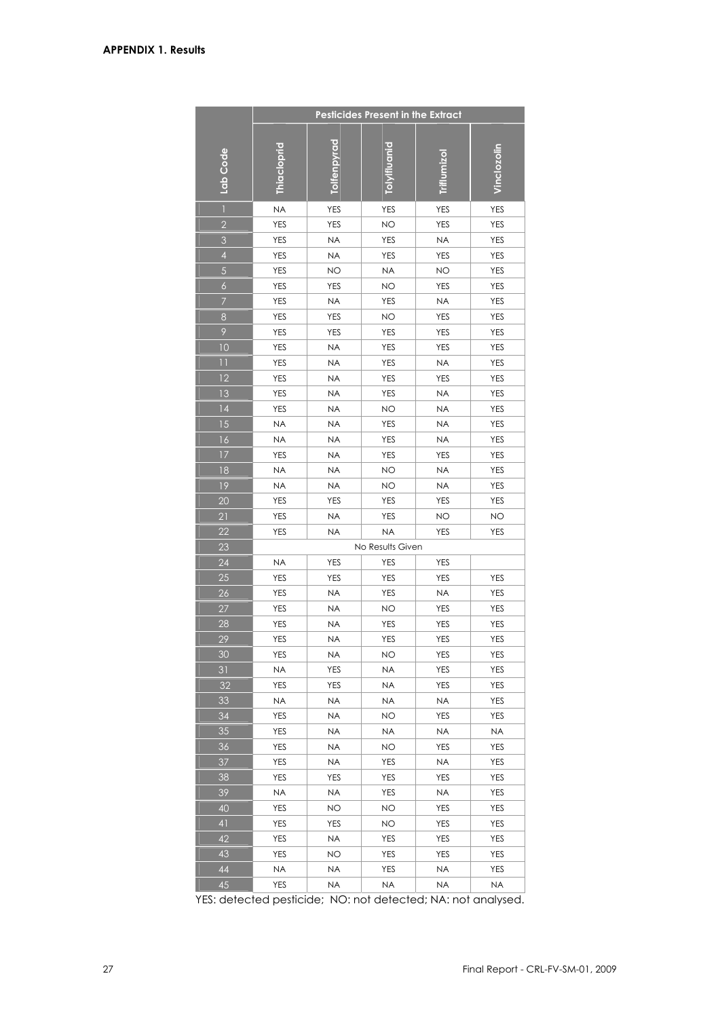|                 |                  |                  | <b>Pesticides Present in the Extract</b> |            |             |
|-----------------|------------------|------------------|------------------------------------------|------------|-------------|
|                 |                  |                  |                                          |            |             |
| Lab Code        | Thiacloprid      | Tolfenpyrad      | olvifluanid                              |            | Vinclozolin |
|                 |                  |                  |                                          |            |             |
| $\bar{1}$       | <b>NA</b>        | <b>YES</b>       | <b>YES</b>                               | <b>YES</b> | <b>YES</b>  |
| $\overline{2}$  | <b>YES</b>       | <b>YES</b>       | <b>NO</b>                                | <b>YES</b> | <b>YES</b>  |
| $\mathfrak{S}$  | YES              | <b>NA</b>        | <b>YES</b>                               | <b>NA</b>  | YES         |
| $\overline{4}$  | <b>YES</b>       | <b>NA</b>        | <b>YES</b>                               | YES        | <b>YES</b>  |
| 5               | YES              | <b>NO</b>        | <b>NA</b>                                | <b>NO</b>  | <b>YES</b>  |
| $\overline{6}$  | <b>YES</b>       | <b>YES</b>       | <b>NO</b>                                | YES        | <b>YES</b>  |
| $\overline{7}$  | <b>YES</b>       | <b>NA</b>        | <b>YES</b>                               | <b>NA</b>  | <b>YES</b>  |
| $\bf 8$         | <b>YES</b>       | <b>YES</b>       | <b>NO</b>                                | <b>YES</b> | <b>YES</b>  |
| $\mathcal{P}$   | YES              | <b>YES</b>       | <b>YES</b>                               | YES        | YES         |
| 10              | YES              | <b>NA</b>        | <b>YES</b>                               | YES        | YES         |
| $\overline{11}$ | YES              | <b>NA</b>        | <b>YES</b>                               | <b>NA</b>  | YES         |
| 12              | <b>YES</b>       | <b>NA</b>        | <b>YES</b>                               | <b>YES</b> | <b>YES</b>  |
| 13              | <b>YES</b>       | <b>NA</b>        | <b>YES</b>                               | <b>NA</b>  | <b>YES</b>  |
| 4               | <b>YES</b>       | <b>NA</b>        | <b>NO</b>                                | <b>NA</b>  | YES         |
| 15              | <b>NA</b>        | <b>NA</b>        | <b>YES</b>                               | <b>NA</b>  | <b>YES</b>  |
| 16              | <b>NA</b>        | <b>NA</b>        | <b>YES</b>                               | <b>NA</b>  | <b>YES</b>  |
| 17              | <b>YES</b>       | <b>NA</b>        | <b>YES</b>                               | <b>YES</b> | <b>YES</b>  |
| 18              | <b>NA</b>        | <b>NA</b>        | <b>NO</b>                                | <b>NA</b>  | <b>YES</b>  |
| 19              | <b>NA</b>        | <b>NA</b>        | <b>NO</b>                                | <b>NA</b>  | <b>YES</b>  |
| 20              | YES              | YES              | YES                                      | YES        | YES         |
| 21              | <b>YES</b>       | <b>NA</b>        | <b>YES</b>                               | <b>NO</b>  | NO          |
| 22              | <b>YES</b>       | <b>NA</b>        | <b>NA</b>                                | <b>YES</b> | YES         |
| 23              |                  |                  | No Results Given                         |            |             |
| 24              | <b>NA</b>        | <b>YES</b>       | <b>YES</b>                               | YES        |             |
| 25              | YES              | <b>YES</b>       | <b>YES</b>                               | <b>YES</b> | <b>YES</b>  |
| 26              | YES              | <b>NA</b>        | <b>YES</b>                               | <b>NA</b>  | YES         |
| 27              | YES              | <b>NA</b>        | <b>NO</b>                                | YES        | YES         |
| 28              | YES              | ΝA               | YES                                      | YES        | YES         |
| 29              | YES              | <b>NA</b>        | <b>YES</b>                               | YES        | <b>YES</b>  |
| 30<br>31        | YES<br><b>NA</b> | NA<br><b>YES</b> | ΝO<br>NA                                 | YES<br>YES | YES<br>YES  |
| 32              | YES              | YES              | NA                                       | YES        | YES         |
| 33              | <b>NA</b>        | <b>NA</b>        | <b>NA</b>                                | <b>NA</b>  | YES         |
| 34              | YES              | NA               | ΝO                                       | YES        | YES         |
| 35              | <b>YES</b>       | NA               | NA                                       | <b>NA</b>  | <b>NA</b>   |
| 36              | YES              | NA               | ΝO                                       | YES        | YES         |
| 37              | YES              | <b>NA</b>        | <b>YES</b>                               | <b>NA</b>  | <b>YES</b>  |
| 38              | YES              | YES              | YES                                      | YES        | YES         |
| 39              | <b>NA</b>        | NA               | YES                                      | NA         | YES         |
| 40              | YES              | <b>NO</b>        | NO.                                      | YES        | YES         |
| $\overline{4}$  | YES              | YES              | <b>NO</b>                                | YES        | YES         |
| 42              | YES              | <b>NA</b>        | <b>YES</b>                               | YES        | YES         |
| 43              | YES              | ΝO               | YES                                      | YES        | YES         |
| 44              | <b>NA</b>        | <b>NA</b>        | YES                                      | <b>NA</b>  | <b>YES</b>  |
| 45              | YES              | ΝA               | ΝA                                       | ΝA         | NA          |

YES: detected pesticide; NO: not detected; NA: not analysed.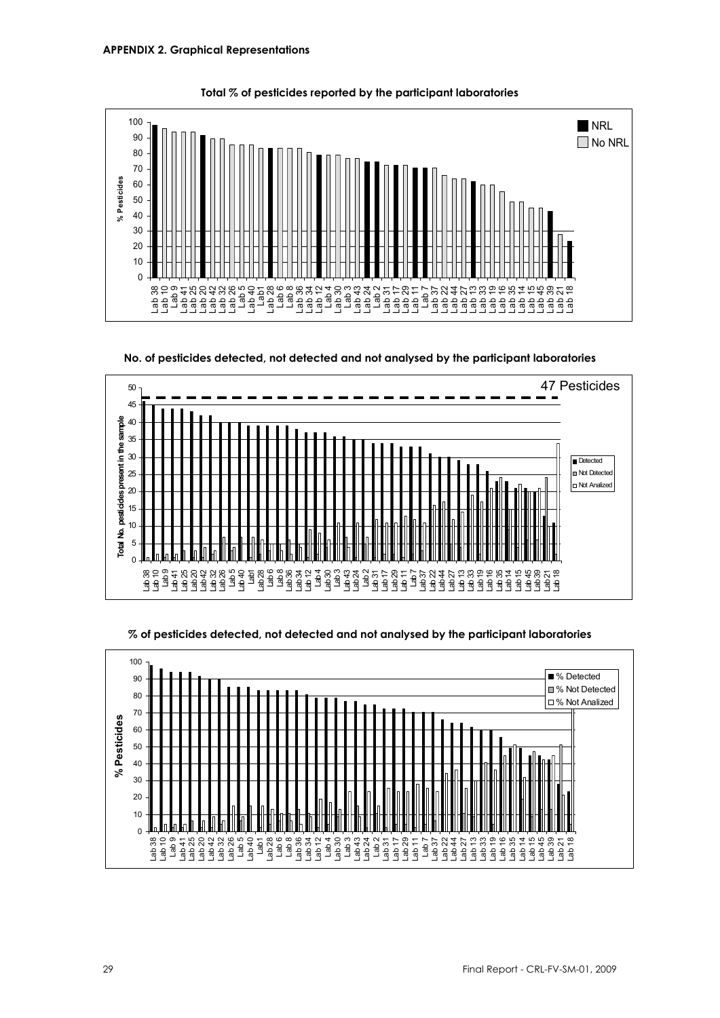



**No. of pesticides detected, not detected and not analysed by the participant laboratories** 





**% of pesticides detected, not detected and not analysed by the participant laboratories**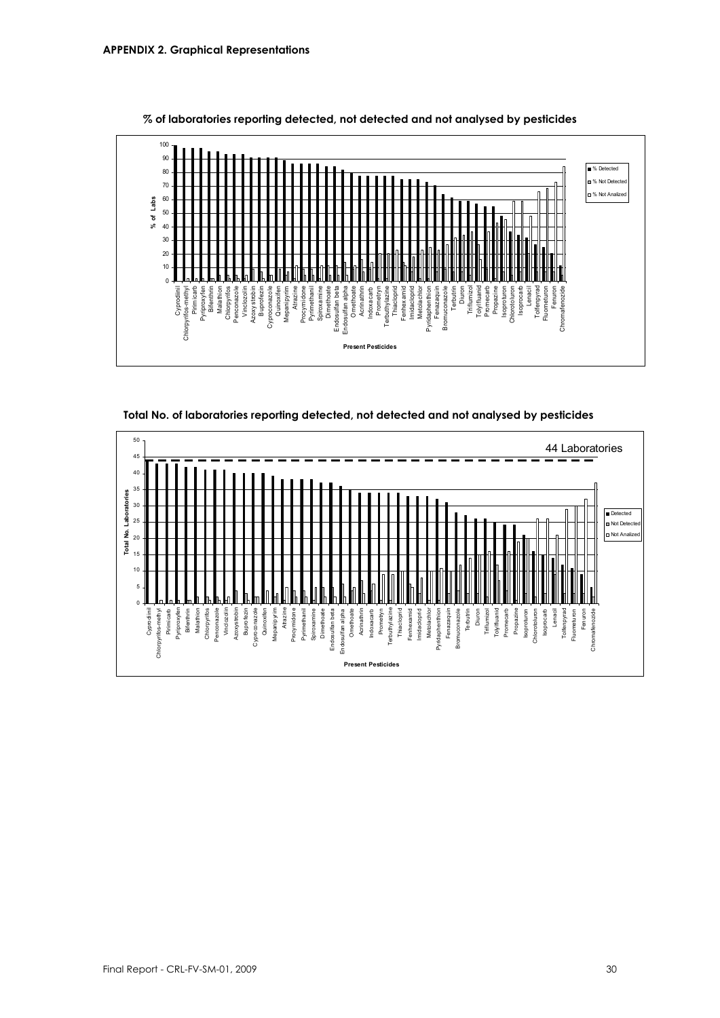





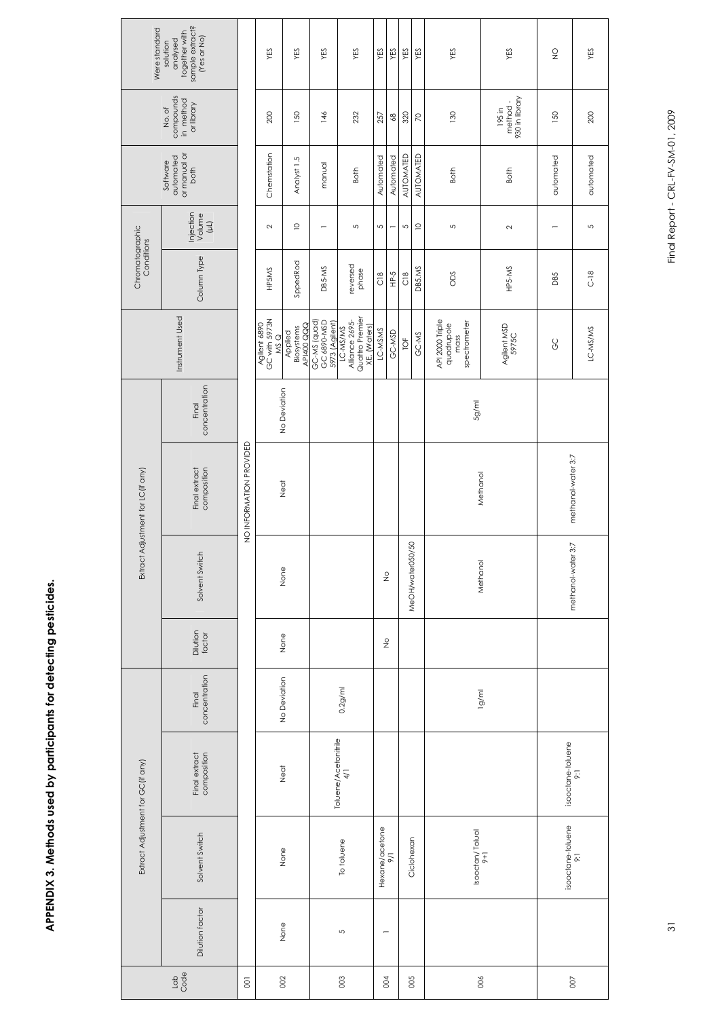| <br> <br> |
|-----------|
|           |
| I         |
|           |
|           |

| Were standard                     | sample extract?<br>(Yes or No)<br>together with<br>analysed<br>solution |                         | YES                                  | YES                                 | YES                                           | YES                                           |              | YES                      | YES                        | YES              | YES            | YES                                                   | YES                                 | $\frac{0}{2}$      | YES            |
|-----------------------------------|-------------------------------------------------------------------------|-------------------------|--------------------------------------|-------------------------------------|-----------------------------------------------|-----------------------------------------------|--------------|--------------------------|----------------------------|------------------|----------------|-------------------------------------------------------|-------------------------------------|--------------------|----------------|
|                                   | compounds<br>in method<br>or library<br>No.of                           |                         | 200                                  | 150                                 | 146                                           | 232                                           |              | 257                      | $\mathcal{S}^{\mathsf{S}}$ | 320              | $\overline{C}$ | 130                                                   | 930 in library<br>method-<br>195 in | 150                | 200            |
|                                   | or manual or<br>automated<br>Software<br>both                           |                         | Chemstation                          | Analyst <sub>1.5</sub>              | manual                                        | Both                                          |              | Automated                | Automated                  | AUTOMATED        | AUTOMATED      | Both                                                  | Both                                | automated          | automated      |
|                                   | Injection<br>Volume<br>$(\mu)$                                          |                         | $\sim$                               | $\supseteq$                         |                                               | 5                                             |              | 5                        | $\overline{\phantom{0}}$   | 5                | $\supseteq$    | 5                                                     | $\sim$                              |                    | $\overline{5}$ |
| Chromatographic<br>Conditions     | Column Type                                                             |                         | HP5MS                                | SppedRod                            | DB5-MS                                        | reversed<br>phase                             |              | $\frac{8}{2}$            | Р-5                        | $\frac{8}{2}$    | <b>DB5.MS</b>  | Sao                                                   | HP5-MS                              | <b>DB5</b>         | $C-18$         |
|                                   | Instrument Used                                                         |                         | Agilent 6890<br>GC with 5973N<br>MSQ | API400 QQQ<br>Biosystems<br>Applied | GC 6890-MSD<br>GC-MS (quad)<br>5973 (Agilent) | Quattro Premier<br>Alliance 2695-<br>LC-MS/MS | XE, (Waters) | LC-MSMS                  | GC-MSD                     | ТOЕ              | GC-MS          | API 2000 Triple<br>spectrometer<br>quadrupole<br>mass | Agilent MSD<br>5975C                | <b>GC</b>          | LC-MS/MS       |
|                                   | concentration<br>Final                                                  |                         |                                      | No Deviation                        |                                               |                                               |              |                          |                            |                  |                | 5g/ml                                                 |                                     |                    |                |
| Extract Adjustment for LC(if any) | composition<br>Final extract                                            | NO INFORMATION PROVIDED |                                      | Neat                                |                                               |                                               |              |                          |                            |                  |                | Methanol                                              |                                     | methanol-water 3:7 |                |
|                                   | Solvent Switch                                                          |                         |                                      | None                                |                                               |                                               |              | $\frac{\circ}{2}$        |                            | MeOH/water050/50 |                | Methanol                                              |                                     | methanol-water 3:7 |                |
|                                   | Dilution<br>factor                                                      |                         |                                      | None                                |                                               |                                               |              | $\frac{\circ}{2}$        |                            |                  |                |                                                       |                                     |                    |                |
|                                   | concentration<br>Final                                                  |                         |                                      | No Deviation                        |                                               | $0.2g$ /ml                                    |              |                          |                            |                  |                |                                                       | lg/ml                               |                    |                |
|                                   | Final extract<br>composition<br>Extract Adjustment for GC(if any)       |                         |                                      | Neat                                |                                               | Toluene/Acetonitrile<br>4/1                   |              |                          |                            |                  |                |                                                       |                                     | isooctane-toluene  | $\overline{5}$ |
|                                   | Solvent Switch                                                          |                         |                                      | None                                |                                               | To toluene                                    |              | Hexane/acetone<br>9/1    |                            |                  | Ciclohexan     | lsooctan/Toluol<br>9+1                                |                                     | isooctane-toluene  | $\overline{5}$ |
|                                   | Dilution factor                                                         |                         |                                      | None                                |                                               | S                                             |              | $\overline{\phantom{0}}$ |                            |                  |                |                                                       |                                     |                    |                |
|                                   | $\frac{1}{3}$                                                           | $\overline{5}$          |                                      | 002                                 |                                               | $\rm 003$                                     |              | 004                      |                            | 005              |                | 006                                                   |                                     | $\odot$            |                |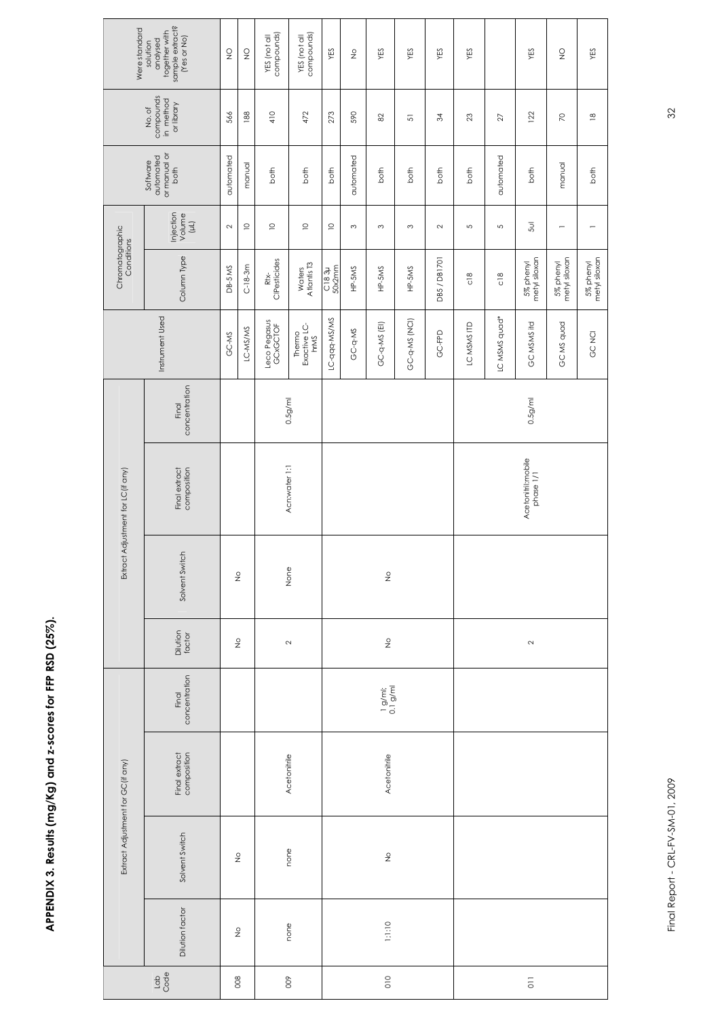## **APPENDIX 3. Results (mg/Kg) and z-scores for FFP RSD (25%).**  APPENDIX 3. Results (mg/Kg) and z-scores for FFP RSD (25%).

| Were standard                     | sample extract?<br>(Yes or No)<br>together with<br>analysed<br>solution | $\frac{0}{2}$ | $\frac{0}{2}$     | YES (not all<br>compounds) | YES (not all<br>compounds)     | YES             | $\frac{\circ}{2}$ | YES                   | YES           | YES          | YES            |                 | YES                             | $\frac{0}{2}$                  | YES                        |
|-----------------------------------|-------------------------------------------------------------------------|---------------|-------------------|----------------------------|--------------------------------|-----------------|-------------------|-----------------------|---------------|--------------|----------------|-----------------|---------------------------------|--------------------------------|----------------------------|
|                                   | compounds<br>in method<br>or library<br>No.of                           | 566           | 188               | 410                        | 472                            | 273             | 590               | $82$                  | 5             | 34           | 23             | $\overline{27}$ | 122                             | $\overline{z}$                 | $\overset{\infty}{=}$      |
|                                   | automated<br>or manual or<br>Software<br>both                           | automated     | manual            | both                       | both                           | both            | automated         | both                  | both          | both         | both           | automated       | both                            | manual                         | both                       |
|                                   | Injection<br>Volume<br>(µL)                                             | $\sim$        | $\supseteq$       | $\supseteq$                | $\supseteq$                    | $\supseteq$     | S                 | $\sim$                | $\infty$      | 2            | $\overline{5}$ | S               | 5ul                             | $\qquad \qquad \longleftarrow$ |                            |
| Chromatographic<br>Conditions     | Column Type                                                             | DB-5 MS       | $C-18-3m$         | Rtx-<br>ClPesticides       | Waters<br>Atlantis T3          | C183µ<br>50x2mm | HP-5MS            | $HP-5MS$              | HP-5MS        | DB5 / DB1701 | $\frac{8}{5}$  | $\frac{8}{18}$  | metyl siloxan<br>5% phenyl      | 5% phenyl<br>metyl siloxan     | metyl siloxan<br>5% phenyl |
|                                   | Instrument Used                                                         | GC-MS         | LC-MS/MS          | Leco Pegasus<br>GCxGCTOF   | Exactive LC-<br>hrMS<br>Thermo | LC-qqq-MS/MS    | GC-q-MS           | GC-q-MS (EI)          | GC-q-MS (NCI) | GC-FPD       | LC MSMS ITD    | LC MSMS quad*   | GC MSMS itd                     | GC MS quad                     | GC NCI                     |
|                                   | concentration<br>Final                                                  |               |                   |                            | $0.5$ g/ml                     |                 |                   |                       |               |              |                |                 | 0.5 <sub>g</sub> /m             |                                |                            |
| Extract Adjustment for LC(if any) | Final extract<br>composition                                            |               |                   |                            | Acn:water 1:1                  |                 |                   |                       |               |              |                |                 | Acetonitril:mobile<br>phase 1/1 |                                |                            |
|                                   | Solvent Switch                                                          |               | $\frac{\circ}{2}$ |                            | None                           |                 |                   | $\frac{\circ}{2}$     |               |              |                |                 |                                 |                                |                            |
|                                   | Dilution<br>factor                                                      |               | $\frac{\circ}{2}$ | $\sim$                     |                                |                 |                   | $\frac{\circ}{2}$     |               |              |                |                 | $\sim$                          |                                |                            |
|                                   | concentration<br>Final                                                  |               |                   |                            |                                |                 |                   | $\frac{1}{0.1}$ g/ml; |               |              |                |                 |                                 |                                |                            |
|                                   | Final extract<br>composition                                            |               |                   |                            | Acetonitrile                   |                 |                   | Acetonitrile          |               |              |                |                 |                                 |                                |                            |
| Extract Adjustment for GC(if any) | Solvent Switch                                                          |               | $\frac{6}{5}$     |                            | none                           |                 |                   | $\frac{6}{5}$         |               |              |                |                 |                                 |                                |                            |
|                                   | Dilution factor                                                         |               | $\frac{\circ}{2}$ |                            | none                           |                 |                   | 1;1:10                |               |              |                |                 |                                 |                                |                            |
|                                   | $\frac{1}{6}$                                                           |               | 008               | $\circ$                    |                                |                 |                   | $\overline{0}$        |               |              |                |                 |                                 |                                |                            |

Final Report - CRL-FV-SM-01, 2009 32 Final Report - CRL-FV-SM-01, 2009

 $32$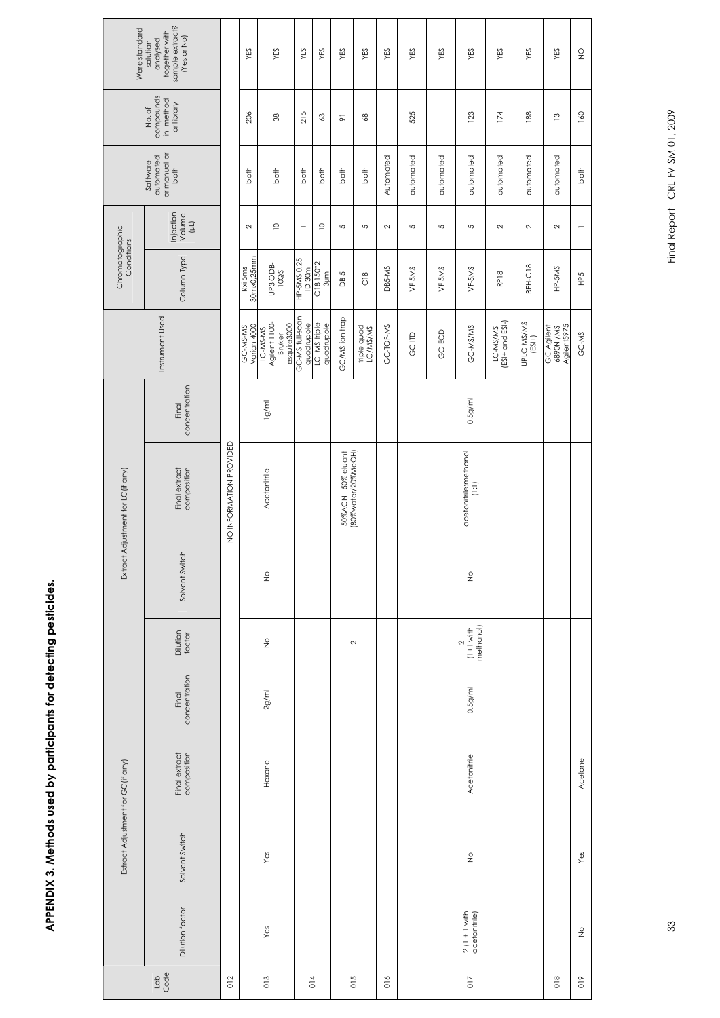| ۱,                                                                                 |
|------------------------------------------------------------------------------------|
|                                                                                    |
| ֧֚֚֝<br>֧֪֚֚֚֚֚֚֚֝֝֝֝֝<br>֧֚֚֚֚֚֚֚֚֚֝֝֝֝֝֝֝ <u>֖֖֖֚֚֚֚</u><br>֧֪֝<br>$\frac{1}{2}$ |
| -<br>2<br>2<br>2<br>۔<br>آ                                                         |
|                                                                                    |
| ;<br>;<br>;                                                                        |

| Were standard                     | sample extract?<br>together with<br>(Yes or No)<br>analysed<br>solution |                         | YES                     | YES                                                       | YES                           | YES                              | YES                                       | YES                     | YES            | YES       | YES                                                | YES                                                              | YES                            | YES                    | YES                                    | $\frac{\mathsf{O}}{\mathsf{Z}}$ |
|-----------------------------------|-------------------------------------------------------------------------|-------------------------|-------------------------|-----------------------------------------------------------|-------------------------------|----------------------------------|-------------------------------------------|-------------------------|----------------|-----------|----------------------------------------------------|------------------------------------------------------------------|--------------------------------|------------------------|----------------------------------------|---------------------------------|
|                                   | compounds<br>in method<br>or library<br>No.of                           |                         | 206                     | $\rm 38$                                                  | 215                           | $\mathbb{S}^3$                   | $\overline{\infty}$                       | $\frac{8}{2}$           |                | 525       |                                                    | 123                                                              | 174                            | 188                    | $\frac{3}{2}$                          | 160                             |
|                                   | automated<br>or manual or<br>Software<br>both                           |                         | both                    | both                                                      | both                          | both                             | both                                      | both                    | Automated      | automated | automated                                          | automated                                                        | automated                      | automated              | automated                              | both                            |
|                                   | Injection<br>Volume<br>$(\mu)$                                          |                         | $\sim$                  | $\supseteq$                                               | $\overline{\phantom{0}}$      | $\supseteq$                      | 5                                         | $\overline{5}$          | $\sim$         | S         | $\overline{5}$                                     | 5                                                                | $\sim$                         | $\sim$                 | $\sim$                                 |                                 |
| Chromatographic<br>Conditions     | Column Type                                                             |                         | 30mx0,25mm<br>Rxi 5ms   | <b>UP3 ODB-</b><br>10QS                                   | HP-5MS 0,25<br>ID 30m         | C18 150*2<br>S <sup>#05</sup> 18 | 5<br>B                                    | $\frac{8}{2}$           | DB5-MS         | VF-5MS    | VF-5MS                                             | $VF-5MS$                                                         | RP <sub>18</sub>               | BEH-C18                | HP-5MS                                 | FeB                             |
|                                   | Instrument Used                                                         |                         | Varian 4000<br>GC-MS-MS | Agilent 1100-<br>esquire3000<br>LC-MS-MS<br><b>Bruker</b> | GC-MS full-scan<br>quadrupole | LC-MS triple<br>quadrupole       | GC/MS ion trap                            | triple quad<br>LC/MS/MS | GC-TOF-MS      | GC-ITD    | GC-ECD                                             | GC-MS/MS                                                         | $(ESI + and ESI-)$<br>LC-MS/MS | UPLC-MS/MS<br>$(ESI+)$ | Agilent5975<br>GC Agilent<br>6890N /MS | GC-MS                           |
|                                   | concentration<br>Final                                                  |                         |                         | lg/ml                                                     |                               |                                  |                                           |                         |                |           |                                                    | 0.5 <sub>g</sub> /m                                              |                                |                        |                                        |                                 |
| Extract Adjustment for LC(if any) | composition<br>Final extract                                            | NO INFORMATION PROVIDED | Acetonitrile            |                                                           |                               |                                  | 50%ACN - 50% eluant<br>(80%water/20%MeOH) |                         |                |           |                                                    | acetonitrile:methanol<br>$\begin{array}{c} (1:1) \\ \end{array}$ |                                |                        |                                        |                                 |
|                                   | Solvent Switch                                                          |                         | $\frac{6}{2}$           |                                                           |                               |                                  |                                           |                         |                |           |                                                    | $\frac{6}{2}$                                                    |                                |                        |                                        |                                 |
|                                   | Dilution<br>factor                                                      |                         |                         | $\frac{6}{2}$                                             |                               |                                  |                                           | $\sim$                  |                |           |                                                    | $(1+1 \text{ with}$<br>methanol)<br>$\sim$                       |                                |                        |                                        |                                 |
|                                   | concentration<br>Final                                                  |                         |                         | $2g$ /ml                                                  |                               |                                  |                                           |                         |                |           |                                                    | 0.5 <sub>g</sub> /m                                              |                                |                        |                                        |                                 |
|                                   | composition<br>Final extract                                            |                         | Hexane                  |                                                           |                               |                                  |                                           |                         |                |           |                                                    | Acetonitrile                                                     |                                |                        |                                        | Acetone                         |
| Extract Adjustment for GC(if any) | Solvent Switch                                                          |                         |                         | Yes                                                       |                               |                                  |                                           |                         |                |           |                                                    | $\frac{6}{5}$                                                    |                                |                        |                                        | Yes                             |
|                                   | Dilution factor                                                         | Yes                     |                         |                                                           |                               |                                  |                                           |                         |                |           | $2(1 + 1 \text{ with} \atop 2 \text{cetonitrile})$ |                                                                  |                                |                        | $\frac{6}{2}$                          |                                 |
|                                   | $\frac{1}{9}$                                                           | 012                     |                         | 013                                                       |                               | 014                              |                                           | 015                     | $\frac{6}{10}$ |           |                                                    | $\overline{0}17$                                                 |                                |                        | $\frac{8}{2}$                          | $\frac{6}{10}$                  |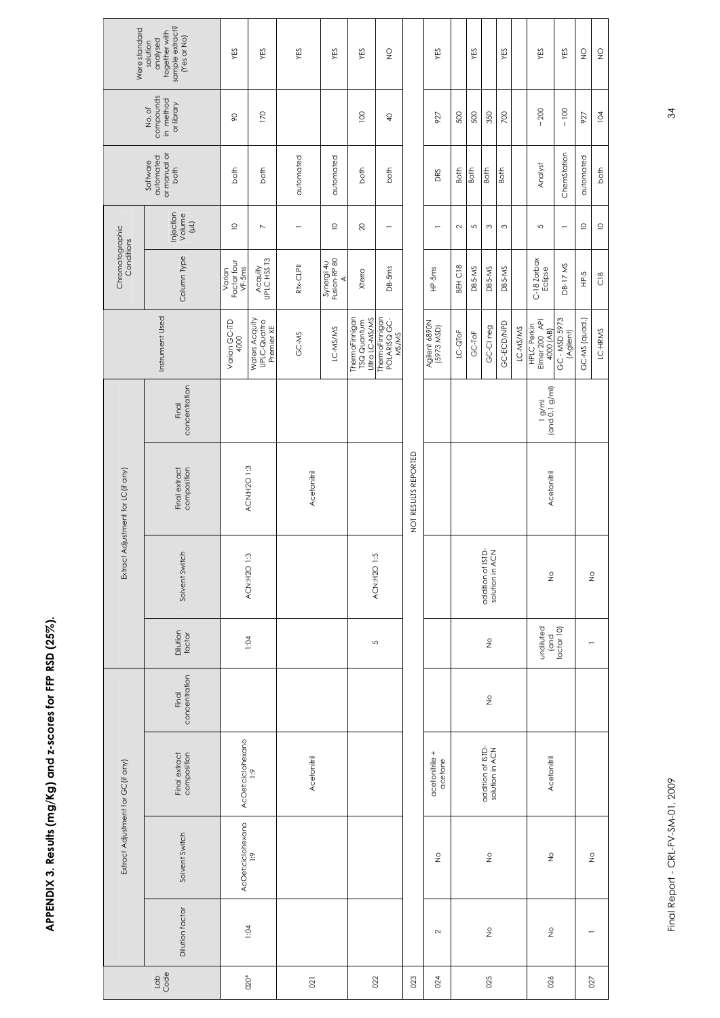| I           |
|-------------|
|             |
|             |
| I<br>י<br>ו |
|             |
|             |
| I<br>j      |

| Were standard                     | sample extract?<br>(Yes or No)<br>together with<br>analysed<br>solution | YES                               | ΥES                                          | YES            | YES                             | YES                                                    | $\frac{0}{2}$                           |                      | YES                         |         | YES            |                                      | YES        |          | YES                                       | YES                      | $\frac{\mathsf{O}}{\mathsf{Z}}$ | $\frac{Q}{Z}$     |
|-----------------------------------|-------------------------------------------------------------------------|-----------------------------------|----------------------------------------------|----------------|---------------------------------|--------------------------------------------------------|-----------------------------------------|----------------------|-----------------------------|---------|----------------|--------------------------------------|------------|----------|-------------------------------------------|--------------------------|---------------------------------|-------------------|
|                                   | compounds<br>in method<br>or library<br>No.of                           | $\infty$                          | 170                                          |                |                                 | 100                                                    | ₽                                       |                      | 927                         | 500     | 500            | 350                                  | 700        |          | 200<br>$\lambda$                          | $\sim 100$               | 927                             | 104               |
|                                   | or manual or<br>automated<br>Software<br>both                           | both                              | both                                         | automated      | automated                       | both                                                   | both                                    |                      | DRS                         | Both    | Both           | <b>Both</b>                          | Both       |          | Analyst                                   | ChemStation              | automated                       | both              |
|                                   | Injection<br>Volume<br>$(\mu)$                                          | $\supseteq$                       | $\overline{a}$                               |                | $\supseteq$                     | $\overline{20}$                                        | $\overline{\phantom{0}}$                |                      |                             | $\sim$  | $\mathfrak{c}$ | $\infty$                             | $\infty$   |          | 5                                         | $\overline{a}$           | $\supseteq$                     | $\supseteq$       |
| Chromatographic<br>Conditions     | Column Type                                                             | Factor four<br>$VF-5ms$<br>Varian | Acquity<br>UPLC HSS T3                       | Rtx-CLPII      | Synergi 4u<br>Fusion-RP 80<br>⋖ | Xterra                                                 | $DB-5ms$                                |                      | $HP-5ms$                    | BEH C18 | DB5-MS         | DB5-MS                               | DB5-MS     |          | C-18 Zorbax<br>Eclipse                    | DB-17 MS                 | Р-5                             | $\frac{8}{2}$     |
|                                   | Instrument Used                                                         | Varian GC-ITD<br>4000             | Waters Acquity<br>UPLC-Quattro<br>Premier XE | GC-MS          | LC-MS/MS                        | ThermoFinnigan<br>Ultra LC-MS/MS<br><b>TSQ</b> Quantum | ThermoFinnigan<br>POLARISQ GC-<br>MS/MS |                      | Agilent 6890N<br>(5973 MSD) | LC-QToF | GC-ToF         | GC-CI neg                            | GC-ECD/NPD | LC-MS/MS | HPLC Perkin<br>Elmer 200 API<br>4000 (AB) | GC-MSD 5973<br>(Agilent) | GC-MS (quad.)                   | LC-HRMS           |
|                                   | concentration<br>Final                                                  |                                   |                                              |                |                                 |                                                        |                                         |                      |                             |         |                |                                      |            |          | $1 g/m$<br>(and 0.1 $g/m$ l)              |                          |                                 |                   |
| Extract Adjustment for LC(if any) | composition<br>Final extract                                            | ACN:H2O 1:3                       |                                              | Acetonitril    |                                 |                                                        |                                         | NOT RESULTS REPORTED |                             |         |                |                                      |            |          | Acetonitril                               |                          |                                 |                   |
|                                   | Solvent Switch                                                          |                                   | ACN:H2O 1:3                                  |                |                                 | ACN:H2O 1:5                                            |                                         |                      |                             |         |                | addition of ISTD-<br>solution in ACN |            |          | $\frac{6}{2}$                             |                          |                                 | $\frac{\circ}{2}$ |
|                                   | Dilution<br>factor                                                      |                                   | 1:04                                         |                |                                 | $\overline{5}$                                         |                                         |                      |                             |         |                | $\frac{\circ}{2}$                    |            |          | undiluted<br>(and                         | factor 10)               |                                 |                   |
|                                   | concentration<br>Final                                                  |                                   |                                              |                |                                 |                                                        |                                         |                      |                             |         |                | $\frac{6}{5}$                        |            |          |                                           |                          |                                 |                   |
|                                   | Final extract<br>composition                                            | AcOet:ciclohexano                 | $\frac{6}{1}$                                | Acetonitril    |                                 |                                                        |                                         |                      | acetonitrile +<br>acetone   |         |                | addition of ISTD-<br>solution in ACN |            |          | Acetonitril                               |                          |                                 |                   |
| Extract Adjustment for GC(if any) | Solvent Switch                                                          | AcOet:ciclohexano                 | $\frac{6}{1}$                                |                |                                 |                                                        |                                         |                      | $\frac{\circ}{2}$           |         |                | $\frac{\circ}{2}$                    |            |          | $\frac{\circ}{2}$                         |                          |                                 | $\frac{\circ}{2}$ |
|                                   | Dilution factor                                                         |                                   | 1:04                                         |                |                                 |                                                        |                                         |                      | $\sim$                      |         |                | $\frac{6}{5}$                        |            |          | $\frac{0}{2}$                             |                          |                                 |                   |
|                                   | $\frac{1}{3}$                                                           | $020*$                            |                                              | $\overline{0}$ |                                 | 022                                                    |                                         | 023                  | 024                         |         |                | 025                                  |            |          | 026                                       |                          |                                 | 027               |

Final Report - CRL-FV-SM-01, 2009 34 Final Report - CRL-FV-SM-01, 2009

 $34$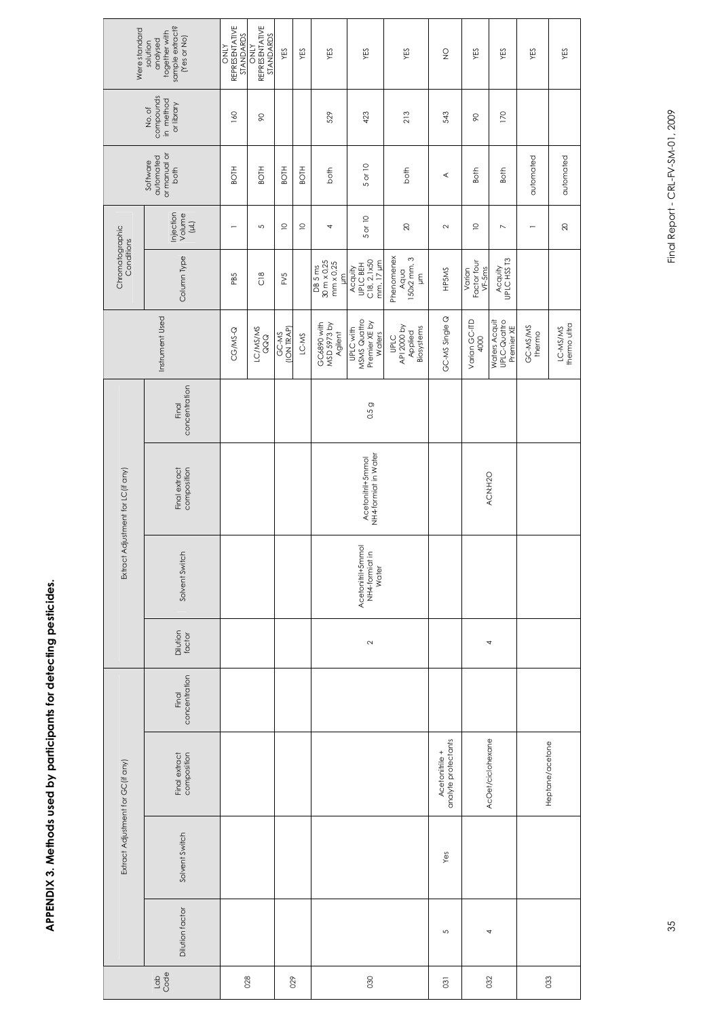# APPENDIX 3. Methods used by participants for detecting pesticides. **APPENDIX 3. Methods used by participants for detecting pesticides.**

| Were standard                      | together with<br>sample extract?<br>(Yes or No)<br>analysed<br>solution | REPRESENTATIVE<br>STANDARDS<br><b>ATNO</b> | REPRESENTATIVE<br>STANDARDS<br>NIND | YES                 | YES         | YES                                          | YES                                                         | YES                                                                   | $\frac{0}{2}$                         | YES                               | YES                                         | YES                      | YES                     |
|------------------------------------|-------------------------------------------------------------------------|--------------------------------------------|-------------------------------------|---------------------|-------------|----------------------------------------------|-------------------------------------------------------------|-----------------------------------------------------------------------|---------------------------------------|-----------------------------------|---------------------------------------------|--------------------------|-------------------------|
|                                    | compounds<br>in method<br>or library<br>No.of                           | 160                                        | $\infty$                            |                     |             | 529                                          | 423                                                         | 213                                                                   | 543                                   | $\infty$                          | 170                                         |                          |                         |
|                                    | automated<br>or manual or<br>Software<br>both                           | <b>BOTH</b>                                | <b>BOTH</b>                         | <b>BOTH</b>         | <b>BOTH</b> | both                                         | 5 or 10                                                     | both                                                                  | ≺                                     | <b>Both</b>                       | Both                                        | automated                | automated               |
|                                    | Injection<br>Volume<br>$\left( \mu \right)$                             | $\overline{\phantom{0}}$                   | 5                                   | $\supseteq$         | $\supseteq$ | 4                                            | 5 or 10                                                     | $\approx$                                                             | $\sim$                                | $\supseteq$                       | $\overline{\phantom{0}}$                    | $\overline{\phantom{0}}$ | $\otimes$               |
| Chromatographic<br>Conditions      | Column Type                                                             | PB5                                        | $\frac{8}{2}$                       | FV5                 |             | 30 m x 0,25<br>mm x 0,25<br>DB 5 ms<br>E     | <b>UPLC BEH</b><br>C18, 2,1x50<br>mm, 17 µm<br>Acquity      | Phenomenex<br>Aqua<br>150x2 mm, 3<br>$\overline{\overline{\epsilon}}$ | HP5MS                                 | Varian<br>Factor four<br>$VF-5ms$ | Acquity<br>UPLC HSS T3                      |                          |                         |
|                                    | Instrument Used                                                         | CG/MS-Q                                    | LC/MS/MS<br>QQQ                     | (ION TRAP)<br>GC-MS | LC-MS       | GC6890 with<br><b>MSD 5973 by</b><br>Agilent | MSMS Quattro<br>Premier XE by<br><b>UPLC with</b><br>Waters | UPLC<br>API 2000 by<br>Biosystems<br>Applied                          | GC-MS Single Q                        | Varian GC-ITD<br>4000             | Waters Acquit<br>UPLC-Quattro<br>Premier XE | GC-MS/MS<br>thermo       | LC-MS/MS<br>themo ultra |
|                                    | concentration<br>Final                                                  |                                            |                                     |                     |             |                                              | 0.5g                                                        |                                                                       |                                       |                                   |                                             |                          |                         |
| Extract Adjustment for LC (if any) | composition<br>Final extract                                            |                                            |                                     |                     |             |                                              | NH4-formiat in Water<br>Acetonitril+5mmol                   |                                                                       |                                       |                                   | ACN:H2O                                     |                          |                         |
|                                    | Solvent Switch                                                          |                                            |                                     |                     |             |                                              | Acetonitril+5mmol<br>NH4-formiat in<br>Water                |                                                                       |                                       |                                   |                                             |                          |                         |
|                                    | Dilution<br>factor                                                      |                                            |                                     |                     |             |                                              | $\sim$                                                      |                                                                       |                                       |                                   | 4                                           |                          |                         |
|                                    | concentration<br>Final                                                  |                                            |                                     |                     |             |                                              |                                                             |                                                                       |                                       |                                   |                                             |                          |                         |
|                                    | Final extract<br>composition                                            |                                            |                                     |                     |             |                                              |                                                             |                                                                       | Acetonitrile +<br>analyte protectants |                                   | AcOet/ciclohexane                           |                          | Heptane/acetone         |
| Extract Adjustment for GC(if any)  | Solvent Switch                                                          |                                            |                                     |                     |             |                                              |                                                             |                                                                       | Yes                                   |                                   |                                             |                          |                         |
|                                    | Dilution factor                                                         |                                            |                                     |                     |             |                                              |                                                             |                                                                       | 5                                     |                                   | 4                                           |                          |                         |
|                                    |                                                                         | 028                                        | 029                                 |                     |             | 030                                          |                                                             | $\overline{c}$                                                        |                                       | 032                               | 033                                         |                          |                         |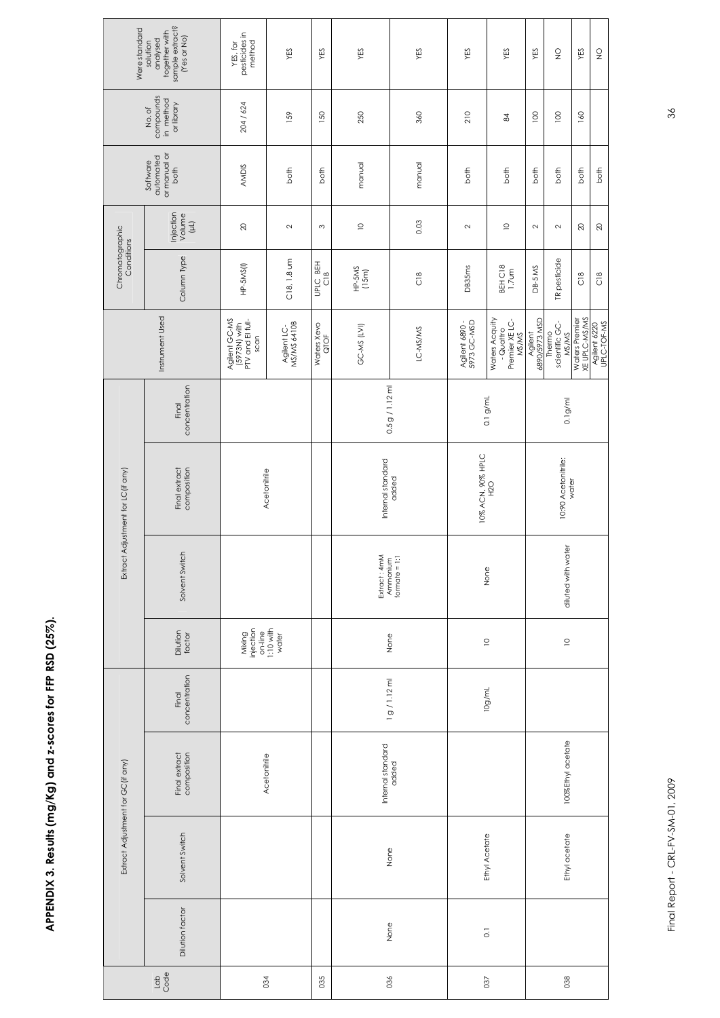## APPENDIX 3. Results (mg/Kg) and z-scores for FFP RSD (25%). **APPENDIX 3. Results (mg/Kg) and z-scores for FFP RSD (25%).**

| Were standard                     | sample extract?<br>(Yes or No)<br>analysed<br>together with<br>solution | pesticides in<br>method<br>YES, for                       | YES                        | YES                       | YES                                        | YES                        | YES                           | YES                                                    | YES                      | $\frac{\mathsf{O}}{\mathsf{Z}}$   | YES                             | $\frac{\mathsf{O}}{\mathsf{Z}}$ |
|-----------------------------------|-------------------------------------------------------------------------|-----------------------------------------------------------|----------------------------|---------------------------|--------------------------------------------|----------------------------|-------------------------------|--------------------------------------------------------|--------------------------|-----------------------------------|---------------------------------|---------------------------------|
|                                   | compounds<br>in method<br>or library<br>No.of                           | 204 / 624                                                 | 159                        |                           | 250                                        | 360                        | 210                           | $\approx$                                              | 100                      | $\overline{0}$                    | 160                             |                                 |
|                                   | or manual or<br>automated<br>Software<br>both                           | <b>AMDIS</b><br>both                                      |                            | both                      | manual<br>manual                           |                            | both<br>both                  |                                                        | both                     | both                              | both                            | both                            |
|                                   | Injection<br>Volume<br>$\begin{array}{c} \square \end{array}$           | $\infty$                                                  | $\sim$                     | $\sim$                    | $\supseteq$                                | 0.03                       | $\sim$                        | $\supseteq$                                            | $\sim$                   | $\sim$                            | $\infty$                        | $\infty$                        |
| Chromatographic<br>Conditions     | Column Type                                                             | HP-5MS(I)                                                 | C18, 1.8 um                | UPLC BEH<br>$\frac{8}{2}$ | $HP-SMS$<br>(15m)                          | $\frac{8}{2}$              | DB35ms                        | BEH C18<br>1.7um                                       | DB-5 MS                  | TR pesticide                      | $\frac{8}{2}$                   | $\frac{8}{2}$                   |
|                                   | Instrument Used                                                         | Agilent GC-MS<br>(5973N) with<br>PTV and El full-<br>scan | Agilent LC-<br>MS/MS 6410B | Waters Xevo<br>QTOF       | GC-MS (LVI)                                | LC-MS/MS                   | Agilent 6890 -<br>5973 GC-MSD | Waters Acquity<br>- Quattro<br>Premier XE LC-<br>MS/MS | Agilent<br>6890/5973 MSD | scientific GC-<br>Thermo<br>MS/MS | Waters Premier<br>XE UPLC-MS/MS | Agilent 6220<br>UPLC-TOF-MS     |
|                                   | concentration<br>Final                                                  |                                                           |                            |                           |                                            | 0.5 g / 1.12 m             |                               | $0.1$ g/mL                                             | 0.1 <sub>g</sub> /m      |                                   |                                 |                                 |
| Extract Adjustment for LC(if any) | composition<br>Final extract                                            | Acetonitrile                                              |                            |                           | Internal standard                          | added                      | 10% ACN, 90% HPLC             | <b>H2O</b>                                             |                          | 10:90 Acetonitrile:               | water                           |                                 |
|                                   | Solvent Switch                                                          |                                                           |                            |                           | Extract : 4mM<br>Ammonium<br>formate = 1:1 |                            | None                          |                                                        | diuted with water        |                                   |                                 |                                 |
|                                   | Dilution<br>factor                                                      | Mixing<br>injection<br>on-line                            | $1:10$ with<br>water       |                           | None                                       | $\supseteq$                | $\supseteq$                   |                                                        |                          |                                   |                                 |                                 |
|                                   | concentration<br>Final                                                  |                                                           |                            |                           |                                            | 1 g / 1.12 ml              | 10g/mL                        |                                                        |                          |                                   |                                 |                                 |
|                                   | composition<br>Final extract                                            | Acetonitrile                                              |                            |                           |                                            | Internal standard<br>added |                               |                                                        | 100%Ethyl acetate        |                                   |                                 |                                 |
| Extract Adjustment for GC(if any) | Solvent Switch                                                          |                                                           |                            |                           |                                            | None                       |                               | Ethyl Acetate                                          |                          | Ethyl acetate                     |                                 |                                 |
|                                   | Dilution factor                                                         |                                                           |                            |                           |                                            | None                       |                               | $\overline{\text{c}}$                                  |                          |                                   |                                 |                                 |
| $\frac{1}{9}$                     |                                                                         |                                                           | 034                        | 035                       |                                            | 036                        | 037                           | 038                                                    |                          |                                   |                                 |                                 |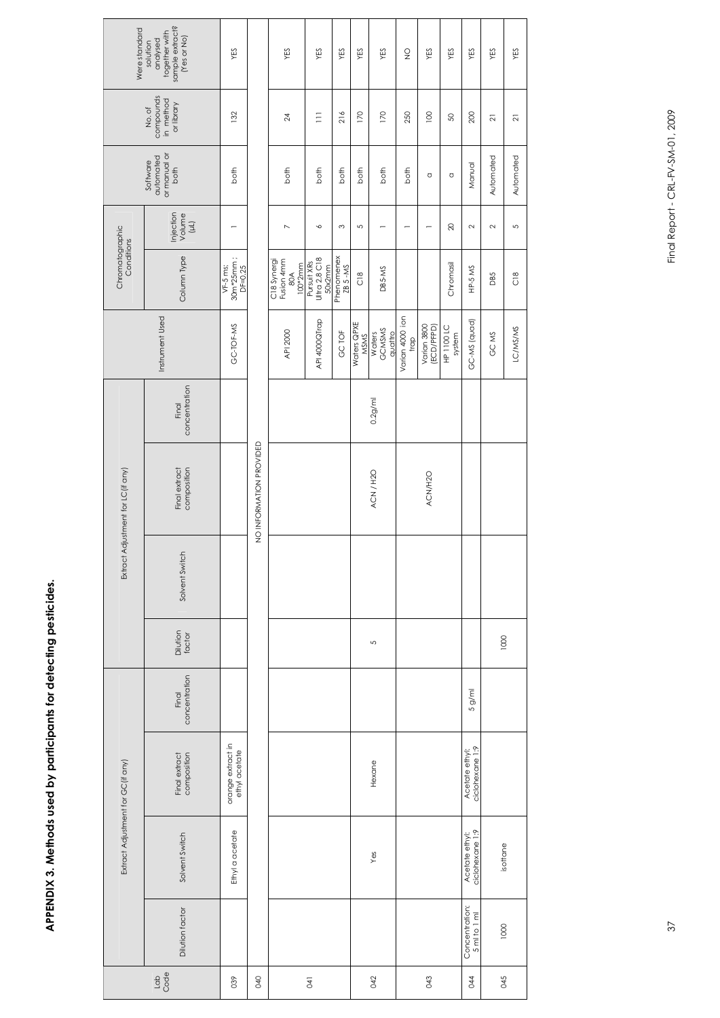| ļ                |  |
|------------------|--|
|                  |  |
| )<br>)<br>)<br>) |  |
|                  |  |
|                  |  |
| Ξ                |  |

| Were standard                      | sample extract?<br>together with<br>(Yes or No)<br>analysed<br>solution | YES                                     |                         | YES                                         | YES                                    | YES                   | YES                 | YES                         | $\frac{0}{2}$              | YES                       | YES                  | YES                               | YES            | YES            |
|------------------------------------|-------------------------------------------------------------------------|-----------------------------------------|-------------------------|---------------------------------------------|----------------------------------------|-----------------------|---------------------|-----------------------------|----------------------------|---------------------------|----------------------|-----------------------------------|----------------|----------------|
|                                    | compounds<br>in method<br>or library<br>No.of                           | 132                                     |                         | $\overline{24}$                             | $\equiv$                               | 216                   | 170                 | 170                         | 250                        | 100                       | SO,                  | 200                               | $\overline{2}$ | $\overline{z}$ |
|                                    | or manual or<br>automated<br>Software<br>both                           | both                                    |                         | both                                        | both                                   | both                  | both                | both                        | both                       | O                         | $\circ$              | Manual                            | Automated      | Automated      |
|                                    | Injection<br>Volume<br>$\begin{array}{c} \square \end{array}$           | —                                       |                         | $\overline{ }$                              | ╰                                      | S                     | 5                   | $\overline{\phantom{0}}$    |                            | $\overline{ }$            | $\gtrsim$            | $\sim$                            | $\sim$         | 5              |
| Chromatographic<br>Conditions      | Column Type                                                             | $30m*25mm$ ;<br>VF-5 ms;<br>$DF = 0.25$ |                         | C18 Synergi<br>Fusion 4mm<br>100*2mm<br>80A | Ultra 2,8 C18<br>Pursuit XRs<br>50x2mm | Phenomenex<br>ZB 5-MS | $\frac{8}{2}$       | DB5-MS                      |                            |                           | Chromasil            | HP-5 MS                           | <b>DB5</b>     | $\frac{8}{2}$  |
|                                    | Instrument Used                                                         | GC-TOF-MS                               |                         | API 2000                                    | API 4000QTrap                          | GC TOF                | Waters QPXE<br>MSMS | GCMSMS<br>quattro<br>Waters | Varian 4000 ion<br>$t$ rap | Varian 3800<br>(ECD/PFPD) | HP 1100 LC<br>system | GC-MS (quad)                      | GC MS          | LC/MS/MS       |
|                                    | concentration<br>Final                                                  |                                         |                         |                                             |                                        |                       |                     | 0.2g/m                      |                            |                           |                      |                                   |                |                |
| Extract Adjustment for LC (if any) | composition<br>Final extract                                            |                                         | NO INFORMATION PROVIDED |                                             |                                        | ACN/H2O               |                     | ACN/H2O                     |                            |                           |                      |                                   |                |                |
|                                    | Solvent Switch                                                          |                                         |                         |                                             |                                        |                       |                     |                             |                            |                           |                      |                                   |                |                |
|                                    | Dilution<br>factor                                                      |                                         |                         |                                             |                                        |                       |                     | 5                           |                            |                           |                      |                                   | 1000           |                |
|                                    | concentration<br>Final                                                  |                                         |                         |                                             |                                        |                       |                     |                             |                            |                           |                      | 5 g/m                             |                |                |
|                                    | composition<br>Final extract                                            | orange extract in<br>ethyl acetate      |                         |                                             |                                        |                       |                     | Hexane                      |                            |                           |                      | ciclohexane 1:9<br>Acetate ethyl: |                |                |
| Extract Adjustment for GC (if any) | Solvent Switch                                                          | Ethyl a acetate                         |                         |                                             |                                        |                       |                     | Yes                         |                            |                           |                      | ciclohexane 1:9<br>Acetate ethyl: | isottane       |                |
|                                    | Dilution factor                                                         |                                         |                         |                                             |                                        |                       |                     |                             |                            |                           |                      | Concentration:<br>5 ml to 1 ml    | 1000           |                |
| $\frac{1}{6}$                      |                                                                         | 039                                     | 940                     |                                             | $\overline{1}$                         |                       |                     | 042                         |                            | 3                         |                      | 044                               | 045            |                |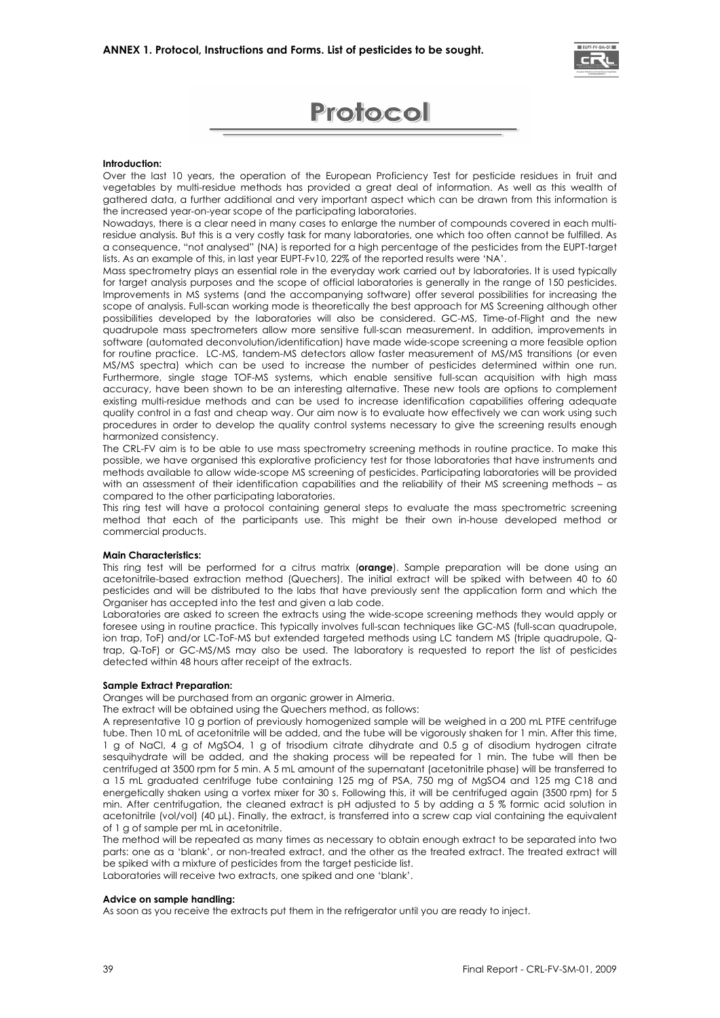



#### **Introduction:**

Over the last 10 years, the operation of the European Proficiency Test for pesticide residues in fruit and vegetables by multi-residue methods has provided a great deal of information. As well as this wealth of gathered data, a further additional and very important aspect which can be drawn from this information is the increased year-on-year scope of the participating laboratories.

Nowadays, there is a clear need in many cases to enlarge the number of compounds covered in each multiresidue analysis. But this is a very costly task for many laboratories, one which too often cannot be fulfilled. As a consequence, "not analysed" (NA) is reported for a high percentage of the pesticides from the EUPT-target lists. As an example of this, in last year EUPT-Fv10, 22% of the reported results were 'NA'.

Mass spectrometry plays an essential role in the everyday work carried out by laboratories. It is used typically for target analysis purposes and the scope of official laboratories is generally in the range of 150 pesticides. Improvements in MS systems (and the accompanying software) offer several possibilities for increasing the scope of analysis. Full-scan working mode is theoretically the best approach for MS Screening although other possibilities developed by the laboratories will also be considered. GC-MS, Time-of-Flight and the new quadrupole mass spectrometers allow more sensitive full-scan measurement. In addition, improvements in software (automated deconvolution/identification) have made wide-scope screening a more feasible option for routine practice. LC-MS, tandem-MS detectors allow faster measurement of MS/MS transitions (or even MS/MS spectra) which can be used to increase the number of pesticides determined within one run. Furthermore, single stage TOF-MS systems, which enable sensitive full-scan acquisition with high mass accuracy, have been shown to be an interesting alternative. These new tools are options to complement existing multi-residue methods and can be used to increase identification capabilities offering adequate quality control in a fast and cheap way. Our aim now is to evaluate how effectively we can work using such procedures in order to develop the quality control systems necessary to give the screening results enough harmonized consistency.

The CRL-FV aim is to be able to use mass spectrometry screening methods in routine practice. To make this possible, we have organised this explorative proficiency test for those laboratories that have instruments and methods available to allow wide-scope MS screening of pesticides. Participating laboratories will be provided with an assessment of their identification capabilities and the reliability of their MS screening methods – as compared to the other participating laboratories.

This ring test will have a protocol containing general steps to evaluate the mass spectrometric screening method that each of the participants use. This might be their own in-house developed method or commercial products.

#### **Main Characteristics:**

This ring test will be performed for a citrus matrix (**orange**). Sample preparation will be done using an acetonitrile-based extraction method (Quechers). The initial extract will be spiked with between 40 to 60 pesticides and will be distributed to the labs that have previously sent the application form and which the Organiser has accepted into the test and given a lab code.

Laboratories are asked to screen the extracts using the wide-scope screening methods they would apply or foresee using in routine practice. This typically involves full-scan techniques like GC-MS (full-scan quadrupole, ion trap, ToF) and/or LC-ToF-MS but extended targeted methods using LC tandem MS (triple quadrupole, Qtrap, Q-ToF) or GC-MS/MS may also be used. The laboratory is requested to report the list of pesticides detected within 48 hours after receipt of the extracts.

#### **Sample Extract Preparation:**

Oranges will be purchased from an organic grower in Almeria.

The extract will be obtained using the Quechers method, as follows:

A representative 10 g portion of previously homogenized sample will be weighed in a 200 mL PTFE centrifuge tube. Then 10 mL of acetonitrile will be added, and the tube will be vigorously shaken for 1 min. After this time, 1 g of NaCl, 4 g of MgSO4, 1 g of trisodium citrate dihydrate and 0.5 g of disodium hydrogen citrate sesquihydrate will be added, and the shaking process will be repeated for 1 min. The tube will then be centrifuged at 3500 rpm for 5 min. A 5 mL amount of the supernatant (acetonitrile phase) will be transferred to a 15 mL graduated centrifuge tube containing 125 mg of PSA, 750 mg of MgSO4 and 125 mg C18 and energetically shaken using a vortex mixer for 30 s. Following this, it will be centrifuged again (3500 rpm) for 5 min. After centrifugation, the cleaned extract is pH adjusted to 5 by adding a 5 % formic acid solution in acetonitrile (vol/vol) (40 μL). Finally, the extract, is transferred into a screw cap vial containing the equivalent of 1 g of sample per mL in acetonitrile.

The method will be repeated as many times as necessary to obtain enough extract to be separated into two parts: one as a 'blank', or non-treated extract, and the other as the treated extract. The treated extract will be spiked with a mixture of pesticides from the target pesticide list. Laboratories will receive two extracts, one spiked and one 'blank'.

#### **Advice on sample handling:**

As soon as you receive the extracts put them in the refrigerator until you are ready to inject.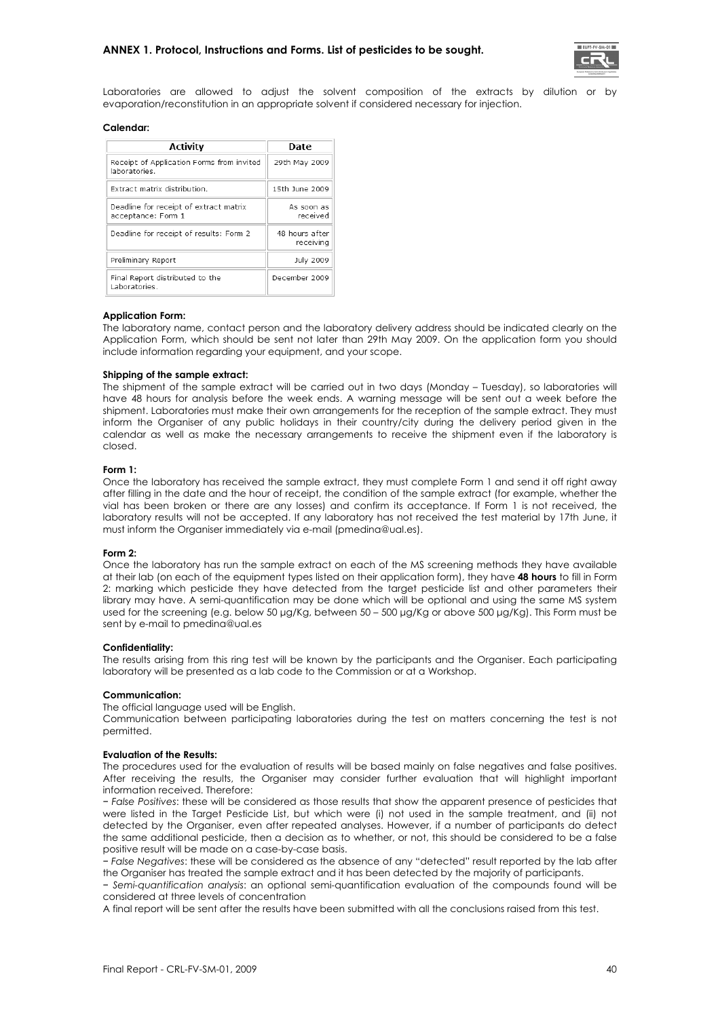

Laboratories are allowed to adjust the solvent composition of the extracts by dilution or by evaporation/reconstitution in an appropriate solvent if considered necessary for injection.

#### **Calendar:**

| Activity                                                     | <b>Date</b>                 |
|--------------------------------------------------------------|-----------------------------|
| Receipt of Application Forms from invited<br>laboratories.   | 29th May 2009               |
| Extract matrix distribution.                                 | 15th June 2009              |
| Deadline for receipt of extract matrix<br>acceptance: Form 1 | As soon as<br>received      |
| Deadline for receipt of results: Form 2                      | 48 hours after<br>receiving |
| Preliminary Report                                           | July 2009                   |
| Final Report distributed to the<br>Laboratories.             | December 2009               |

#### **Application Form:**

The laboratory name, contact person and the laboratory delivery address should be indicated clearly on the Application Form, which should be sent not later than 29th May 2009. On the application form you should include information regarding your equipment, and your scope.

#### **Shipping of the sample extract:**

The shipment of the sample extract will be carried out in two days (Monday – Tuesday), so laboratories will have 48 hours for analysis before the week ends. A warning message will be sent out a week before the shipment. Laboratories must make their own arrangements for the reception of the sample extract. They must inform the Organiser of any public holidays in their country/city during the delivery period given in the calendar as well as make the necessary arrangements to receive the shipment even if the laboratory is closed.

#### **Form 1:**

Once the laboratory has received the sample extract, they must complete Form 1 and send it off right away after filling in the date and the hour of receipt, the condition of the sample extract (for example, whether the vial has been broken or there are any losses) and confirm its acceptance. If Form 1 is not received, the laboratory results will not be accepted. If any laboratory has not received the test material by 17th June, it must inform the Organiser immediately via e-mail (pmedina@ual.es).

#### **Form 2:**

Once the laboratory has run the sample extract on each of the MS screening methods they have available at their lab (on each of the equipment types listed on their application form), they have **48 hours** to fill in Form 2: marking which pesticide they have detected from the target pesticide list and other parameters their library may have. A semi-quantification may be done which will be optional and using the same MS system used for the screening (e.g. below 50 μg/Kg, between 50 – 500 μg/Kg or above 500 μg/Kg). This Form must be sent by e-mail to pmedina@ual.es

#### **Confidentiality:**

The results arising from this ring test will be known by the participants and the Organiser. Each participating laboratory will be presented as a lab code to the Commission or at a Workshop.

#### **Communication:**

The official language used will be English.

Communication between participating laboratories during the test on matters concerning the test is not permitted.

#### **Evaluation of the Results:**

The procedures used for the evaluation of results will be based mainly on false negatives and false positives. After receiving the results, the Organiser may consider further evaluation that will highlight important information received. Therefore:

− *False Positives*: these will be considered as those results that show the apparent presence of pesticides that were listed in the Target Pesticide List, but which were (i) not used in the sample treatment, and (ii) not detected by the Organiser, even after repeated analyses. However, if a number of participants do detect the same additional pesticide, then a decision as to whether, or not, this should be considered to be a false positive result will be made on a case-by-case basis.

− *False Negatives*: these will be considered as the absence of any "detected" result reported by the lab after the Organiser has treated the sample extract and it has been detected by the majority of participants.

− *Semi-quantification analysis*: an optional semi-quantification evaluation of the compounds found will be considered at three levels of concentration

A final report will be sent after the results have been submitted with all the conclusions raised from this test.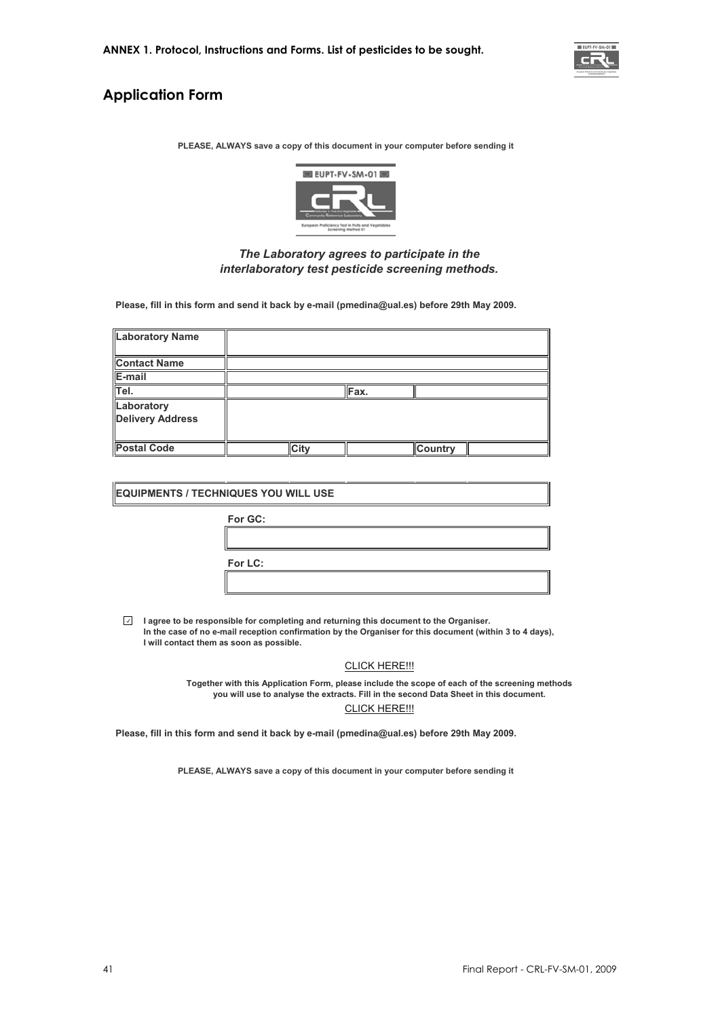

#### **Application Form**

**PLEASE, ALWAYS save a copy of this document in your computer before sending it**



#### *The Laboratory agrees to participate in the interlaboratory test pesticide screening methods.*

**Please, fill in this form and send it back by e-mail (pmedina@ual.es) before 29th May 2009.**

| <b>Laboratory Name</b>                |             |      |                |
|---------------------------------------|-------------|------|----------------|
| <b>Contact Name</b>                   |             |      |                |
| E-mail                                |             |      |                |
| Tel.                                  |             | Fax. |                |
| Laboratory<br><b>Delivery Address</b> |             |      |                |
| <b>Postal Code</b>                    | <b>City</b> |      | <b>Country</b> |

| <b>EQUIPMENTS / TECHNIQUES YOU WILL USE</b> |         |  |  |  |  |  |  |
|---------------------------------------------|---------|--|--|--|--|--|--|
|                                             | For GC: |  |  |  |  |  |  |
|                                             |         |  |  |  |  |  |  |
|                                             | For LC: |  |  |  |  |  |  |
|                                             |         |  |  |  |  |  |  |

**I agree to be responsible for completing and returning this document to the Organiser. In the case of no e-mail reception confirmation by the Organiser for this document (within 3 to 4 days), I will contact them as soon as possible.**

#### CLICK HERE!!!

CLICK HERE!!! **Together with this Application Form, please include the scope of each of the screening methods you will use to analyse the extracts. Fill in the second Data Sheet in this document.**

**Please, fill in this form and send it back by e-mail (pmedina@ual.es) before 29th May 2009.**

**PLEASE, ALWAYS save a copy of this document in your computer before sending it**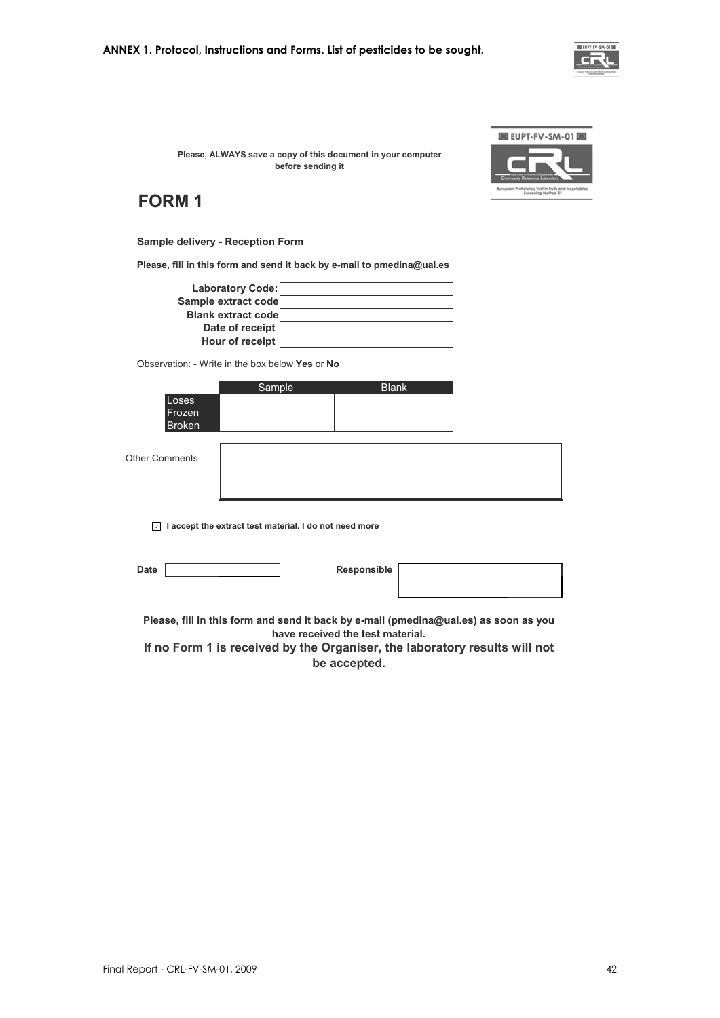

**Please, ALWAYS save a copy of this document in your computer before sending it**



#### **FORM 1**

#### **Sample delivery - Reception Form**

**Please, fill in this form and send it back by e-mail to pmedina@ual.es**

| <b>Laboratory Code:</b>   |  |
|---------------------------|--|
| Sample extract code       |  |
| <b>Blank extract code</b> |  |
| Date of receipt           |  |
| Hour of receipt           |  |

Observation: - Write in the box below **Yes** or **No** 

|                       | Sample | <b>Blank</b> |  |
|-----------------------|--------|--------------|--|
| Loses<br>Frozen       |        |              |  |
| <b>Broken</b>         |        |              |  |
| <b>Other Comments</b> |        |              |  |
|                       |        |              |  |

**I accept the extract test material. I do not need more**

| יכי<br>. . |  |
|------------|--|
|            |  |

**Responsible** 

**Please, fill in this form and send it back by e-mail (pmedina@ual.es) as soon as you have received the test material.** 

**If no Form 1 is received by the Organiser, the laboratory results will not be accepted.**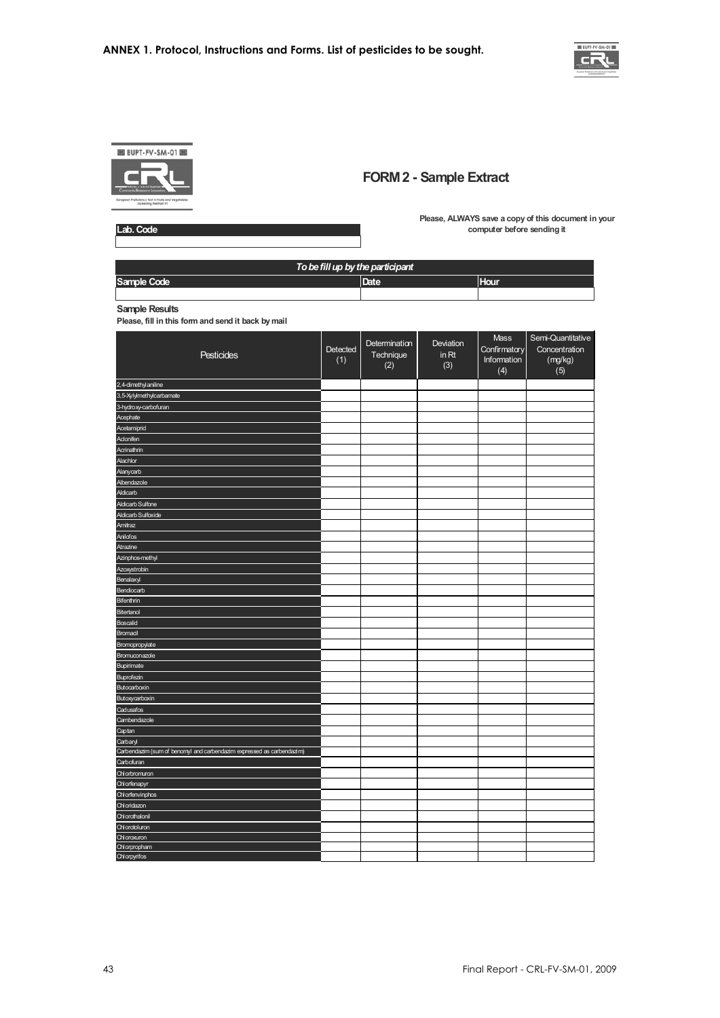



#### **FORM 2 - Sample Extract**

**Lab. Code**

**Please, ALWAYS save a copy of this document in your computer before sending it**

| To be fill up by the participant |      |             |  |  |
|----------------------------------|------|-------------|--|--|
| Sample Code                      | Date | <b>Hour</b> |  |  |
|                                  |      |             |  |  |

**Sample Results**

**Please, fill in this form and send it back by mail**

| Pesticides                                                            | Detected<br>(1) | Determination<br>Technique<br>(2) | Deviation<br>in Rt<br>(3) | Mass<br>Confirmatory<br>Information<br>(4) | Semi-Quantitative<br>Concentration<br>(mg/kg)<br>(5) |
|-----------------------------------------------------------------------|-----------------|-----------------------------------|---------------------------|--------------------------------------------|------------------------------------------------------|
| 2,4-dimethyl aniline                                                  |                 |                                   |                           |                                            |                                                      |
| 3,5-Xylylmethylcarbamate                                              |                 |                                   |                           |                                            |                                                      |
| 3-hydroxy-carbofuran                                                  |                 |                                   |                           |                                            |                                                      |
| Acephate                                                              |                 |                                   |                           |                                            |                                                      |
| Acetamiprid                                                           |                 |                                   |                           |                                            |                                                      |
| Aclonifen                                                             |                 |                                   |                           |                                            |                                                      |
| Acrinathrin                                                           |                 |                                   |                           |                                            |                                                      |
| Alachlor                                                              |                 |                                   |                           |                                            |                                                      |
| Alanycarb                                                             |                 |                                   |                           |                                            |                                                      |
| Albendazole                                                           |                 |                                   |                           |                                            |                                                      |
| Aldicarb                                                              |                 |                                   |                           |                                            |                                                      |
| <b>Aldicarb Sulfone</b>                                               |                 |                                   |                           |                                            |                                                      |
| Aldicarb Sulfoxide                                                    |                 |                                   |                           |                                            |                                                      |
| Amitraz                                                               |                 |                                   |                           |                                            |                                                      |
| Anilofos                                                              |                 |                                   |                           |                                            |                                                      |
| Atrazine                                                              |                 |                                   |                           |                                            |                                                      |
| Azinphos-methyl                                                       |                 |                                   |                           |                                            |                                                      |
| Azoxystrobin                                                          |                 |                                   |                           |                                            |                                                      |
| Benalaxyl                                                             |                 |                                   |                           |                                            |                                                      |
| Bendiocarb                                                            |                 |                                   |                           |                                            |                                                      |
| Bifenthrin                                                            |                 |                                   |                           |                                            |                                                      |
| Bitertanol                                                            |                 |                                   |                           |                                            |                                                      |
| Boscalid                                                              |                 |                                   |                           |                                            |                                                      |
| Bromacil                                                              |                 |                                   |                           |                                            |                                                      |
| Bromopropylate                                                        |                 |                                   |                           |                                            |                                                      |
| Bromuconazole                                                         |                 |                                   |                           |                                            |                                                      |
| Bupirimate                                                            |                 |                                   |                           |                                            |                                                      |
| Buprofezin                                                            |                 |                                   |                           |                                            |                                                      |
| Butocarboxin                                                          |                 |                                   |                           |                                            |                                                      |
| Butoxycarboxin                                                        |                 |                                   |                           |                                            |                                                      |
| Cadusafos                                                             |                 |                                   |                           |                                            |                                                      |
| Cambendazole                                                          |                 |                                   |                           |                                            |                                                      |
| Captan                                                                |                 |                                   |                           |                                            |                                                      |
| Carbaryl                                                              |                 |                                   |                           |                                            |                                                      |
| Carbendazim (sum of benomyl and carbendazim expressed as carbendazim) |                 |                                   |                           |                                            |                                                      |
| Carbofuran                                                            |                 |                                   |                           |                                            |                                                      |
| Chlorbromuron                                                         |                 |                                   |                           |                                            |                                                      |
| Chl orfenapyr                                                         |                 |                                   |                           |                                            |                                                      |
| Chlorfenvinphos                                                       |                 |                                   |                           |                                            |                                                      |
| Chloridazon                                                           |                 |                                   |                           |                                            |                                                      |
| Chlorothalonil                                                        |                 |                                   |                           |                                            |                                                      |
| Chl orotoluron                                                        |                 |                                   |                           |                                            |                                                      |
| Chloroxuron                                                           |                 |                                   |                           |                                            |                                                      |
| Chlorpropham<br>Chlorpyrifos                                          |                 |                                   |                           |                                            |                                                      |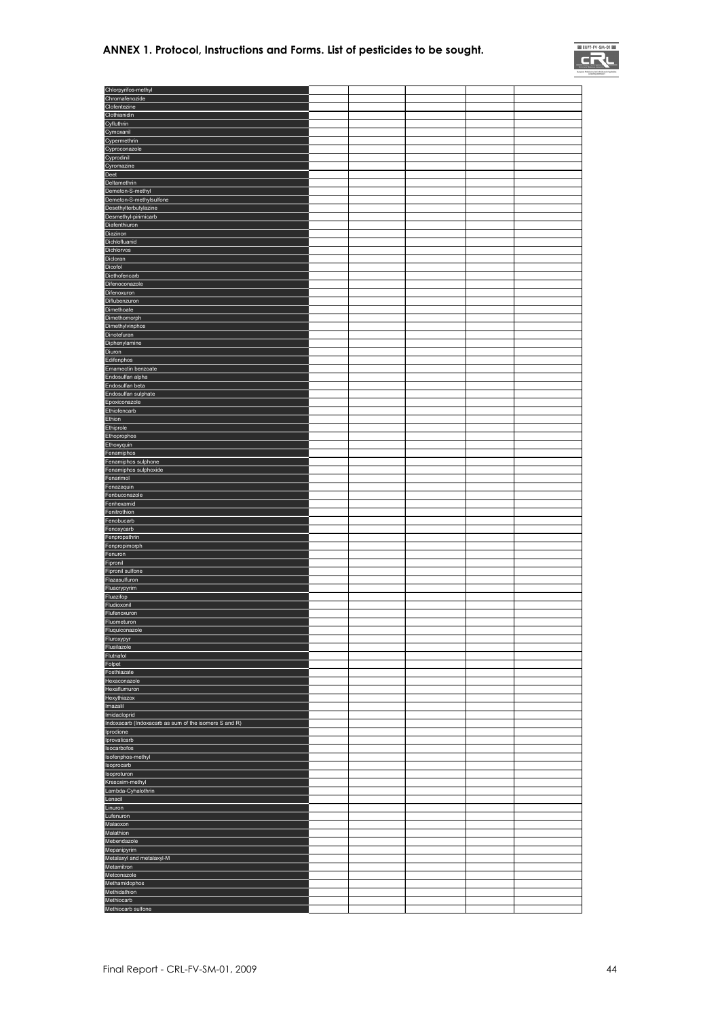#### **ANNEX 1. Protocol, Instructions and Forms. List of pesticides to be sought.**



| Chlorpyrifos-methyl                                                                                                                                                                                                                                                                                                             |  |  |  |
|---------------------------------------------------------------------------------------------------------------------------------------------------------------------------------------------------------------------------------------------------------------------------------------------------------------------------------|--|--|--|
| Chromafenozide                                                                                                                                                                                                                                                                                                                  |  |  |  |
| Clofentezine                                                                                                                                                                                                                                                                                                                    |  |  |  |
| Clothianidin                                                                                                                                                                                                                                                                                                                    |  |  |  |
| Cyfluthrin                                                                                                                                                                                                                                                                                                                      |  |  |  |
| Cymoxanil<br>Cypermethrin                                                                                                                                                                                                                                                                                                       |  |  |  |
| Cyproconazole                                                                                                                                                                                                                                                                                                                   |  |  |  |
| Cyprodinil                                                                                                                                                                                                                                                                                                                      |  |  |  |
| Cyromazine                                                                                                                                                                                                                                                                                                                      |  |  |  |
| Deet                                                                                                                                                                                                                                                                                                                            |  |  |  |
| Deltamethrin                                                                                                                                                                                                                                                                                                                    |  |  |  |
| Demeton-S-methyl                                                                                                                                                                                                                                                                                                                |  |  |  |
| Demeton-S-methylsulfone                                                                                                                                                                                                                                                                                                         |  |  |  |
| Desethylterbutylazine                                                                                                                                                                                                                                                                                                           |  |  |  |
| Desmethyl-pirimicarb<br>Diafenthiuron                                                                                                                                                                                                                                                                                           |  |  |  |
| Diazinon                                                                                                                                                                                                                                                                                                                        |  |  |  |
| Dichlofluanid                                                                                                                                                                                                                                                                                                                   |  |  |  |
| Dichlorvos                                                                                                                                                                                                                                                                                                                      |  |  |  |
| Dicloran                                                                                                                                                                                                                                                                                                                        |  |  |  |
| Dicofol                                                                                                                                                                                                                                                                                                                         |  |  |  |
| Diethofencarb                                                                                                                                                                                                                                                                                                                   |  |  |  |
| Difenoconazole                                                                                                                                                                                                                                                                                                                  |  |  |  |
| Difenoxuron                                                                                                                                                                                                                                                                                                                     |  |  |  |
| Diflubenzuron<br>Dimethoate                                                                                                                                                                                                                                                                                                     |  |  |  |
| Dimethomorph                                                                                                                                                                                                                                                                                                                    |  |  |  |
| Dimethylvinphos                                                                                                                                                                                                                                                                                                                 |  |  |  |
| Dinotefuran                                                                                                                                                                                                                                                                                                                     |  |  |  |
| Diphenylamine                                                                                                                                                                                                                                                                                                                   |  |  |  |
| <b>Diuron</b>                                                                                                                                                                                                                                                                                                                   |  |  |  |
| Edifenphos                                                                                                                                                                                                                                                                                                                      |  |  |  |
| Emamectin benzoate                                                                                                                                                                                                                                                                                                              |  |  |  |
| Endosulfan alpha<br>Endosulfan beta                                                                                                                                                                                                                                                                                             |  |  |  |
| Endosulfan sulphate                                                                                                                                                                                                                                                                                                             |  |  |  |
| Epoxiconazole                                                                                                                                                                                                                                                                                                                   |  |  |  |
| Ethiofencarb                                                                                                                                                                                                                                                                                                                    |  |  |  |
| Ethion                                                                                                                                                                                                                                                                                                                          |  |  |  |
| Ethiprole                                                                                                                                                                                                                                                                                                                       |  |  |  |
| Ethoprophos                                                                                                                                                                                                                                                                                                                     |  |  |  |
| Ethoxyquin                                                                                                                                                                                                                                                                                                                      |  |  |  |
| Fenamiphos                                                                                                                                                                                                                                                                                                                      |  |  |  |
| Fenamiphos sulphone                                                                                                                                                                                                                                                                                                             |  |  |  |
| Fenamiphos sulphoxide<br>Fenarimol                                                                                                                                                                                                                                                                                              |  |  |  |
| Fenazaquin                                                                                                                                                                                                                                                                                                                      |  |  |  |
| Fenbuconazole                                                                                                                                                                                                                                                                                                                   |  |  |  |
| Fenhexamid                                                                                                                                                                                                                                                                                                                      |  |  |  |
| Fenitrothion                                                                                                                                                                                                                                                                                                                    |  |  |  |
| Fenobucarb                                                                                                                                                                                                                                                                                                                      |  |  |  |
| Fenoxycarb                                                                                                                                                                                                                                                                                                                      |  |  |  |
| Fenpropathrin                                                                                                                                                                                                                                                                                                                   |  |  |  |
| Fenpropimorph<br>Fenuron                                                                                                                                                                                                                                                                                                        |  |  |  |
| Fipronil                                                                                                                                                                                                                                                                                                                        |  |  |  |
| Fipronil sulfone                                                                                                                                                                                                                                                                                                                |  |  |  |
| Flazasulfuron                                                                                                                                                                                                                                                                                                                   |  |  |  |
| Fluacrypyrim                                                                                                                                                                                                                                                                                                                    |  |  |  |
| Fluazifop                                                                                                                                                                                                                                                                                                                       |  |  |  |
| Fludioxonil                                                                                                                                                                                                                                                                                                                     |  |  |  |
| Flufenoxuron                                                                                                                                                                                                                                                                                                                    |  |  |  |
| Fluometuron<br>Fluquiconazole                                                                                                                                                                                                                                                                                                   |  |  |  |
| Fluroxypyr                                                                                                                                                                                                                                                                                                                      |  |  |  |
| Flusilazole                                                                                                                                                                                                                                                                                                                     |  |  |  |
| Flutriafol                                                                                                                                                                                                                                                                                                                      |  |  |  |
| Folpet                                                                                                                                                                                                                                                                                                                          |  |  |  |
| Fosthiazate                                                                                                                                                                                                                                                                                                                     |  |  |  |
| Hexaconazole                                                                                                                                                                                                                                                                                                                    |  |  |  |
| Hexaflumuron<br>Hexythiazox                                                                                                                                                                                                                                                                                                     |  |  |  |
| Imazalil                                                                                                                                                                                                                                                                                                                        |  |  |  |
| Imidacloprid                                                                                                                                                                                                                                                                                                                    |  |  |  |
| Indoxacarb (Indoxacarb as sum of the isomers S and R)                                                                                                                                                                                                                                                                           |  |  |  |
| Iprodione                                                                                                                                                                                                                                                                                                                       |  |  |  |
| Iprovalicarb                                                                                                                                                                                                                                                                                                                    |  |  |  |
|                                                                                                                                                                                                                                                                                                                                 |  |  |  |
|                                                                                                                                                                                                                                                                                                                                 |  |  |  |
|                                                                                                                                                                                                                                                                                                                                 |  |  |  |
|                                                                                                                                                                                                                                                                                                                                 |  |  |  |
|                                                                                                                                                                                                                                                                                                                                 |  |  |  |
|                                                                                                                                                                                                                                                                                                                                 |  |  |  |
|                                                                                                                                                                                                                                                                                                                                 |  |  |  |
|                                                                                                                                                                                                                                                                                                                                 |  |  |  |
|                                                                                                                                                                                                                                                                                                                                 |  |  |  |
|                                                                                                                                                                                                                                                                                                                                 |  |  |  |
|                                                                                                                                                                                                                                                                                                                                 |  |  |  |
|                                                                                                                                                                                                                                                                                                                                 |  |  |  |
|                                                                                                                                                                                                                                                                                                                                 |  |  |  |
|                                                                                                                                                                                                                                                                                                                                 |  |  |  |
|                                                                                                                                                                                                                                                                                                                                 |  |  |  |
|                                                                                                                                                                                                                                                                                                                                 |  |  |  |
|                                                                                                                                                                                                                                                                                                                                 |  |  |  |
| Isocarbofos<br>Isofenphos-methyl<br>Isoprocarb<br>Isoproturon<br>Kresoxim-methyl<br>Lambda-Cyhalothrin<br>Lenacil<br>Linuron<br>Lufenuron<br>Malaoxon<br>Malathion<br>Mebendazole<br>Mepanipyrim<br>Metalaxyl and metalaxyl-M<br>Metamitron<br>Metconazole<br>Methamidophos<br>Methidathion<br>Methiocarb<br>Methiocarb sulfone |  |  |  |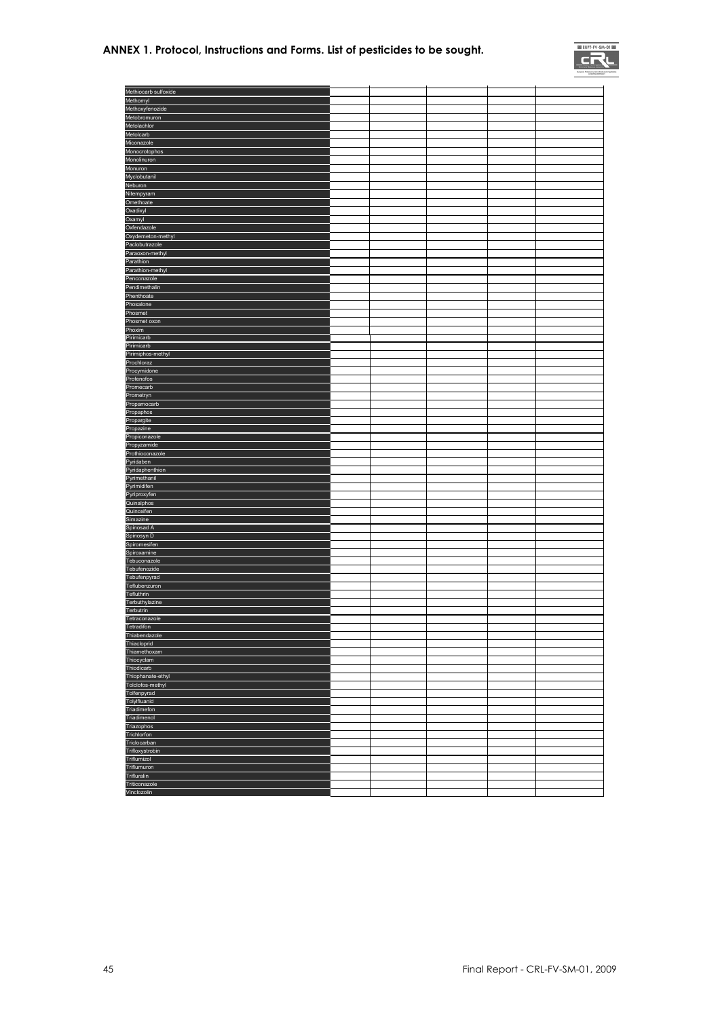#### **ANNEX 1. Protocol, Instructions and Forms. List of pesticides to be sought.**



| Methiocarb sulfoxide     |  |  |  |
|--------------------------|--|--|--|
| Methomyl                 |  |  |  |
| Methoxyfenozide          |  |  |  |
| Metobromuron             |  |  |  |
| Metolachlor              |  |  |  |
| Metolcarb                |  |  |  |
| Miconazole               |  |  |  |
| Monocrotophos            |  |  |  |
| Monolinuron              |  |  |  |
| Monuron                  |  |  |  |
| Myclobutanil             |  |  |  |
| Neburon                  |  |  |  |
| Nitempyram               |  |  |  |
| Omethoate                |  |  |  |
| Oxadixyl                 |  |  |  |
| Oxamyl                   |  |  |  |
| Oxfendazole              |  |  |  |
| Oxydemeton-methyl        |  |  |  |
| Paclobutrazole           |  |  |  |
| Paraoxon-methyl          |  |  |  |
| Parathion                |  |  |  |
| Parathion-methyl         |  |  |  |
| Penconazole              |  |  |  |
| Pendimethalin            |  |  |  |
| Phenthoate               |  |  |  |
| Phosalone                |  |  |  |
| Phosmet                  |  |  |  |
| Phosmet oxon             |  |  |  |
| Phoxim                   |  |  |  |
| Pirimicarb               |  |  |  |
| Pirimicarb               |  |  |  |
| Pirimiphos-methyl        |  |  |  |
| Prochloraz               |  |  |  |
| Procymidone              |  |  |  |
| Profenofos               |  |  |  |
| Promecarb                |  |  |  |
| Prometryn                |  |  |  |
| Propamocarb              |  |  |  |
| Propaphos                |  |  |  |
| Propargite               |  |  |  |
| Propazine                |  |  |  |
| Propiconazole            |  |  |  |
| Propyzamide              |  |  |  |
| Prothioconazole          |  |  |  |
| Pyridaben                |  |  |  |
| Pyridaphenthion          |  |  |  |
| Pyrimethanil             |  |  |  |
| Pyrimidifen              |  |  |  |
| Pyriproxyfen             |  |  |  |
| Quinalphos<br>Quinoxifen |  |  |  |
|                          |  |  |  |
| Simazine<br>Spinosad A   |  |  |  |
| Spinosyn D               |  |  |  |
| Spiromesifen             |  |  |  |
| Spiroxamine              |  |  |  |
| Tebuconazole             |  |  |  |
| Tebufenozide             |  |  |  |
| Tebufenpyrad             |  |  |  |
| Teflubenzuron            |  |  |  |
| Tefluthrin               |  |  |  |
| Terbuthylazine           |  |  |  |
| Terbutrin                |  |  |  |
| Tetraconazole            |  |  |  |
| Tetradifon               |  |  |  |
| Thiabendazole            |  |  |  |
| Thiacloprid              |  |  |  |
| Thiamethoxam             |  |  |  |
| Thiocyclam               |  |  |  |
| Thiodicarb               |  |  |  |
| Thiophanate-ethyl        |  |  |  |
| Tolclofos-methyl         |  |  |  |
| Tolfenpyrad              |  |  |  |
| Tolylfluanid             |  |  |  |
| Triadimefon              |  |  |  |
| Triadimenol              |  |  |  |
| Triazophos               |  |  |  |
| Trichlorfon              |  |  |  |
| Triclocarban             |  |  |  |
| Trifloxystrobin          |  |  |  |
| Triflumizol              |  |  |  |
| Triflumuron              |  |  |  |
| Trifluralin              |  |  |  |
| Triticonazole            |  |  |  |
| Vinclozolin              |  |  |  |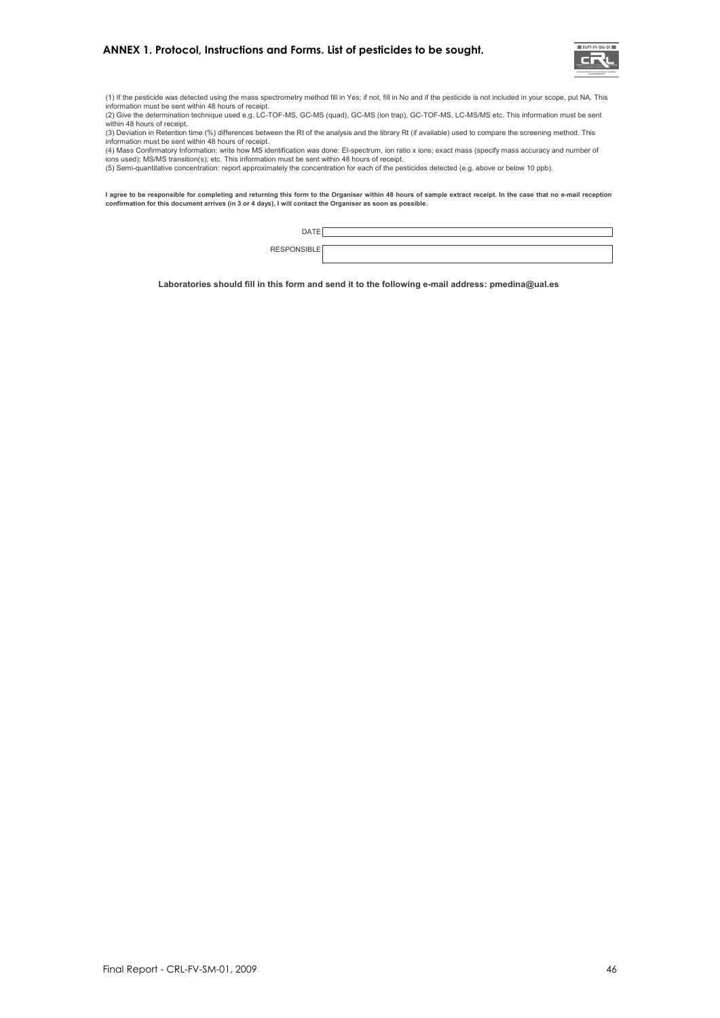

(1) If the pesticide was detected using the mass spectrometry method fill in Yes; if not, fill in No and if the pesticide is not included in your scope, put NA. This information must be sent within 48 hours of receipt.

(2) Give the determination technique used e.g. LC-TOF-MS, GC-MS (quad), GC-MS (ion trap), GC-TOF-MS, LC-MS/MS etc. This information must be sent

within 48 hours of receipt.<br>(3) Deviation in Retention time (%) differences between the Rt of the analysis and the library Rt (if available) used to compare the screening method. This

information must be sent within 48 hours of receipt.<br>(4) Mass Confirmatory Information: write how MS identification was done: El-spectrum, ion ratio x ions; exact mass (specify mass accuracy and number of ions used); MS/MS transition(s); etc. This information must be sent within 48 hours of receipt.<br>(5) Semi-quantitative concentration: report approximately the concentration for each of the pesticides detected (e.g. above or

l agree to be responsible for completing and returning this form to the Organiser within 48 hours of sample extract receipt. In the case that no e-mail reception<br>confirmation for this document arrives (in 3 or 4 days), I w

| . .<br>$\neg \Delta$ . |  |
|------------------------|--|
| -<br><b>DEC</b>        |  |
|                        |  |

**Laboratories should fill in this form and send it to the following e-mail address: pmedina@ual.es**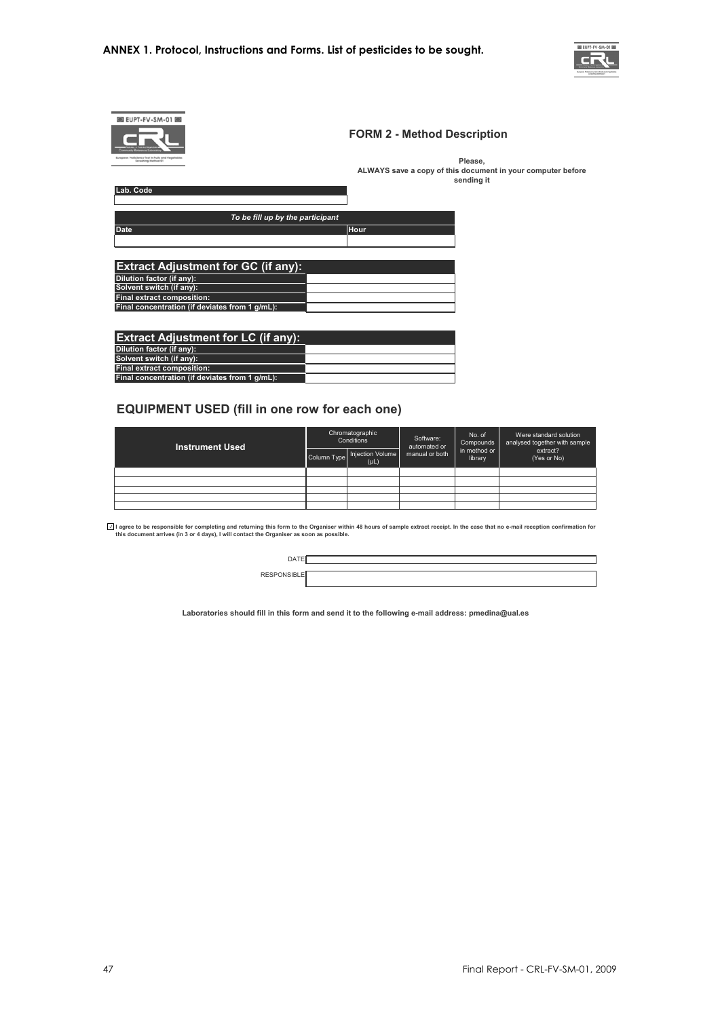

|                                                                           | <b>FORM 2 - Method Description</b>                                        |
|---------------------------------------------------------------------------|---------------------------------------------------------------------------|
| furepean Proficiency Test in fruits and Vegelables<br>Screening Method 01 | Please,                                                                   |
|                                                                           | ALWAYS save a copy of this document in your computer before<br>sending it |
| Lab. Code                                                                 |                                                                           |
|                                                                           |                                                                           |
| To be fill up by the participant                                          |                                                                           |
| <b>Date</b>                                                               | Hour                                                                      |
|                                                                           |                                                                           |
|                                                                           |                                                                           |
| <b>Extract Adjustment for GC (if any):</b>                                |                                                                           |
| Dilution factor (if any):                                                 |                                                                           |
| Solvent switch (if any):                                                  |                                                                           |
| Final extract composition:                                                |                                                                           |
| Final concentration (if deviates from 1 g/mL):                            |                                                                           |
|                                                                           |                                                                           |
| <b>Extract Adjustment for LC (if any):</b>                                |                                                                           |
| <b>PERMIT AND A PARTICULAR CONTINUES.</b>                                 |                                                                           |

| Extract Aujustifient for EC (ii any).          |  |
|------------------------------------------------|--|
| Dilution factor (if any):                      |  |
| Solvent switch (if any):                       |  |
| Final extract composition:                     |  |
| Final concentration (if deviates from 1 g/mL): |  |
|                                                |  |

#### **EQUIPMENT USED (fill in one row for each one)**

| <b>Instrument Used</b> |             | Chromatographic<br>Conditions | Software:<br>automated or<br>manual or both | No. of<br>Compounds<br>in method or<br>library | Were standard solution<br>analysed together with sample<br>extract?<br>(Yes or No) |
|------------------------|-------------|-------------------------------|---------------------------------------------|------------------------------------------------|------------------------------------------------------------------------------------|
|                        | Column Type | Injection Volume<br>(PL)      |                                             |                                                |                                                                                    |
|                        |             |                               |                                             |                                                |                                                                                    |
|                        |             |                               |                                             |                                                |                                                                                    |
|                        |             |                               |                                             |                                                |                                                                                    |
|                        |             |                               |                                             |                                                |                                                                                    |
|                        |             |                               |                                             |                                                |                                                                                    |

l agree to be responsible for completing and returning this form to the Organiser within 48 hours of sample extract receipt. In the case that no e-mail reception confirmation foi<br>this document arrives (in 3 or 4 days), I w

**Laboratories should fill in this form and send it to the following e-mail address: pmedina@ual.es**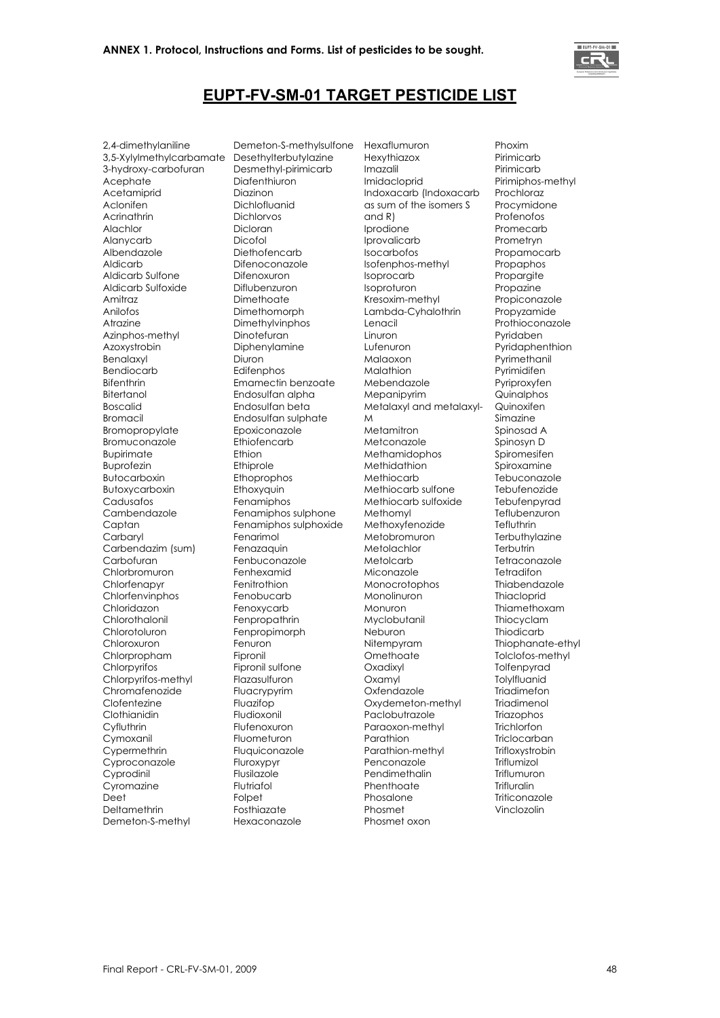

#### **EUPT-FV-SM-01 TARGET PESTICIDE LIST**

2,4-dimethylaniline 3,5-Xylylmethylcarbamate 3-hydroxy-carbofuran Acephate Acetamiprid Aclonifen Acrinathrin Alachlor Alanycarb Albendazole Aldicarb Aldicarb Sulfone Aldicarb Sulfoxide Amitraz Anilofos Atrazine Azinphos-methyl Azoxystrobin Benalaxyl Bendiocarb Bifenthrin Bitertanol Boscalid Bromacil Bromopropylate Bromuconazole Bupirimate Buprofezin Butocarboxin Butoxycarboxin Cadusafos Cambendazole Captan **Carbaryl** Carbendazim (sum) Carbofuran Chlorbromuron Chlorfenapyr Chlorfenvinphos Chloridazon Chlorothalonil Chlorotoluron Chloroxuron Chlorpropham Chlorpyrifos Chlorpyrifos-methyl Chromafenozide Clofentezine **Clothianidin Cyfluthrin** Cymoxanil Cypermethrin Cyproconazole Cyprodinil Cyromazine Deet Deltamethrin Demeton-S-methyl

Demeton-S-methylsulfone Desethylterbutylazine Desmethyl-pirimicarb Diafenthiuron Diazinon Dichlofluanid Dichlorvos Dicloran Dicofol Diethofencarb Difenoconazole Difenoxuron Diflubenzuron Dimethoate Dimethomorph Dimethylvinphos Dinotefuran Diphenylamine Diuron **Edifenphos** Emamectin benzoate Endosulfan alpha Endosulfan beta Endosulfan sulphate Epoxiconazole Ethiofencarb Ethion Ethiprole Ethoprophos Ethoxyquin Fenamiphos Fenamiphos sulphone Fenamiphos sulphoxide Fenarimol Fenazaquin Fenbuconazole Fenhexamid Fenitrothion Fenobucarb Fenoxycarb Fenpropathrin **Fenpropimorph** Fenuron Fipronil Fipronil sulfone Flazasulfuron Fluacrypyrim Fluazifop Fludioxonil Flufenoxuron Fluometuron Fluquiconazole Fluroxypyr Flusilazole Flutriafol Folpet **Fosthiazate** Hexaconazole

Hexaflumuron **Hexythiazox** Imazalil Imidacloprid Indoxacarb (Indoxacarb as sum of the isomers S and R) Iprodione Iprovalicarb Isocarbofos Isofenphos-methyl Isoprocarb Isoproturon Kresoxim-methyl Lambda-Cyhalothrin Lenacil Linuron Lufenuron Malaoxon Malathion Mebendazole Mepanipyrim Metalaxyl and metalaxyl-M Metamitron Metconazole Methamidophos Methidathion Methiocarb Methiocarb sulfone Methiocarb sulfoxide Methomyl Methoxyfenozide Metobromuron Metolachlor Metolcarb Miconazole Monocrotophos Monolinuron Monuron Myclobutanil Neburon Nitempyram **Omethoate** Oxadixyl Oxamyl Oxfendazole Oxydemeton-methyl Paclobutrazole Paraoxon-methyl Parathion Parathion-methyl Penconazole Pendimethalin Phenthoate Phosalone Phosmet

Phosmet oxon

Phoxim Pirimicarb Pirimicarb Pirimiphos-methyl Prochloraz Procymidone Profenofos Promecarb Prometryn Propamocarb Propaphos Proparaite Propazine Propiconazole Propyzamide Prothioconazole Pyridaben Pyridaphenthion Pyrimethanil Pyrimidifen Pyriproxyfen Quinalphos Quinoxifen Simazine Spinosad A Spinosyn D Spiromesifen Spiroxamine Tebuconazole **Tebufenozide** Tebufenpyrad **Teflubenzuron Tefluthrin Terbuthylazine Terbutrin** Tetraconazole Tetradifon Thiabendazole **Thiacloprid** Thiamethoxam Thiocyclam **Thiodicarb** Thiophanate-ethyl Tolclofos-methyl Tolfenpyrad **Tolylfluanid Triadimefon** Triadimenol **Triazophos Trichlorfon Triclocarban** Trifloxystrobin Triflumizol Triflumuron **Trifluralin** Triticonazole Vinclozolin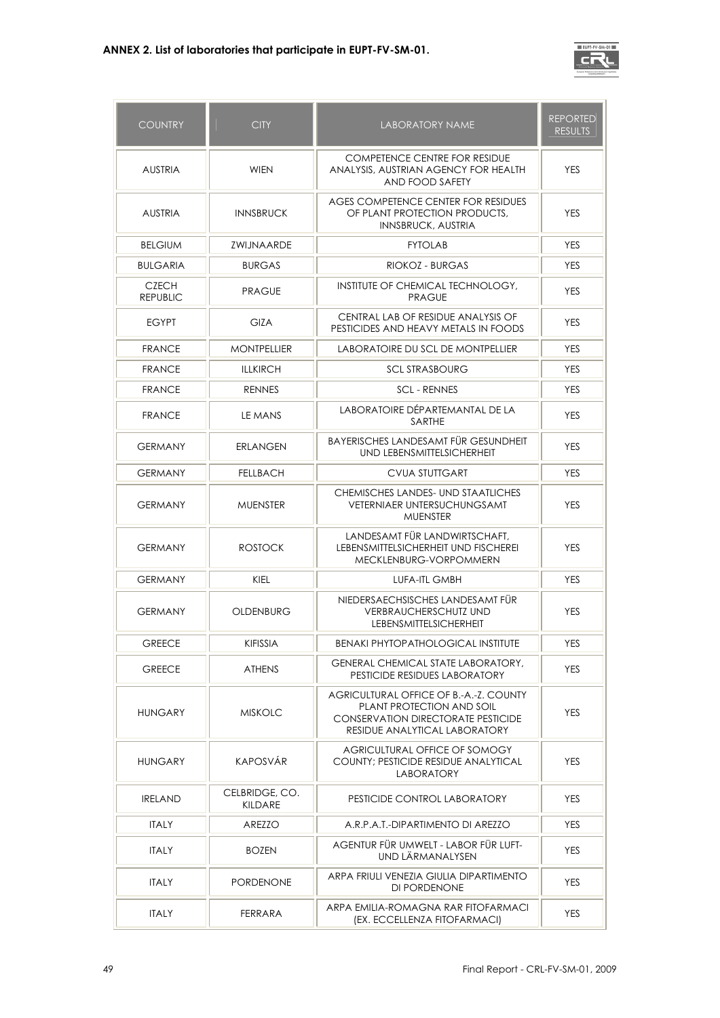

| <b>COUNTRY</b>                  | <b>CITY</b>               | LABORATORY NAME                                                                                                                                   | <b>REPORTED</b><br><b>RESULTS</b> |
|---------------------------------|---------------------------|---------------------------------------------------------------------------------------------------------------------------------------------------|-----------------------------------|
| <b>AUSTRIA</b>                  | <b>WIEN</b>               | COMPETENCE CENTRE FOR RESIDUE<br>ANALYSIS, AUSTRIAN AGENCY FOR HEALTH<br>AND FOOD SAFETY                                                          | <b>YES</b>                        |
| <b>AUSTRIA</b>                  | <b>INNSBRUCK</b>          | AGES COMPETENCE CENTER FOR RESIDUES<br>OF PLANT PROTECTION PRODUCTS.<br><b>INNSBRUCK, AUSTRIA</b>                                                 | <b>YES</b>                        |
| <b>BELGIUM</b>                  | <b>ZWIJNAARDE</b>         | <b>FYTOLAB</b>                                                                                                                                    | <b>YES</b>                        |
| <b>BULGARIA</b>                 | <b>BURGAS</b>             | RIOKOZ - BURGAS                                                                                                                                   | <b>YES</b>                        |
| <b>CZECH</b><br><b>REPUBLIC</b> | <b>PRAGUE</b>             | INSTITUTE OF CHEMICAL TECHNOLOGY,<br><b>PRAGUE</b>                                                                                                | <b>YES</b>                        |
| <b>EGYPT</b>                    | <b>GIZA</b>               | CENTRAL LAB OF RESIDUE ANALYSIS OF<br>PESTICIDES AND HEAVY METALS IN FOODS                                                                        | <b>YES</b>                        |
| <b>FRANCE</b>                   | <b>MONTPELLIER</b>        | LABORATOIRE DU SCL DE MONTPELLIER                                                                                                                 | <b>YES</b>                        |
| <b>FRANCE</b>                   | <b>ILLKIRCH</b>           | <b>SCL STRASBOURG</b>                                                                                                                             | <b>YES</b>                        |
| <b>FRANCE</b>                   | <b>RENNES</b>             | <b>SCL - RENNES</b>                                                                                                                               | <b>YES</b>                        |
| <b>FRANCE</b>                   | LE MANS                   | LABORATOIRE DÉPARTEMANTAL DE LA<br>SARTHE                                                                                                         | <b>YES</b>                        |
| <b>GERMANY</b>                  | <b>ERLANGEN</b>           | BAYERISCHES LANDESAMT FÜR GESUNDHEIT<br>UND LEBENSMITTELSICHERHEIT                                                                                | <b>YES</b>                        |
| <b>GERMANY</b>                  | <b>FELLBACH</b>           | <b>CVUA STUTTGART</b>                                                                                                                             | <b>YES</b>                        |
| <b>GERMANY</b>                  | <b>MUENSTER</b>           | CHEMISCHES LANDES- UND STAATLICHES<br><b>VETERNIAER UNTERSUCHUNGSAMT</b><br><b>MUENSTER</b>                                                       | <b>YES</b>                        |
| <b>GERMANY</b>                  | <b>ROSTOCK</b>            | LANDESAMT FÜR LANDWIRTSCHAFT.<br>LEBENSMITTELSICHERHEIT UND FISCHEREI<br>MECKLENBURG-VORPOMMERN                                                   | <b>YES</b>                        |
| <b>GERMANY</b>                  | <b>KIEL</b>               | <b>LUFA-ITL GMBH</b>                                                                                                                              | <b>YES</b>                        |
| <b>GERMANY</b>                  | OLDENBURG                 | NIEDERSAECHSISCHES LANDESAMT FÜR<br><b>VERBRAUCHERSCHUTZ UND</b><br><b>LEBENSMITTELSICHERHEIT</b>                                                 | <b>YES</b>                        |
| <b>GREECE</b>                   | KIFISSIA                  | <b>BENAKI PHYTOPATHOLOGICAL INSTITUTE</b>                                                                                                         | YES                               |
| <b>GREECE</b>                   | <b>ATHENS</b>             | <b>GENERAL CHEMICAL STATE LABORATORY,</b><br>PESTICIDE RESIDUES LABORATORY                                                                        | <b>YES</b>                        |
| <b>HUNGARY</b>                  | <b>MISKOLC</b>            | AGRICULTURAL OFFICE OF B.-A.-Z. COUNTY<br>PLANT PROTECTION AND SOIL<br><b>CONSERVATION DIRECTORATE PESTICIDE</b><br>RESIDUE ANALYTICAL LABORATORY | <b>YES</b>                        |
| <b>HUNGARY</b>                  | <b>KAPOSVÅR</b>           | AGRICULTURAL OFFICE OF SOMOGY<br>COUNTY; PESTICIDE RESIDUE ANALYTICAL<br><b>LABORATORY</b>                                                        | <b>YES</b>                        |
| <b>IRELAND</b>                  | CELBRIDGE, CO.<br>KILDARE | PESTICIDE CONTROL LABORATORY                                                                                                                      | <b>YES</b>                        |
| <b>ITALY</b>                    | AREZZO                    | A.R.P.A.T.-DIPARTIMENTO DI AREZZO                                                                                                                 | <b>YES</b>                        |
| ITALY                           | <b>BOZEN</b>              | AGENTUR FÜR UMWELT - LABOR FÜR LUFT-<br>UND LÄRMANALYSEN                                                                                          | YES                               |
| <b>ITALY</b>                    | <b>PORDENONE</b>          | ARPA FRIULI VENEZIA GIULIA DIPARTIMENTO<br>DI PORDENONE                                                                                           | <b>YES</b>                        |
| <b>ITALY</b>                    | <b>FERRARA</b>            | ARPA EMILIA-ROMAGNA RAR FITOFARMACI<br>(EX. ECCELLENZA FITOFARMACI)                                                                               | YES                               |